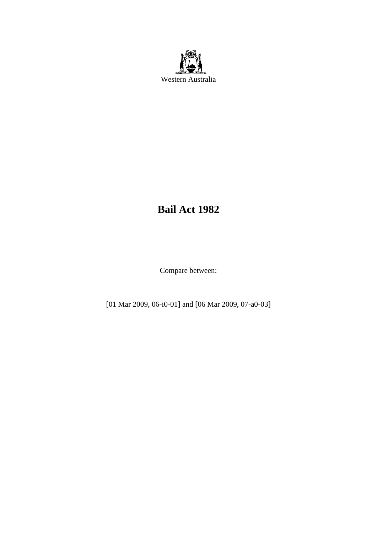

# **Bail Act 1982**

Compare between:

[01 Mar 2009, 06-i0-01] and [06 Mar 2009, 07-a0-03]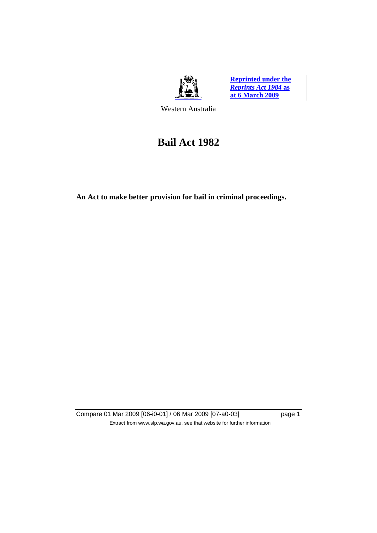

**Reprinted under the**  *Reprints Act 1984* **as at 6 March 2009**

Western Australia

# **Bail Act 1982**

**An Act to make better provision for bail in criminal proceedings.** 

Compare 01 Mar 2009 [06-i0-01] / 06 Mar 2009 [07-a0-03] page 1 Extract from www.slp.wa.gov.au, see that website for further information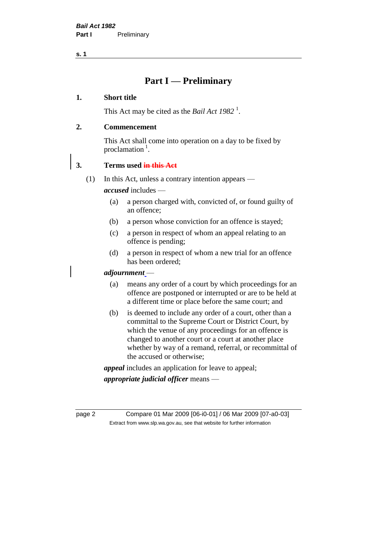## **Part I — Preliminary**

#### **1. Short title**

This Act may be cited as the *Bail Act* 1982<sup>1</sup>.

## **2. Commencement**

This Act shall come into operation on a day to be fixed by proclamation  $<sup>1</sup>$ .</sup>

## **3. Terms used in this Act**

(1) In this Act, unless a contrary intention appears —

*accused* includes —

- (a) a person charged with, convicted of, or found guilty of an offence;
- (b) a person whose conviction for an offence is stayed;
- (c) a person in respect of whom an appeal relating to an offence is pending;
- (d) a person in respect of whom a new trial for an offence has been ordered;

## *adjournment* —

- (a) means any order of a court by which proceedings for an offence are postponed or interrupted or are to be held at a different time or place before the same court; and
- (b) is deemed to include any order of a court, other than a committal to the Supreme Court or District Court, by which the venue of any proceedings for an offence is changed to another court or a court at another place whether by way of a remand, referral, or recommittal of the accused or otherwise;

*appeal* includes an application for leave to appeal;

*appropriate judicial officer* means —

page 2 Compare 01 Mar 2009 [06-i0-01] / 06 Mar 2009 [07-a0-03] Extract from www.slp.wa.gov.au, see that website for further information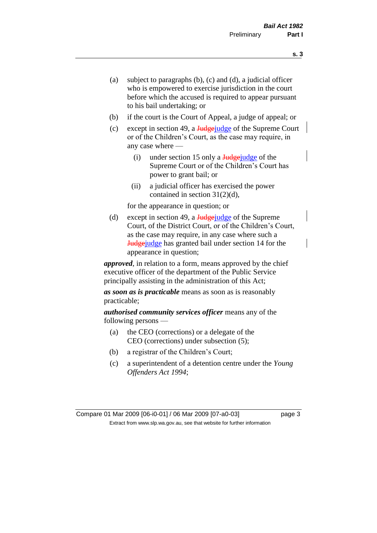- (a) subject to paragraphs (b), (c) and (d), a judicial officer who is empowered to exercise jurisdiction in the court before which the accused is required to appear pursuant to his bail undertaking; or
- (b) if the court is the Court of Appeal, a judge of appeal; or
- (c) except in section 49, a  $\frac{Jud\theta}{Jud\theta}$  of the Supreme Court or of the Children's Court, as the case may require, in any case where —
	- (i) under section 15 only a  $\frac{J_{\text{u}}}{J_{\text{u}}}$  and  $\frac{J_{\text{u}}}{J_{\text{u}}}$  and  $\frac{J_{\text{u}}}{J_{\text{u}}}$  and  $\frac{J_{\text{u}}}{J_{\text{u}}}$  and  $\frac{J_{\text{u}}}{J_{\text{u}}}$  and  $\frac{J_{\text{u}}}{J_{\text{u}}}$  and  $\frac{J_{\text{u}}}{J_{\text{u}}}$  and  $\frac{J_{\text{u}}}{J_{\text{u$ Supreme Court or of the Children's Court has power to grant bail; or
	- (ii) a judicial officer has exercised the power contained in section 31(2)(d),

for the appearance in question; or

(d) except in section 49, a  $\frac{1}{\text{Hedgei}}$  of the Supreme Court, of the District Court, or of the Children's Court, as the case may require, in any case where such a Judgejudge has granted bail under section 14 for the appearance in question;

*approved*, in relation to a form, means approved by the chief executive officer of the department of the Public Service principally assisting in the administration of this Act;

*as soon as is practicable* means as soon as is reasonably practicable;

*authorised community services officer* means any of the following persons —

- (a) the CEO (corrections) or a delegate of the CEO (corrections) under subsection (5);
- (b) a registrar of the Children's Court;
- (c) a superintendent of a detention centre under the *Young Offenders Act 1994*;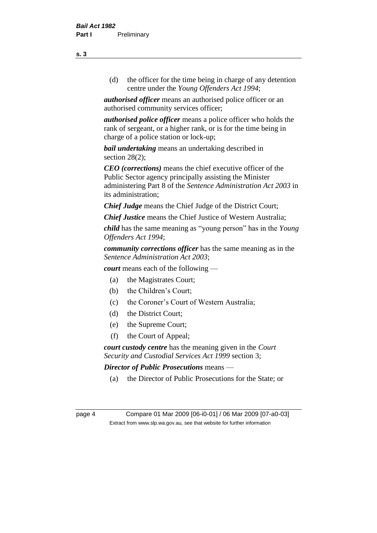(d) the officer for the time being in charge of any detention centre under the *Young Offenders Act 1994*;

*authorised officer* means an authorised police officer or an authorised community services officer;

*authorised police officer* means a police officer who holds the rank of sergeant, or a higher rank, or is for the time being in charge of a police station or lock-up;

*bail undertaking* means an undertaking described in section 28(2);

*CEO (corrections)* means the chief executive officer of the Public Sector agency principally assisting the Minister administering Part 8 of the *Sentence Administration Act 2003* in its administration;

*Chief Judge* means the Chief Judge of the District Court;

*Chief Justice* means the Chief Justice of Western Australia;

*child* has the same meaning as "young person" has in the *Young Offenders Act 1994*;

*community corrections officer* has the same meaning as in the *Sentence Administration Act 2003*;

*court* means each of the following —

- (a) the Magistrates Court;
- (b) the Children's Court;
- (c) the Coroner's Court of Western Australia;
- (d) the District Court;
- (e) the Supreme Court;
- (f) the Court of Appeal;

*court custody centre* has the meaning given in the *Court Security and Custodial Services Act 1999* section 3;

*Director of Public Prosecutions* means —

(a) the Director of Public Prosecutions for the State; or

**s. 3**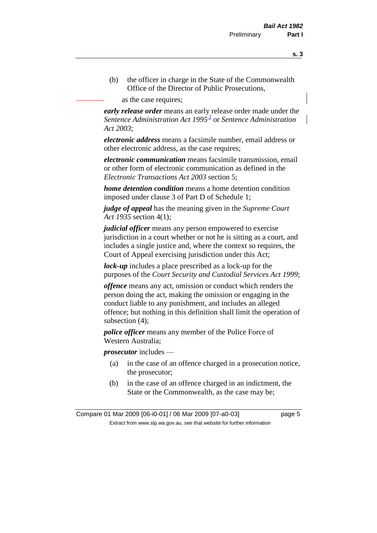(b) the officer in charge in the State of the Commonwealth Office of the Director of Public Prosecutions,

as the case requires;

*early release order* means an early release order made under the Sentence Administration Act 1995<sup>2</sup> or Sentence Administration *Act 2003*;

*electronic address* means a facsimile number, email address or other electronic address, as the case requires;

*electronic communication* means facsimile transmission, email or other form of electronic communication as defined in the *Electronic Transactions Act 2003* section 5;

*home detention condition* means a home detention condition imposed under clause 3 of Part D of Schedule 1;

*judge of appeal* has the meaning given in the *Supreme Court Act 1935* section 4(1);

*judicial officer* means any person empowered to exercise jurisdiction in a court whether or not he is sitting as a court, and includes a single justice and, where the context so requires, the Court of Appeal exercising jurisdiction under this Act;

*lock-up* includes a place prescribed as a lock-up for the purposes of the *Court Security and Custodial Services Act 1999*;

*offence* means any act, omission or conduct which renders the person doing the act, making the omission or engaging in the conduct liable to any punishment, and includes an alleged offence; but nothing in this definition shall limit the operation of subsection (4);

*police officer* means any member of the Police Force of Western Australia;

*prosecutor* includes —

- (a) in the case of an offence charged in a prosecution notice, the prosecutor;
- (b) in the case of an offence charged in an indictment, the State or the Commonwealth, as the case may be;

Compare 01 Mar 2009 [06-i0-01] / 06 Mar 2009 [07-a0-03] page 5 Extract from www.slp.wa.gov.au, see that website for further information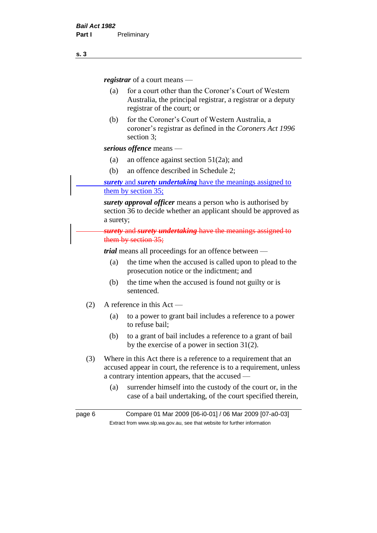*registrar* of a court means —

- (a) for a court other than the Coroner's Court of Western Australia, the principal registrar, a registrar or a deputy registrar of the court; or
- (b) for the Coroner's Court of Western Australia, a coroner's registrar as defined in the *Coroners Act 1996* section 3;

*serious offence* means —

- (a) an offence against section 51(2a); and
- (b) an offence described in Schedule 2;

*surety* and *surety undertaking* have the meanings assigned to them by section 35;

*surety approval officer* means a person who is authorised by section 36 to decide whether an applicant should be approved as a surety;

*surety* and *surety undertaking* have the meanings assigned to them by section 35;

*trial* means all proceedings for an offence between —

- (a) the time when the accused is called upon to plead to the prosecution notice or the indictment; and
- (b) the time when the accused is found not guilty or is sentenced.
- (2) A reference in this Act
	- (a) to a power to grant bail includes a reference to a power to refuse bail;
	- (b) to a grant of bail includes a reference to a grant of bail by the exercise of a power in section 31(2).
- (3) Where in this Act there is a reference to a requirement that an accused appear in court, the reference is to a requirement, unless a contrary intention appears, that the accused —
	- (a) surrender himself into the custody of the court or, in the case of a bail undertaking, of the court specified therein,

page 6 Compare 01 Mar 2009 [06-i0-01] / 06 Mar 2009 [07-a0-03] Extract from www.slp.wa.gov.au, see that website for further information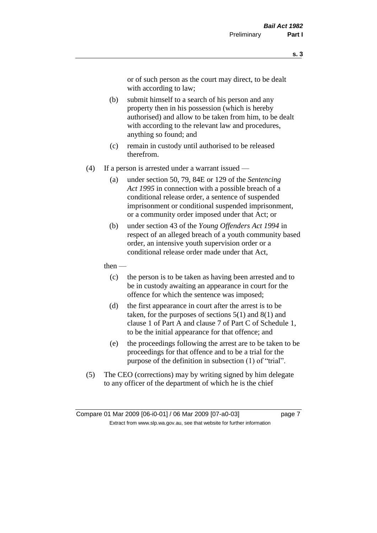or of such person as the court may direct, to be dealt with according to law;

- (b) submit himself to a search of his person and any property then in his possession (which is hereby authorised) and allow to be taken from him, to be dealt with according to the relevant law and procedures, anything so found; and
- (c) remain in custody until authorised to be released therefrom.
- (4) If a person is arrested under a warrant issued
	- (a) under section 50, 79, 84E or 129 of the *Sentencing Act 1995* in connection with a possible breach of a conditional release order, a sentence of suspended imprisonment or conditional suspended imprisonment, or a community order imposed under that Act; or
	- (b) under section 43 of the *Young Offenders Act 1994* in respect of an alleged breach of a youth community based order, an intensive youth supervision order or a conditional release order made under that Act,
	- then
		- (c) the person is to be taken as having been arrested and to be in custody awaiting an appearance in court for the offence for which the sentence was imposed;
		- (d) the first appearance in court after the arrest is to be taken, for the purposes of sections  $5(1)$  and  $8(1)$  and clause 1 of Part A and clause 7 of Part C of Schedule 1, to be the initial appearance for that offence; and
		- (e) the proceedings following the arrest are to be taken to be proceedings for that offence and to be a trial for the purpose of the definition in subsection (1) of "trial".
- (5) The CEO (corrections) may by writing signed by him delegate to any officer of the department of which he is the chief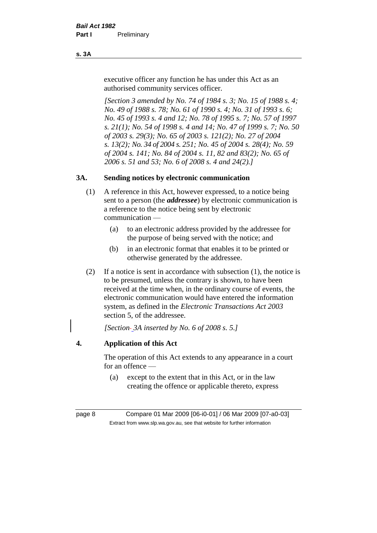#### **s. 3A**

executive officer any function he has under this Act as an authorised community services officer.

*[Section 3 amended by No. 74 of 1984 s. 3; No. 15 of 1988 s. 4; No. 49 of 1988 s. 78; No. 61 of 1990 s. 4; No. 31 of 1993 s. 6; No. 45 of 1993 s. 4 and 12; No. 78 of 1995 s. 7; No. 57 of 1997 s. 21(1); No. 54 of 1998 s. 4 and 14; No. 47 of 1999 s. 7; No. 50 of 2003 s. 29(3); No. 65 of 2003 s. 121(2); No. 27 of 2004 s. 13(2); No. 34 of 2004 s. 251; No. 45 of 2004 s. 28(4); No. 59 of 2004 s. 141; No. 84 of 2004 s. 11, 82 and 83(2); No. 65 of 2006 s. 51 and 53; No. 6 of 2008 s. 4 and 24(2).]* 

## **3A. Sending notices by electronic communication**

- (1) A reference in this Act, however expressed, to a notice being sent to a person (the *addressee*) by electronic communication is a reference to the notice being sent by electronic communication —
	- (a) to an electronic address provided by the addressee for the purpose of being served with the notice; and
	- (b) in an electronic format that enables it to be printed or otherwise generated by the addressee.
- (2) If a notice is sent in accordance with subsection (1), the notice is to be presumed, unless the contrary is shown, to have been received at the time when, in the ordinary course of events, the electronic communication would have entered the information system, as defined in the *Electronic Transactions Act 2003* section 5, of the addressee.

*[Section 3A inserted by No. 6 of 2008 s. 5.]*

## **4. Application of this Act**

The operation of this Act extends to any appearance in a court for an offence —

(a) except to the extent that in this Act, or in the law creating the offence or applicable thereto, express

page 8 Compare 01 Mar 2009 [06-i0-01] / 06 Mar 2009 [07-a0-03] Extract from www.slp.wa.gov.au, see that website for further information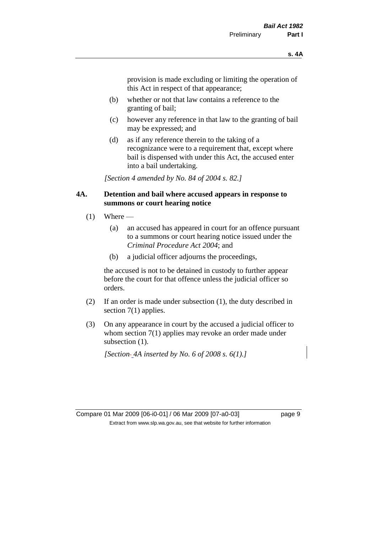provision is made excluding or limiting the operation of this Act in respect of that appearance;

- (b) whether or not that law contains a reference to the granting of bail;
- (c) however any reference in that law to the granting of bail may be expressed; and
- (d) as if any reference therein to the taking of a recognizance were to a requirement that, except where bail is dispensed with under this Act, the accused enter into a bail undertaking.

*[Section 4 amended by No. 84 of 2004 s. 82.]*

#### **4A. Detention and bail where accused appears in response to summons or court hearing notice**

- $(1)$  Where
	- (a) an accused has appeared in court for an offence pursuant to a summons or court hearing notice issued under the *Criminal Procedure Act 2004*; and
	- (b) a judicial officer adjourns the proceedings,

the accused is not to be detained in custody to further appear before the court for that offence unless the judicial officer so orders.

- (2) If an order is made under subsection (1), the duty described in section 7(1) applies.
- (3) On any appearance in court by the accused a judicial officer to whom section 7(1) applies may revoke an order made under subsection  $(1)$ .

*[Section 4A inserted by No. 6 of 2008 s. 6(1).]*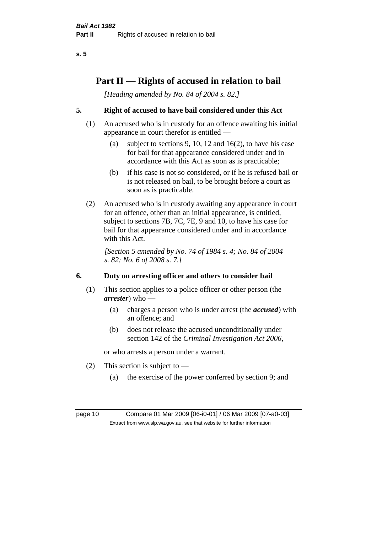## **Part II — Rights of accused in relation to bail**

*[Heading amended by No. 84 of 2004 s. 82.]* 

## **5. Right of accused to have bail considered under this Act**

- (1) An accused who is in custody for an offence awaiting his initial appearance in court therefor is entitled —
	- (a) subject to sections 9, 10, 12 and 16(2), to have his case for bail for that appearance considered under and in accordance with this Act as soon as is practicable;
	- (b) if his case is not so considered, or if he is refused bail or is not released on bail, to be brought before a court as soon as is practicable.
- (2) An accused who is in custody awaiting any appearance in court for an offence, other than an initial appearance, is entitled, subject to sections 7B, 7C, 7E, 9 and 10, to have his case for bail for that appearance considered under and in accordance with this Act.

*[Section 5 amended by No. 74 of 1984 s. 4; No. 84 of 2004 s. 82; No. 6 of 2008 s. 7.]* 

## **6. Duty on arresting officer and others to consider bail**

- (1) This section applies to a police officer or other person (the *arrester*) who —
	- (a) charges a person who is under arrest (the *accused*) with an offence; and
	- (b) does not release the accused unconditionally under section 142 of the *Criminal Investigation Act 2006*,

or who arrests a person under a warrant.

- (2) This section is subject to  $-$ 
	- (a) the exercise of the power conferred by section 9; and

page 10 Compare 01 Mar 2009 [06-i0-01] / 06 Mar 2009 [07-a0-03] Extract from www.slp.wa.gov.au, see that website for further information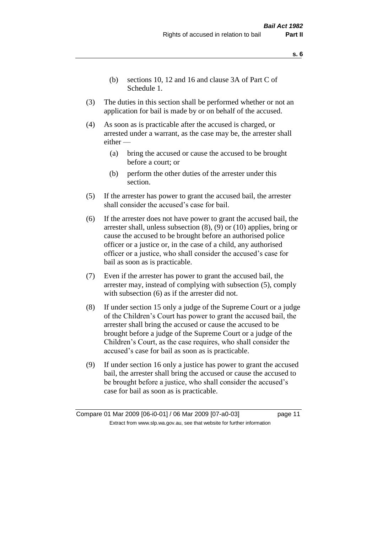- **s. 6**
- (b) sections 10, 12 and 16 and clause 3A of Part C of Schedule 1.
- (3) The duties in this section shall be performed whether or not an application for bail is made by or on behalf of the accused.
- (4) As soon as is practicable after the accused is charged, or arrested under a warrant, as the case may be, the arrester shall either —
	- (a) bring the accused or cause the accused to be brought before a court; or
	- (b) perform the other duties of the arrester under this section.
- (5) If the arrester has power to grant the accused bail, the arrester shall consider the accused's case for bail.
- (6) If the arrester does not have power to grant the accused bail, the arrester shall, unless subsection (8), (9) or (10) applies, bring or cause the accused to be brought before an authorised police officer or a justice or, in the case of a child, any authorised officer or a justice, who shall consider the accused's case for bail as soon as is practicable.
- (7) Even if the arrester has power to grant the accused bail, the arrester may, instead of complying with subsection (5), comply with subsection  $(6)$  as if the arrester did not.
- (8) If under section 15 only a judge of the Supreme Court or a judge of the Children's Court has power to grant the accused bail, the arrester shall bring the accused or cause the accused to be brought before a judge of the Supreme Court or a judge of the Children's Court, as the case requires, who shall consider the accused's case for bail as soon as is practicable.
- (9) If under section 16 only a justice has power to grant the accused bail, the arrester shall bring the accused or cause the accused to be brought before a justice, who shall consider the accused's case for bail as soon as is practicable.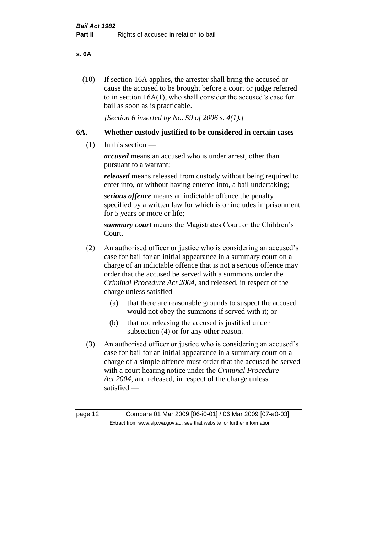#### **s. 6A**

(10) If section 16A applies, the arrester shall bring the accused or cause the accused to be brought before a court or judge referred to in section 16A(1), who shall consider the accused's case for bail as soon as is practicable.

*[Section 6 inserted by No. 59 of 2006 s. 4(1).]* 

#### **6A. Whether custody justified to be considered in certain cases**

(1) In this section —

*accused* means an accused who is under arrest, other than pursuant to a warrant;

*released* means released from custody without being required to enter into, or without having entered into, a bail undertaking;

*serious offence* means an indictable offence the penalty specified by a written law for which is or includes imprisonment for 5 years or more or life;

*summary court* means the Magistrates Court or the Children's Court.

- (2) An authorised officer or justice who is considering an accused's case for bail for an initial appearance in a summary court on a charge of an indictable offence that is not a serious offence may order that the accused be served with a summons under the *Criminal Procedure Act 2004*, and released, in respect of the charge unless satisfied —
	- (a) that there are reasonable grounds to suspect the accused would not obey the summons if served with it; or
	- (b) that not releasing the accused is justified under subsection (4) or for any other reason.
- (3) An authorised officer or justice who is considering an accused's case for bail for an initial appearance in a summary court on a charge of a simple offence must order that the accused be served with a court hearing notice under the *Criminal Procedure Act 2004*, and released, in respect of the charge unless satisfied —

page 12 Compare 01 Mar 2009 [06-i0-01] / 06 Mar 2009 [07-a0-03] Extract from www.slp.wa.gov.au, see that website for further information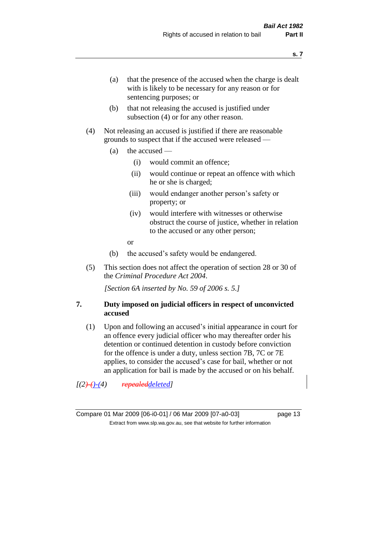- (a) that the presence of the accused when the charge is dealt with is likely to be necessary for any reason or for sentencing purposes; or
- (b) that not releasing the accused is justified under subsection (4) or for any other reason.
- (4) Not releasing an accused is justified if there are reasonable grounds to suspect that if the accused were released —
	- (a) the accused
		- (i) would commit an offence;
		- (ii) would continue or repeat an offence with which he or she is charged;
		- (iii) would endanger another person's safety or property; or
		- (iv) would interfere with witnesses or otherwise obstruct the course of justice, whether in relation to the accused or any other person;
		- or
	- (b) the accused's safety would be endangered.
- (5) This section does not affect the operation of section 28 or 30 of the *Criminal Procedure Act 2004*.

*[Section 6A inserted by No. 59 of 2006 s. 5.]* 

#### **7. Duty imposed on judicial officers in respect of unconvicted accused**

(1) Upon and following an accused's initial appearance in court for an offence every judicial officer who may thereafter order his detention or continued detention in custody before conviction for the offence is under a duty, unless section 7B, 7C or 7E applies, to consider the accused's case for bail, whether or not an application for bail is made by the accused or on his behalf.

*[(2)-()-(4) repealeddeleted]*

**s. 7**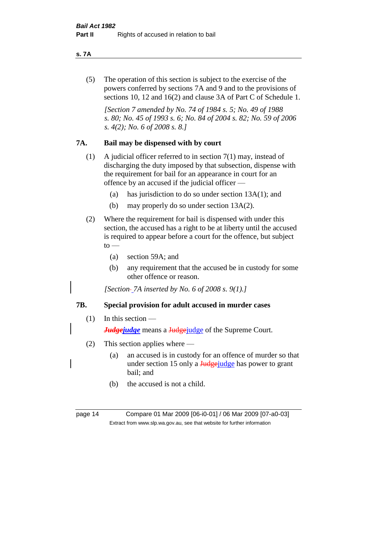#### **s. 7A**

(5) The operation of this section is subject to the exercise of the powers conferred by sections 7A and 9 and to the provisions of sections 10, 12 and 16(2) and clause 3A of Part C of Schedule 1.

*[Section 7 amended by No. 74 of 1984 s. 5; No. 49 of 1988 s. 80; No. 45 of 1993 s. 6; No. 84 of 2004 s. 82; No. 59 of 2006 s. 4(2); No. 6 of 2008 s. 8.]* 

#### **7A. Bail may be dispensed with by court**

- (1) A judicial officer referred to in section 7(1) may, instead of discharging the duty imposed by that subsection, dispense with the requirement for bail for an appearance in court for an offence by an accused if the judicial officer —
	- (a) has jurisdiction to do so under section 13A(1); and
	- (b) may properly do so under section 13A(2).
- (2) Where the requirement for bail is dispensed with under this section, the accused has a right to be at liberty until the accused is required to appear before a court for the offence, but subject  $\mathrm{to}$  —
	- (a) section 59A; and
	- (b) any requirement that the accused be in custody for some other offence or reason.

*[Section 7A inserted by No. 6 of 2008 s. 9(1).]*

#### **7B. Special provision for adult accused in murder cases**

#### $(1)$  In this section —

*Judgejudge* means a Judgejudge of the Supreme Court.

- (2) This section applies where
	- (a) an accused is in custody for an offence of murder so that under section 15 only a Judgejudge has power to grant bail; and
	- (b) the accused is not a child.

page 14 Compare 01 Mar 2009 [06-i0-01] / 06 Mar 2009 [07-a0-03] Extract from www.slp.wa.gov.au, see that website for further information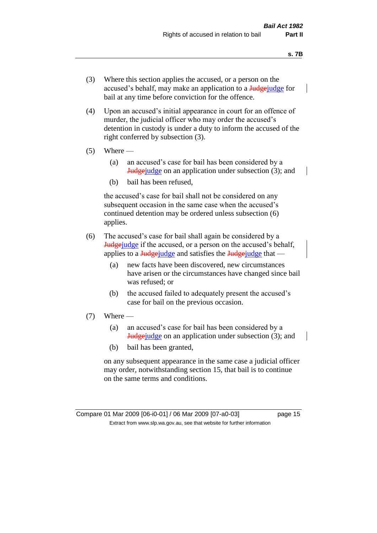- (3) Where this section applies the accused, or a person on the accused's behalf, may make an application to a Judge-judge for bail at any time before conviction for the offence.
- (4) Upon an accused's initial appearance in court for an offence of murder, the judicial officer who may order the accused's detention in custody is under a duty to inform the accused of the right conferred by subsection (3).
- $(5)$  Where
	- (a) an accused's case for bail has been considered by a Judgejudge on an application under subsection (3); and
	- (b) bail has been refused,

the accused's case for bail shall not be considered on any subsequent occasion in the same case when the accused's continued detention may be ordered unless subsection (6) applies.

- (6) The accused's case for bail shall again be considered by a **Judge** if the accused, or a person on the accused's behalf, applies to a  $\frac{Jud\theta}{Jud\theta}$  and satisfies the  $\frac{Jud\theta}{Jud\theta}$  that —
	- (a) new facts have been discovered, new circumstances have arisen or the circumstances have changed since bail was refused; or
	- (b) the accused failed to adequately present the accused's case for bail on the previous occasion.
- $(7)$  Where
	- (a) an accused's case for bail has been considered by a Judgejudge on an application under subsection (3); and
	- (b) bail has been granted,

on any subsequent appearance in the same case a judicial officer may order, notwithstanding section 15, that bail is to continue on the same terms and conditions.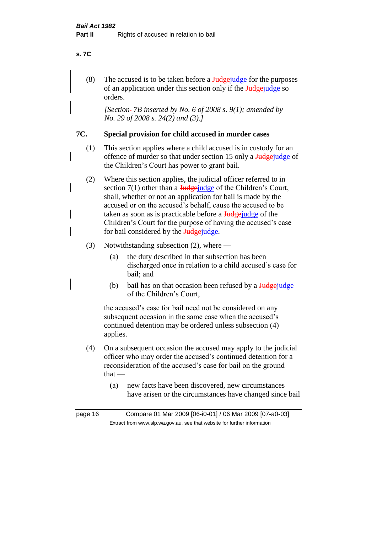#### **s. 7C**

(8) The accused is to be taken before a  $\frac{J_{\text{u}}}{J_{\text{u}}}\right)$  for the purposes of an application under this section only if the Judgeorders.

*[Section 7B inserted by No. 6 of 2008 s. 9(1); amended by No. 29 of 2008 s. 24(2) and (3).]*

#### **7C. Special provision for child accused in murder cases**

- (1) This section applies where a child accused is in custody for an offence of murder so that under section 15 only a Judgejudge of the Children's Court has power to grant bail.
- (2) Where this section applies, the judicial officer referred to in section  $7(1)$  other than a Judgejudge of the Children's Court, shall, whether or not an application for bail is made by the accused or on the accused's behalf, cause the accused to be taken as soon as is practicable before a Judgejudge of the Children's Court for the purpose of having the accused's case for bail considered by the **Judge** judge.

#### (3) Notwithstanding subsection (2), where —

- (a) the duty described in that subsection has been discharged once in relation to a child accused's case for bail; and
- (b) bail has on that occasion been refused by a  $\frac{J_{\text{u}}}{J_{\text{u}}}{\text{u}}$ of the Children's Court,

the accused's case for bail need not be considered on any subsequent occasion in the same case when the accused's continued detention may be ordered unless subsection (4) applies.

- (4) On a subsequent occasion the accused may apply to the judicial officer who may order the accused's continued detention for a reconsideration of the accused's case for bail on the ground  $that -$ 
	- (a) new facts have been discovered, new circumstances have arisen or the circumstances have changed since bail

page 16 Compare 01 Mar 2009 [06-i0-01] / 06 Mar 2009 [07-a0-03] Extract from www.slp.wa.gov.au, see that website for further information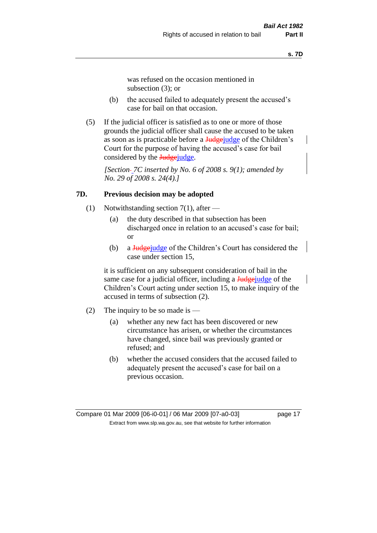was refused on the occasion mentioned in subsection (3); or

- (b) the accused failed to adequately present the accused's case for bail on that occasion.
- (5) If the judicial officer is satisfied as to one or more of those grounds the judicial officer shall cause the accused to be taken as soon as is practicable before a Judgejudge of the Children's Court for the purpose of having the accused's case for bail considered by the Judgejudge.

*[Section 7C inserted by No. 6 of 2008 s. 9(1); amended by No. 29 of 2008 s. 24(4).]*

#### **7D. Previous decision may be adopted**

- (1) Notwithstanding section 7(1), after
	- (a) the duty described in that subsection has been discharged once in relation to an accused's case for bail; or
	- (b) a Judge judge of the Children's Court has considered the case under section 15,

it is sufficient on any subsequent consideration of bail in the same case for a judicial officer, including a **Judge** judge of the Children's Court acting under section 15, to make inquiry of the accused in terms of subsection (2).

- (2) The inquiry to be so made is  $-$ 
	- (a) whether any new fact has been discovered or new circumstance has arisen, or whether the circumstances have changed, since bail was previously granted or refused; and
	- (b) whether the accused considers that the accused failed to adequately present the accused's case for bail on a previous occasion.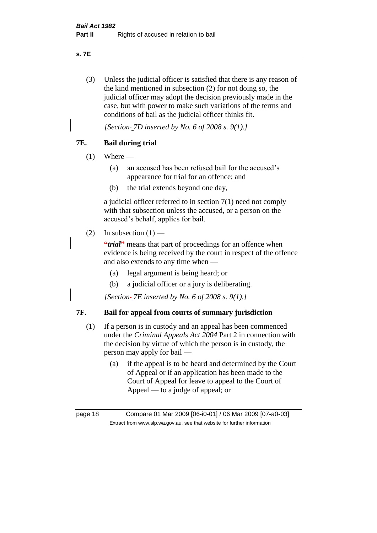**s. 7E**

(3) Unless the judicial officer is satisfied that there is any reason of the kind mentioned in subsection (2) for not doing so, the judicial officer may adopt the decision previously made in the case, but with power to make such variations of the terms and conditions of bail as the judicial officer thinks fit.

*[Section 7D inserted by No. 6 of 2008 s. 9(1).]*

## **7E. Bail during trial**

- $(1)$  Where
	- (a) an accused has been refused bail for the accused's appearance for trial for an offence; and
	- (b) the trial extends beyond one day,

a judicial officer referred to in section 7(1) need not comply with that subsection unless the accused, or a person on the accused's behalf, applies for bail.

(2) In subsection  $(1)$  —

**"***trial*<sup>"</sup> means that part of proceedings for an offence when evidence is being received by the court in respect of the offence and also extends to any time when —

- (a) legal argument is being heard; or
- (b) a judicial officer or a jury is deliberating.

*[Section 7E inserted by No. 6 of 2008 s. 9(1).]*

## **7F. Bail for appeal from courts of summary jurisdiction**

- (1) If a person is in custody and an appeal has been commenced under the *Criminal Appeals Act 2004* Part 2 in connection with the decision by virtue of which the person is in custody, the person may apply for bail —
	- (a) if the appeal is to be heard and determined by the Court of Appeal or if an application has been made to the Court of Appeal for leave to appeal to the Court of Appeal — to a judge of appeal; or

page 18 Compare 01 Mar 2009 [06-i0-01] / 06 Mar 2009 [07-a0-03] Extract from www.slp.wa.gov.au, see that website for further information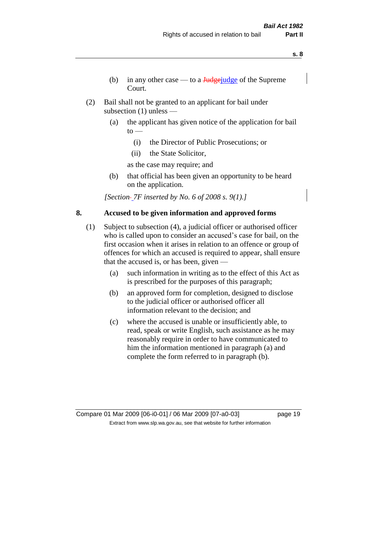- **s. 8**
- (b) in any other case to a  $\frac{Jud\pi}{Jud\pi}$  of the Supreme Court.
- (2) Bail shall not be granted to an applicant for bail under subsection (1) unless —
	- (a) the applicant has given notice of the application for bail  $to -$ 
		- (i) the Director of Public Prosecutions; or
		- (ii) the State Solicitor,
		- as the case may require; and
	- (b) that official has been given an opportunity to be heard on the application.

*[Section 7F inserted by No. 6 of 2008 s. 9(1).]*

## **8. Accused to be given information and approved forms**

- (1) Subject to subsection (4), a judicial officer or authorised officer who is called upon to consider an accused's case for bail, on the first occasion when it arises in relation to an offence or group of offences for which an accused is required to appear, shall ensure that the accused is, or has been, given —
	- (a) such information in writing as to the effect of this Act as is prescribed for the purposes of this paragraph;
	- (b) an approved form for completion, designed to disclose to the judicial officer or authorised officer all information relevant to the decision; and
	- (c) where the accused is unable or insufficiently able, to read, speak or write English, such assistance as he may reasonably require in order to have communicated to him the information mentioned in paragraph (a) and complete the form referred to in paragraph (b).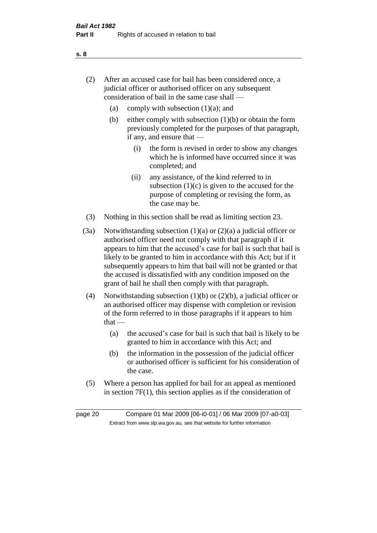- (2) After an accused case for bail has been considered once, a judicial officer or authorised officer on any subsequent consideration of bail in the same case shall —
	- (a) comply with subsection  $(1)(a)$ ; and
	- (b) either comply with subsection  $(1)(b)$  or obtain the form previously completed for the purposes of that paragraph, if any, and ensure that —
		- (i) the form is revised in order to show any changes which he is informed have occurred since it was completed; and
		- (ii) any assistance, of the kind referred to in subsection  $(1)(c)$  is given to the accused for the purpose of completing or revising the form, as the case may be.
- (3) Nothing in this section shall be read as limiting section 23.
- (3a) Notwithstanding subsection  $(1)(a)$  or  $(2)(a)$  a judicial officer or authorised officer need not comply with that paragraph if it appears to him that the accused's case for bail is such that bail is likely to be granted to him in accordance with this Act; but if it subsequently appears to him that bail will not be granted or that the accused is dissatisfied with any condition imposed on the grant of bail he shall then comply with that paragraph.
- (4) Notwithstanding subsection (1)(b) or (2)(b), a judicial officer or an authorised officer may dispense with completion or revision of the form referred to in those paragraphs if it appears to him that —
	- (a) the accused's case for bail is such that bail is likely to be granted to him in accordance with this Act; and
	- (b) the information in the possession of the judicial officer or authorised officer is sufficient for his consideration of the case.
- (5) Where a person has applied for bail for an appeal as mentioned in section 7F(1), this section applies as if the consideration of

page 20 Compare 01 Mar 2009 [06-i0-01] / 06 Mar 2009 [07-a0-03] Extract from www.slp.wa.gov.au, see that website for further information

#### **s. 8**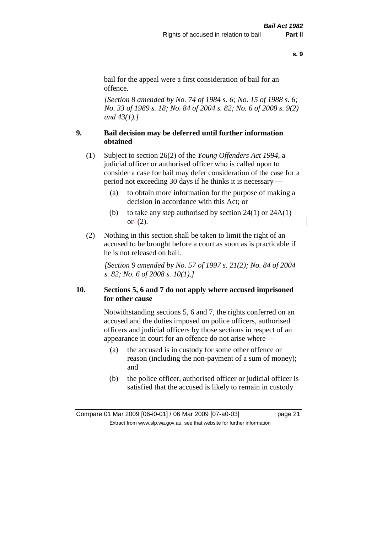bail for the appeal were a first consideration of bail for an offence.

*[Section 8 amended by No. 74 of 1984 s. 6; No. 15 of 1988 s. 6; No. 33 of 1989 s. 18; No. 84 of 2004 s. 82; No. 6 of 2008 s. 9(2) and 43(1).]* 

### **9. Bail decision may be deferred until further information obtained**

(1) Subject to section 26(2) of the *Young Offenders Act 1994*, a judicial officer or authorised officer who is called upon to consider a case for bail may defer consideration of the case for a period not exceeding 30 days if he thinks it is necessary —

- (a) to obtain more information for the purpose of making a decision in accordance with this Act; or
- (b) to take any step authorised by section  $24(1)$  or  $24A(1)$  $or - (2)$ .
- (2) Nothing in this section shall be taken to limit the right of an accused to be brought before a court as soon as is practicable if he is not released on bail.

*[Section 9 amended by No. 57 of 1997 s. 21(2); No. 84 of 2004 s. 82; No. 6 of 2008 s. 10(1).]*

## **10. Sections 5, 6 and 7 do not apply where accused imprisoned for other cause**

Notwithstanding sections 5, 6 and 7, the rights conferred on an accused and the duties imposed on police officers, authorised officers and judicial officers by those sections in respect of an appearance in court for an offence do not arise where —

- (a) the accused is in custody for some other offence or reason (including the non-payment of a sum of money); and
- (b) the police officer, authorised officer or judicial officer is satisfied that the accused is likely to remain in custody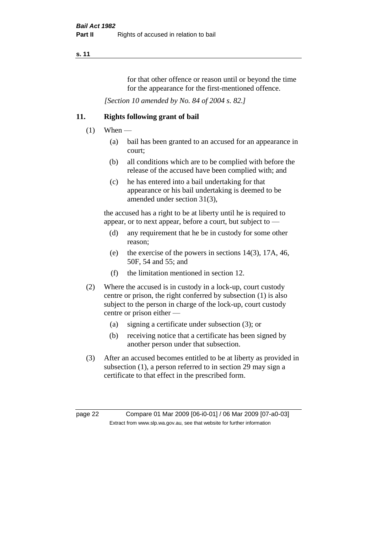for that other offence or reason until or beyond the time for the appearance for the first-mentioned offence.

*[Section 10 amended by No. 84 of 2004 s. 82.]*

## **11. Rights following grant of bail**

- $(1)$  When
	- (a) bail has been granted to an accused for an appearance in court;
	- (b) all conditions which are to be complied with before the release of the accused have been complied with; and
	- (c) he has entered into a bail undertaking for that appearance or his bail undertaking is deemed to be amended under section 31(3),

the accused has a right to be at liberty until he is required to appear, or to next appear, before a court, but subject to —

- (d) any requirement that he be in custody for some other reason;
- (e) the exercise of the powers in sections 14(3), 17A, 46, 50F, 54 and 55; and
- (f) the limitation mentioned in section 12.
- (2) Where the accused is in custody in a lock-up, court custody centre or prison, the right conferred by subsection (1) is also subject to the person in charge of the lock-up, court custody centre or prison either —
	- (a) signing a certificate under subsection (3); or
	- (b) receiving notice that a certificate has been signed by another person under that subsection.
- (3) After an accused becomes entitled to be at liberty as provided in subsection (1), a person referred to in section 29 may sign a certificate to that effect in the prescribed form.

page 22 Compare 01 Mar 2009 [06-i0-01] / 06 Mar 2009 [07-a0-03] Extract from www.slp.wa.gov.au, see that website for further information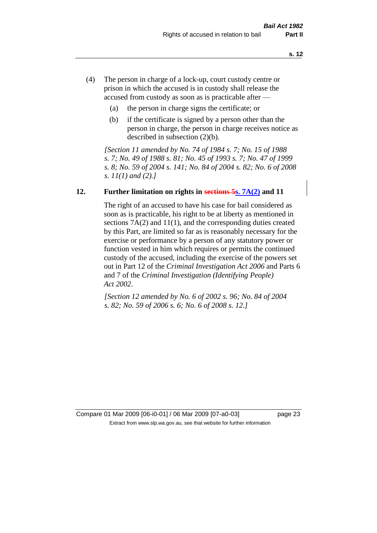- (4) The person in charge of a lock-up, court custody centre or prison in which the accused is in custody shall release the accused from custody as soon as is practicable after —
	- (a) the person in charge signs the certificate; or
	- (b) if the certificate is signed by a person other than the person in charge, the person in charge receives notice as described in subsection (2)(b).

*[Section 11 amended by No. 74 of 1984 s. 7; No. 15 of 1988 s. 7; No. 49 of 1988 s. 81; No. 45 of 1993 s. 7; No. 47 of 1999 s. 8; No. 59 of 2004 s. 141; No. 84 of 2004 s. 82; No. 6 of 2008 s. 11(1) and (2).]* 

#### **12. Further limitation on rights in sections 5s. 7A(2) and 11**

The right of an accused to have his case for bail considered as soon as is practicable, his right to be at liberty as mentioned in sections 7A(2) and 11(1), and the corresponding duties created by this Part, are limited so far as is reasonably necessary for the exercise or performance by a person of any statutory power or function vested in him which requires or permits the continued custody of the accused, including the exercise of the powers set out in Part 12 of the *Criminal Investigation Act 2006* and Parts 6 and 7 of the *Criminal Investigation (Identifying People) Act 2002*.

*[Section 12 amended by No. 6 of 2002 s. 96; No. 84 of 2004 s. 82; No. 59 of 2006 s. 6; No. 6 of 2008 s. 12.]*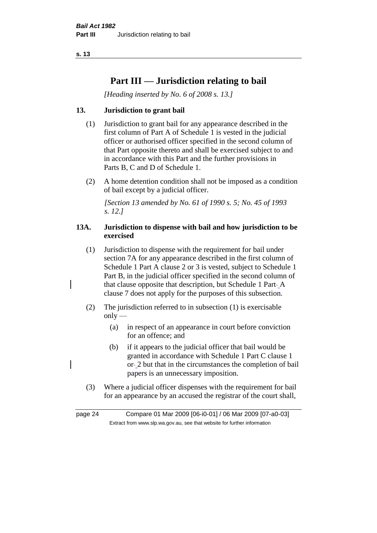## **Part III — Jurisdiction relating to bail**

*[Heading inserted by No. 6 of 2008 s. 13.]*

## **13. Jurisdiction to grant bail**

- (1) Jurisdiction to grant bail for any appearance described in the first column of Part A of Schedule 1 is vested in the judicial officer or authorised officer specified in the second column of that Part opposite thereto and shall be exercised subject to and in accordance with this Part and the further provisions in Parts B, C and D of Schedule 1.
- (2) A home detention condition shall not be imposed as a condition of bail except by a judicial officer.

*[Section 13 amended by No. 61 of 1990 s. 5; No. 45 of 1993 s. 12.]* 

## **13A. Jurisdiction to dispense with bail and how jurisdiction to be exercised**

- (1) Jurisdiction to dispense with the requirement for bail under section 7A for any appearance described in the first column of Schedule 1 Part A clause 2 or 3 is vested, subject to Schedule 1 Part B, in the judicial officer specified in the second column of that clause opposite that description, but Schedule 1 Part-A clause 7 does not apply for the purposes of this subsection.
- (2) The jurisdiction referred to in subsection (1) is exercisable  $only$ —
	- (a) in respect of an appearance in court before conviction for an offence; and
	- (b) if it appears to the judicial officer that bail would be granted in accordance with Schedule 1 Part C clause 1 or 2 but that in the circumstances the completion of bail papers is an unnecessary imposition.
- (3) Where a judicial officer dispenses with the requirement for bail for an appearance by an accused the registrar of the court shall,

page 24 Compare 01 Mar 2009 [06-i0-01] / 06 Mar 2009 [07-a0-03] Extract from www.slp.wa.gov.au, see that website for further information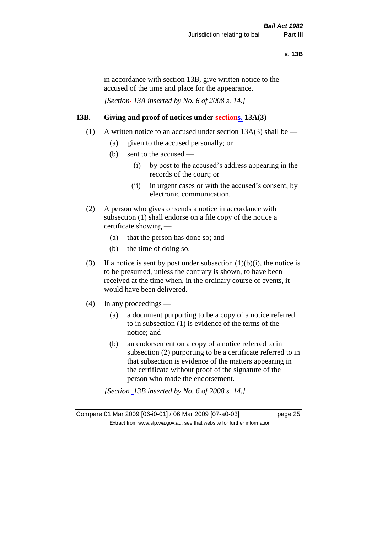in accordance with section 13B, give written notice to the accused of the time and place for the appearance.

*[Section 13A inserted by No. 6 of 2008 s. 14.]*

## **13B. Giving and proof of notices under sections. 13A(3)**

- (1) A written notice to an accused under section  $13A(3)$  shall be
	- (a) given to the accused personally; or
	- (b) sent to the accused
		- (i) by post to the accused's address appearing in the records of the court; or
		- (ii) in urgent cases or with the accused's consent, by electronic communication.
- (2) A person who gives or sends a notice in accordance with subsection (1) shall endorse on a file copy of the notice a certificate showing —
	- (a) that the person has done so; and
	- (b) the time of doing so.
- (3) If a notice is sent by post under subsection  $(1)(b)(i)$ , the notice is to be presumed, unless the contrary is shown, to have been received at the time when, in the ordinary course of events, it would have been delivered.
- (4) In any proceedings
	- (a) a document purporting to be a copy of a notice referred to in subsection (1) is evidence of the terms of the notice; and
	- (b) an endorsement on a copy of a notice referred to in subsection (2) purporting to be a certificate referred to in that subsection is evidence of the matters appearing in the certificate without proof of the signature of the person who made the endorsement.

*[Section 13B inserted by No. 6 of 2008 s. 14.]*

Compare 01 Mar 2009 [06-i0-01] / 06 Mar 2009 [07-a0-03] page 25 Extract from www.slp.wa.gov.au, see that website for further information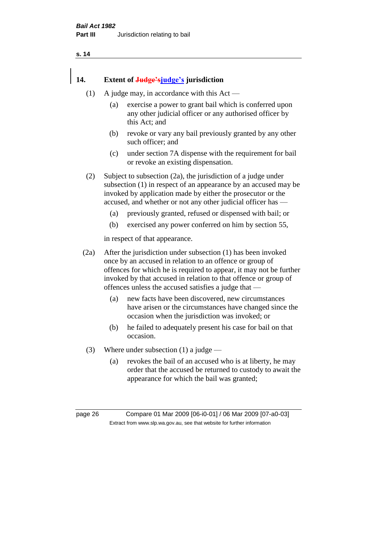## **14. Extent of Judge'sjudge's jurisdiction**

- (1) A judge may, in accordance with this  $Act -$ 
	- (a) exercise a power to grant bail which is conferred upon any other judicial officer or any authorised officer by this Act; and
	- (b) revoke or vary any bail previously granted by any other such officer; and
	- (c) under section 7A dispense with the requirement for bail or revoke an existing dispensation.

(2) Subject to subsection (2a), the jurisdiction of a judge under subsection (1) in respect of an appearance by an accused may be invoked by application made by either the prosecutor or the accused, and whether or not any other judicial officer has —

- (a) previously granted, refused or dispensed with bail; or
- (b) exercised any power conferred on him by section 55,

in respect of that appearance.

(2a) After the jurisdiction under subsection (1) has been invoked once by an accused in relation to an offence or group of offences for which he is required to appear, it may not be further invoked by that accused in relation to that offence or group of offences unless the accused satisfies a judge that —

- (a) new facts have been discovered, new circumstances have arisen or the circumstances have changed since the occasion when the jurisdiction was invoked; or
- (b) he failed to adequately present his case for bail on that occasion.
- (3) Where under subsection (1) a judge
	- (a) revokes the bail of an accused who is at liberty, he may order that the accused be returned to custody to await the appearance for which the bail was granted;

page 26 Compare 01 Mar 2009 [06-i0-01] / 06 Mar 2009 [07-a0-03] Extract from www.slp.wa.gov.au, see that website for further information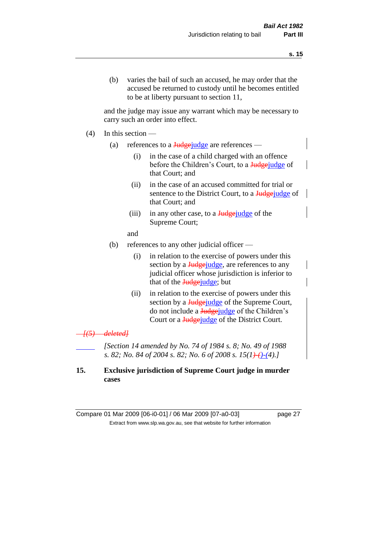(b) varies the bail of such an accused, he may order that the accused be returned to custody until he becomes entitled to be at liberty pursuant to section 11,

and the judge may issue any warrant which may be necessary to carry such an order into effect.

- $(4)$  In this section
	- (a) references to a  $\frac{\text{Judge} \cdot \text{Judge}}{\text{Judge} \cdot \text{Jilde}}$  are references
		- (i) in the case of a child charged with an offence before the Children's Court, to a Judgejudge of that Court; and
		- (ii) in the case of an accused committed for trial or sentence to the District Court, to a Judgefudge of that Court; and
		- (iii) in any other case, to a  $Judgejudeq$  of the Supreme Court;
		- and
	- (b) references to any other judicial officer
		- (i) in relation to the exercise of powers under this section by a **Judge** judge, are references to any judicial officer whose jurisdiction is inferior to that of the Judgejudge; but
		- (ii) in relation to the exercise of powers under this section by a **Judge** judge of the Supreme Court, do not include a Judgejudge of the Children's Court or a **Judge** judge of the District Court.

#### *[(5) deleted]*

*[Section 14 amended by No. 74 of 1984 s. 8; No. 49 of 1988 s. 82; No. 84 of 2004 s. 82; No. 6 of 2008 s. 15(1)-()-(4).]* 

## **15. Exclusive jurisdiction of Supreme Court judge in murder cases**

Compare 01 Mar 2009 [06-i0-01] / 06 Mar 2009 [07-a0-03] page 27 Extract from www.slp.wa.gov.au, see that website for further information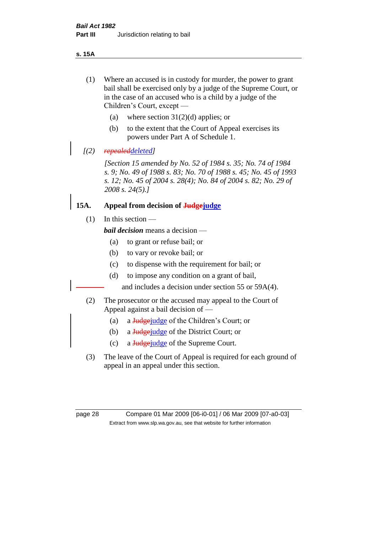**s. 15A**

- (1) Where an accused is in custody for murder, the power to grant bail shall be exercised only by a judge of the Supreme Court, or in the case of an accused who is a child by a judge of the Children's Court, except —
	- (a) where section  $31(2)(d)$  applies; or
	- (b) to the extent that the Court of Appeal exercises its powers under Part A of Schedule 1.
- *[(2) repealeddeleted]*

*[Section 15 amended by No. 52 of 1984 s. 35; No. 74 of 1984 s. 9; No. 49 of 1988 s. 83; No. 70 of 1988 s. 45; No. 45 of 1993 s. 12; No. 45 of 2004 s. 28(4); No. 84 of 2004 s. 82; No. 29 of 2008 s. 24(5).]* 

## **15A. Appeal from decision of Judgejudge**

(1) In this section —

*bail decision* means a decision —

- (a) to grant or refuse bail; or
- (b) to vary or revoke bail; or
- (c) to dispense with the requirement for bail; or
- (d) to impose any condition on a grant of bail,

and includes a decision under section 55 or 59A(4).

- (2) The prosecutor or the accused may appeal to the Court of Appeal against a bail decision of —
	- (a) a Judge judge of the Children's Court; or
	- (b) a Judge judge of the District Court; or
	- (c) a Judgejudge of the Supreme Court.
- (3) The leave of the Court of Appeal is required for each ground of appeal in an appeal under this section.

page 28 Compare 01 Mar 2009 [06-i0-01] / 06 Mar 2009 [07-a0-03] Extract from www.slp.wa.gov.au, see that website for further information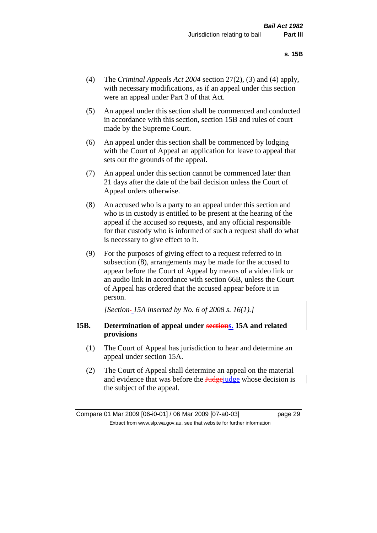- (4) The *Criminal Appeals Act 2004* section 27(2), (3) and (4) apply, with necessary modifications, as if an appeal under this section were an appeal under Part 3 of that Act.
- (5) An appeal under this section shall be commenced and conducted in accordance with this section, section 15B and rules of court made by the Supreme Court.
- (6) An appeal under this section shall be commenced by lodging with the Court of Appeal an application for leave to appeal that sets out the grounds of the appeal.
- (7) An appeal under this section cannot be commenced later than 21 days after the date of the bail decision unless the Court of Appeal orders otherwise.
- (8) An accused who is a party to an appeal under this section and who is in custody is entitled to be present at the hearing of the appeal if the accused so requests, and any official responsible for that custody who is informed of such a request shall do what is necessary to give effect to it.
- (9) For the purposes of giving effect to a request referred to in subsection (8), arrangements may be made for the accused to appear before the Court of Appeal by means of a video link or an audio link in accordance with section 66B, unless the Court of Appeal has ordered that the accused appear before it in person.

*[Section 15A inserted by No. 6 of 2008 s. 16(1).]*

#### **15B. Determination of appeal under sections. 15A and related provisions**

- (1) The Court of Appeal has jurisdiction to hear and determine an appeal under section 15A.
- (2) The Court of Appeal shall determine an appeal on the material and evidence that was before the **Judge**judge whose decision is the subject of the appeal.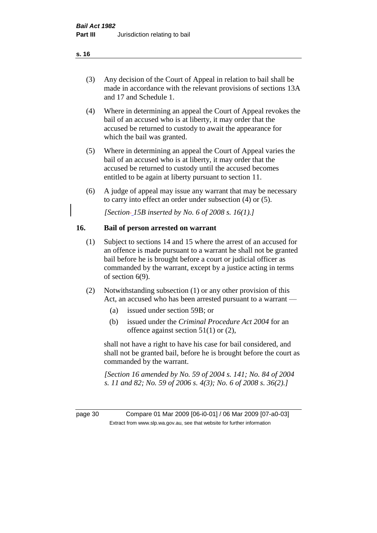(3) Any decision of the Court of Appeal in relation to bail shall be made in accordance with the relevant provisions of sections 13A and 17 and Schedule 1.

- (4) Where in determining an appeal the Court of Appeal revokes the bail of an accused who is at liberty, it may order that the accused be returned to custody to await the appearance for which the bail was granted.
- (5) Where in determining an appeal the Court of Appeal varies the bail of an accused who is at liberty, it may order that the accused be returned to custody until the accused becomes entitled to be again at liberty pursuant to section 11.
- (6) A judge of appeal may issue any warrant that may be necessary to carry into effect an order under subsection (4) or (5).

*[Section 15B inserted by No. 6 of 2008 s. 16(1).]*

## **16. Bail of person arrested on warrant**

- (1) Subject to sections 14 and 15 where the arrest of an accused for an offence is made pursuant to a warrant he shall not be granted bail before he is brought before a court or judicial officer as commanded by the warrant, except by a justice acting in terms of section 6(9).
- (2) Notwithstanding subsection (1) or any other provision of this Act, an accused who has been arrested pursuant to a warrant —
	- (a) issued under section 59B; or
	- (b) issued under the *Criminal Procedure Act 2004* for an offence against section  $51(1)$  or  $(2)$ ,

shall not have a right to have his case for bail considered, and shall not be granted bail, before he is brought before the court as commanded by the warrant.

*[Section 16 amended by No. 59 of 2004 s. 141; No. 84 of 2004 s. 11 and 82; No. 59 of 2006 s. 4(3); No. 6 of 2008 s. 36(2).]*

page 30 Compare 01 Mar 2009 [06-i0-01] / 06 Mar 2009 [07-a0-03] Extract from www.slp.wa.gov.au, see that website for further information

**s. 16**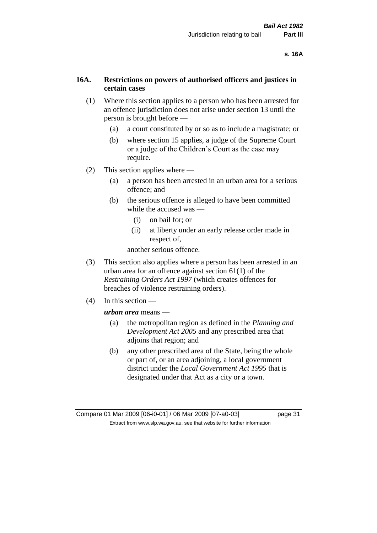### **16A. Restrictions on powers of authorised officers and justices in certain cases**

- (1) Where this section applies to a person who has been arrested for an offence jurisdiction does not arise under section 13 until the person is brought before —
	- (a) a court constituted by or so as to include a magistrate; or
	- (b) where section 15 applies, a judge of the Supreme Court or a judge of the Children's Court as the case may require.
- (2) This section applies where
	- (a) a person has been arrested in an urban area for a serious offence; and
	- (b) the serious offence is alleged to have been committed while the accused was —
		- (i) on bail for; or
		- (ii) at liberty under an early release order made in respect of,

another serious offence.

- (3) This section also applies where a person has been arrested in an urban area for an offence against section 61(1) of the *Restraining Orders Act 1997* (which creates offences for breaches of violence restraining orders).
- (4) In this section —

*urban area* means —

- (a) the metropolitan region as defined in the *Planning and Development Act 2005* and any prescribed area that adjoins that region; and
- (b) any other prescribed area of the State, being the whole or part of, or an area adjoining, a local government district under the *Local Government Act 1995* that is designated under that Act as a city or a town.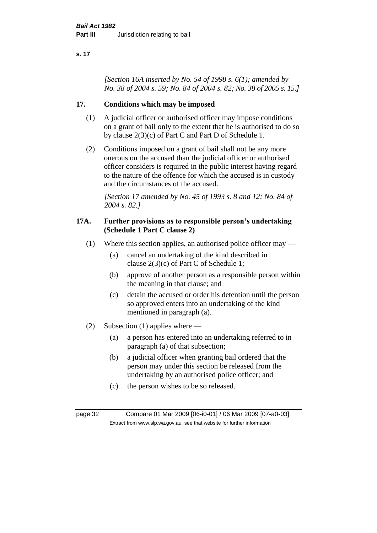*[Section 16A inserted by No. 54 of 1998 s. 6(1); amended by No. 38 of 2004 s. 59; No. 84 of 2004 s. 82; No. 38 of 2005 s. 15.]*

## **17. Conditions which may be imposed**

- (1) A judicial officer or authorised officer may impose conditions on a grant of bail only to the extent that he is authorised to do so by clause 2(3)(c) of Part C and Part D of Schedule 1.
- (2) Conditions imposed on a grant of bail shall not be any more onerous on the accused than the judicial officer or authorised officer considers is required in the public interest having regard to the nature of the offence for which the accused is in custody and the circumstances of the accused.

*[Section 17 amended by No. 45 of 1993 s. 8 and 12; No. 84 of 2004 s. 82.]* 

#### **17A. Further provisions as to responsible person's undertaking (Schedule 1 Part C clause 2)**

- (1) Where this section applies, an authorised police officer may
	- (a) cancel an undertaking of the kind described in clause 2(3)(c) of Part C of Schedule 1;
	- (b) approve of another person as a responsible person within the meaning in that clause; and
	- (c) detain the accused or order his detention until the person so approved enters into an undertaking of the kind mentioned in paragraph (a).
- (2) Subsection (1) applies where
	- (a) a person has entered into an undertaking referred to in paragraph (a) of that subsection;
	- (b) a judicial officer when granting bail ordered that the person may under this section be released from the undertaking by an authorised police officer; and
	- (c) the person wishes to be so released.

page 32 Compare 01 Mar 2009 [06-i0-01] / 06 Mar 2009 [07-a0-03] Extract from www.slp.wa.gov.au, see that website for further information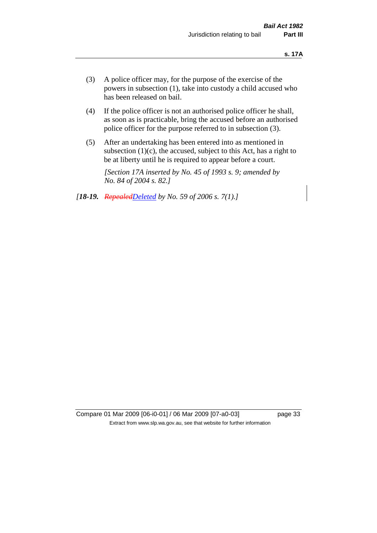- (3) A police officer may, for the purpose of the exercise of the powers in subsection (1), take into custody a child accused who has been released on bail.
- (4) If the police officer is not an authorised police officer he shall, as soon as is practicable, bring the accused before an authorised police officer for the purpose referred to in subsection (3).
- (5) After an undertaking has been entered into as mentioned in subsection  $(1)(c)$ , the accused, subject to this Act, has a right to be at liberty until he is required to appear before a court.

*[Section 17A inserted by No. 45 of 1993 s. 9; amended by No. 84 of 2004 s. 82.]* 

*[18-19. RepealedDeleted by No. 59 of 2006 s. 7(1).]*

Compare 01 Mar 2009 [06-i0-01] / 06 Mar 2009 [07-a0-03] page 33 Extract from www.slp.wa.gov.au, see that website for further information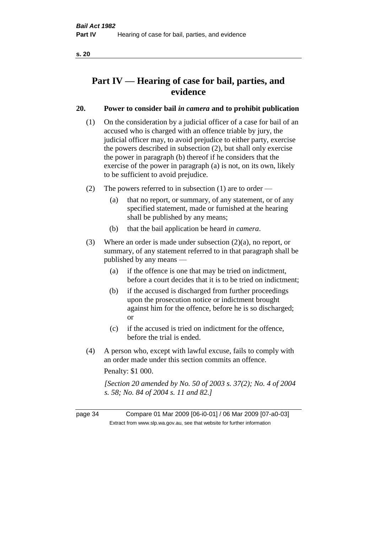## **Part IV — Hearing of case for bail, parties, and evidence**

## **20. Power to consider bail** *in camera* **and to prohibit publication**

- (1) On the consideration by a judicial officer of a case for bail of an accused who is charged with an offence triable by jury, the judicial officer may, to avoid prejudice to either party, exercise the powers described in subsection (2), but shall only exercise the power in paragraph (b) thereof if he considers that the exercise of the power in paragraph (a) is not, on its own, likely to be sufficient to avoid prejudice.
- (2) The powers referred to in subsection (1) are to order
	- (a) that no report, or summary, of any statement, or of any specified statement, made or furnished at the hearing shall be published by any means;
	- (b) that the bail application be heard *in camera*.
- (3) Where an order is made under subsection (2)(a), no report, or summary, of any statement referred to in that paragraph shall be published by any means —
	- (a) if the offence is one that may be tried on indictment, before a court decides that it is to be tried on indictment;
	- (b) if the accused is discharged from further proceedings upon the prosecution notice or indictment brought against him for the offence, before he is so discharged; or
	- (c) if the accused is tried on indictment for the offence, before the trial is ended.
- (4) A person who, except with lawful excuse, fails to comply with an order made under this section commits an offence.

Penalty: \$1 000.

*[Section 20 amended by No. 50 of 2003 s. 37(2); No. 4 of 2004 s. 58; No. 84 of 2004 s. 11 and 82.]*

page 34 Compare 01 Mar 2009 [06-i0-01] / 06 Mar 2009 [07-a0-03] Extract from www.slp.wa.gov.au, see that website for further information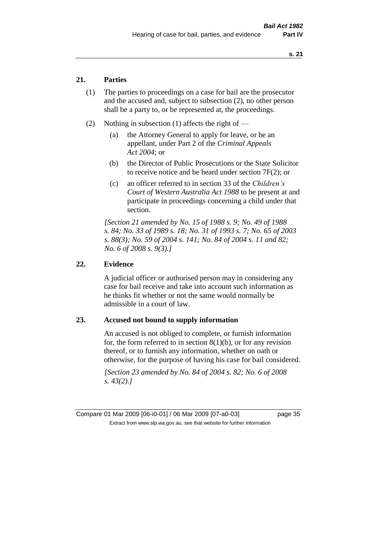## **21. Parties**

- (1) The parties to proceedings on a case for bail are the prosecutor and the accused and, subject to subsection (2), no other person shall be a party to, or be represented at, the proceedings.
- (2) Nothing in subsection (1) affects the right of
	- (a) the Attorney General to apply for leave, or be an appellant, under Part 2 of the *Criminal Appeals Act 2004*; or
	- (b) the Director of Public Prosecutions or the State Solicitor to receive notice and be heard under section 7F(2); or
	- (c) an officer referred to in section 33 of the *Children's Court of Western Australia Act 1988* to be present at and participate in proceedings concerning a child under that section.

*[Section 21 amended by No. 15 of 1988 s. 9; No. 49 of 1988 s. 84; No. 33 of 1989 s. 18; No. 31 of 1993 s. 7; No. 65 of 2003 s. 88(3); No. 59 of 2004 s. 141; No. 84 of 2004 s. 11 and 82; No. 6 of 2008 s. 9(3).]* 

#### **22. Evidence**

A judicial officer or authorised person may in considering any case for bail receive and take into account such information as he thinks fit whether or not the same would normally be admissible in a court of law.

#### **23. Accused not bound to supply information**

An accused is not obliged to complete, or furnish information for, the form referred to in section  $8(1)(b)$ , or for any revision thereof, or to furnish any information, whether on oath or otherwise, for the purpose of having his case for bail considered.

*[Section 23 amended by No. 84 of 2004 s. 82; No. 6 of 2008 s. 43(2).]* 

Compare 01 Mar 2009 [06-i0-01] / 06 Mar 2009 [07-a0-03] page 35 Extract from www.slp.wa.gov.au, see that website for further information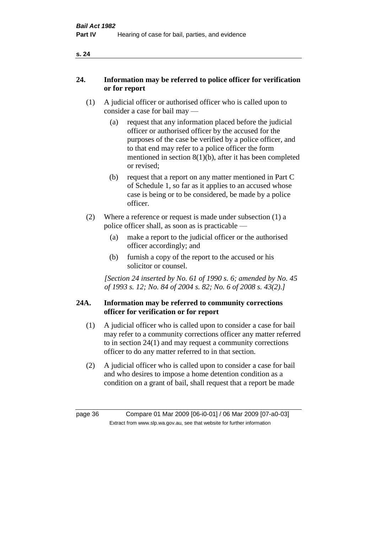## **24. Information may be referred to police officer for verification or for report**

- (1) A judicial officer or authorised officer who is called upon to consider a case for bail may —
	- (a) request that any information placed before the judicial officer or authorised officer by the accused for the purposes of the case be verified by a police officer, and to that end may refer to a police officer the form mentioned in section 8(1)(b), after it has been completed or revised;
	- (b) request that a report on any matter mentioned in Part C of Schedule 1, so far as it applies to an accused whose case is being or to be considered, be made by a police officer.
- (2) Where a reference or request is made under subsection (1) a police officer shall, as soon as is practicable —
	- (a) make a report to the judicial officer or the authorised officer accordingly; and
	- (b) furnish a copy of the report to the accused or his solicitor or counsel.

*[Section 24 inserted by No. 61 of 1990 s. 6; amended by No. 45 of 1993 s. 12; No. 84 of 2004 s. 82; No. 6 of 2008 s. 43(2).]* 

## **24A. Information may be referred to community corrections officer for verification or for report**

- (1) A judicial officer who is called upon to consider a case for bail may refer to a community corrections officer any matter referred to in section 24(1) and may request a community corrections officer to do any matter referred to in that section.
- (2) A judicial officer who is called upon to consider a case for bail and who desires to impose a home detention condition as a condition on a grant of bail, shall request that a report be made

page 36 Compare 01 Mar 2009 [06-i0-01] / 06 Mar 2009 [07-a0-03] Extract from www.slp.wa.gov.au, see that website for further information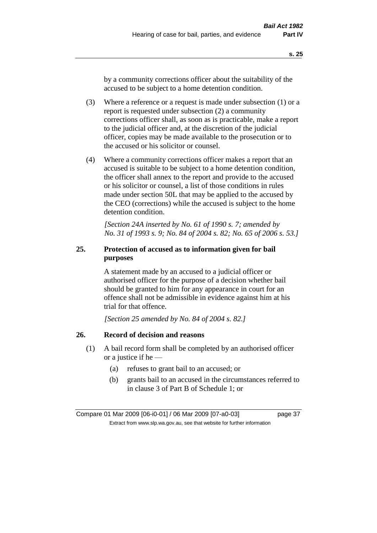by a community corrections officer about the suitability of the accused to be subject to a home detention condition.

- (3) Where a reference or a request is made under subsection (1) or a report is requested under subsection (2) a community corrections officer shall, as soon as is practicable, make a report to the judicial officer and, at the discretion of the judicial officer, copies may be made available to the prosecution or to the accused or his solicitor or counsel.
- (4) Where a community corrections officer makes a report that an accused is suitable to be subject to a home detention condition, the officer shall annex to the report and provide to the accused or his solicitor or counsel, a list of those conditions in rules made under section 50L that may be applied to the accused by the CEO (corrections) while the accused is subject to the home detention condition.

*[Section 24A inserted by No. 61 of 1990 s. 7; amended by No. 31 of 1993 s. 9; No. 84 of 2004 s. 82; No. 65 of 2006 s. 53.]* 

## **25. Protection of accused as to information given for bail purposes**

A statement made by an accused to a judicial officer or authorised officer for the purpose of a decision whether bail should be granted to him for any appearance in court for an offence shall not be admissible in evidence against him at his trial for that offence.

*[Section 25 amended by No. 84 of 2004 s. 82.]* 

## **26. Record of decision and reasons**

- (1) A bail record form shall be completed by an authorised officer or a justice if he —
	- (a) refuses to grant bail to an accused; or
	- (b) grants bail to an accused in the circumstances referred to in clause 3 of Part B of Schedule 1; or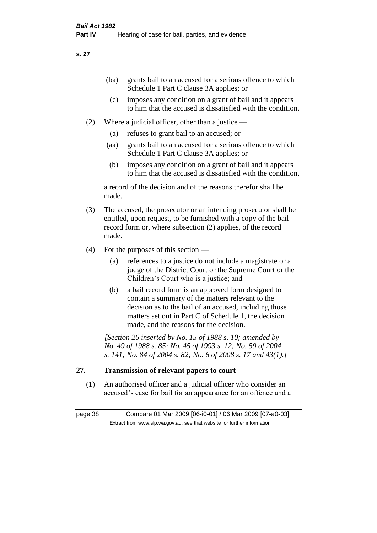| (ba) | grants bail to an accused for a serious offence to which |
|------|----------------------------------------------------------|
|      | Schedule 1 Part C clause 3A applies; or                  |

- (c) imposes any condition on a grant of bail and it appears to him that the accused is dissatisfied with the condition.
- (2) Where a judicial officer, other than a justice
	- (a) refuses to grant bail to an accused; or
	- (aa) grants bail to an accused for a serious offence to which Schedule 1 Part C clause 3A applies; or
	- (b) imposes any condition on a grant of bail and it appears to him that the accused is dissatisfied with the condition,

a record of the decision and of the reasons therefor shall be made.

- (3) The accused, the prosecutor or an intending prosecutor shall be entitled, upon request, to be furnished with a copy of the bail record form or, where subsection (2) applies, of the record made.
- (4) For the purposes of this section
	- (a) references to a justice do not include a magistrate or a judge of the District Court or the Supreme Court or the Children's Court who is a justice; and
	- (b) a bail record form is an approved form designed to contain a summary of the matters relevant to the decision as to the bail of an accused, including those matters set out in Part C of Schedule 1, the decision made, and the reasons for the decision.

*[Section 26 inserted by No. 15 of 1988 s. 10; amended by No. 49 of 1988 s. 85; No. 45 of 1993 s. 12; No. 59 of 2004 s. 141; No. 84 of 2004 s. 82; No. 6 of 2008 s. 17 and 43(1).]* 

## **27. Transmission of relevant papers to court**

(1) An authorised officer and a judicial officer who consider an accused's case for bail for an appearance for an offence and a

page 38 Compare 01 Mar 2009 [06-i0-01] / 06 Mar 2009 [07-a0-03] Extract from www.slp.wa.gov.au, see that website for further information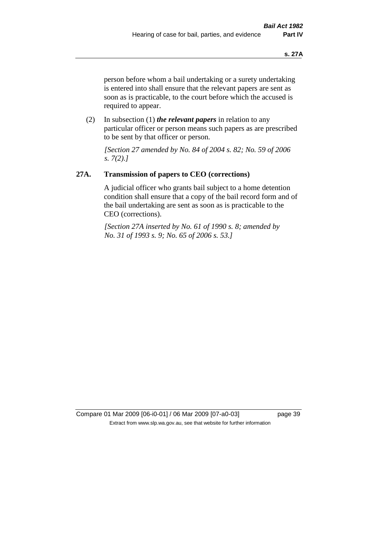person before whom a bail undertaking or a surety undertaking is entered into shall ensure that the relevant papers are sent as soon as is practicable, to the court before which the accused is required to appear.

(2) In subsection (1) *the relevant papers* in relation to any particular officer or person means such papers as are prescribed to be sent by that officer or person.

*[Section 27 amended by No. 84 of 2004 s. 82; No. 59 of 2006 s. 7(2).]* 

## **27A. Transmission of papers to CEO (corrections)**

A judicial officer who grants bail subject to a home detention condition shall ensure that a copy of the bail record form and of the bail undertaking are sent as soon as is practicable to the CEO (corrections).

*[Section 27A inserted by No. 61 of 1990 s. 8; amended by No. 31 of 1993 s. 9; No. 65 of 2006 s. 53.]* 

Compare 01 Mar 2009 [06-i0-01] / 06 Mar 2009 [07-a0-03] page 39 Extract from www.slp.wa.gov.au, see that website for further information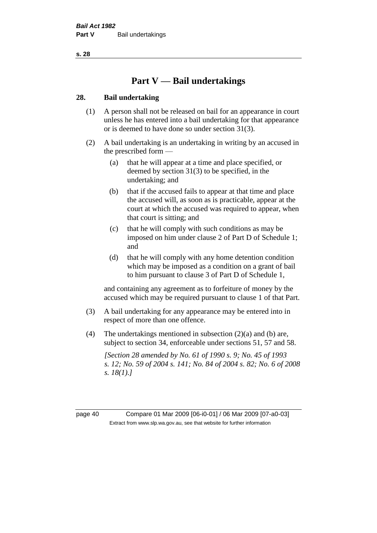# **Part V — Bail undertakings**

## **28. Bail undertaking**

- (1) A person shall not be released on bail for an appearance in court unless he has entered into a bail undertaking for that appearance or is deemed to have done so under section 31(3).
- (2) A bail undertaking is an undertaking in writing by an accused in the prescribed form —
	- (a) that he will appear at a time and place specified, or deemed by section 31(3) to be specified, in the undertaking; and
	- (b) that if the accused fails to appear at that time and place the accused will, as soon as is practicable, appear at the court at which the accused was required to appear, when that court is sitting; and
	- (c) that he will comply with such conditions as may be imposed on him under clause 2 of Part D of Schedule 1; and
	- (d) that he will comply with any home detention condition which may be imposed as a condition on a grant of bail to him pursuant to clause 3 of Part D of Schedule 1,

and containing any agreement as to forfeiture of money by the accused which may be required pursuant to clause 1 of that Part.

- (3) A bail undertaking for any appearance may be entered into in respect of more than one offence.
- (4) The undertakings mentioned in subsection  $(2)(a)$  and  $(b)$  are, subject to section 34, enforceable under sections 51, 57 and 58.

*[Section 28 amended by No. 61 of 1990 s. 9; No. 45 of 1993 s. 12; No. 59 of 2004 s. 141; No. 84 of 2004 s. 82; No. 6 of 2008 s. 18(1).]* 

page 40 Compare 01 Mar 2009 [06-i0-01] / 06 Mar 2009 [07-a0-03] Extract from www.slp.wa.gov.au, see that website for further information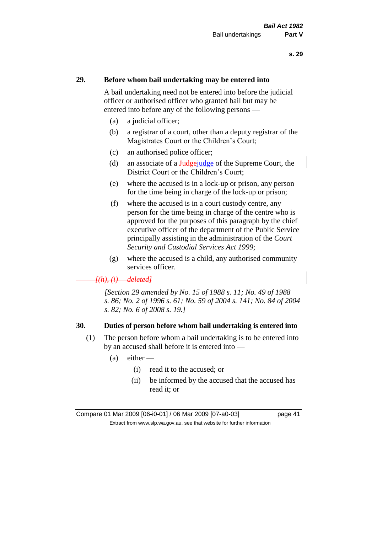### **29. Before whom bail undertaking may be entered into**

A bail undertaking need not be entered into before the judicial officer or authorised officer who granted bail but may be entered into before any of the following persons —

- (a) a judicial officer;
- (b) a registrar of a court, other than a deputy registrar of the Magistrates Court or the Children's Court;
- (c) an authorised police officer;
- (d) an associate of a  $\frac{J_{\text{u}}}{J_{\text{u}}}\text{diag}$  of the Supreme Court, the District Court or the Children's Court;
- (e) where the accused is in a lock-up or prison, any person for the time being in charge of the lock-up or prison;
- (f) where the accused is in a court custody centre, any person for the time being in charge of the centre who is approved for the purposes of this paragraph by the chief executive officer of the department of the Public Service principally assisting in the administration of the *Court Security and Custodial Services Act 1999*;
- (g) where the accused is a child, any authorised community services officer.

#### *[(h), (i) deleted]*

*[Section 29 amended by No. 15 of 1988 s. 11; No. 49 of 1988 s. 86; No. 2 of 1996 s. 61; No. 59 of 2004 s. 141; No. 84 of 2004 s. 82; No. 6 of 2008 s. 19.]* 

#### **30. Duties of person before whom bail undertaking is entered into**

- (1) The person before whom a bail undertaking is to be entered into by an accused shall before it is entered into —
	- $(a)$  either
		- (i) read it to the accused; or
		- (ii) be informed by the accused that the accused has read it; or

Compare 01 Mar 2009 [06-i0-01] / 06 Mar 2009 [07-a0-03] page 41 Extract from www.slp.wa.gov.au, see that website for further information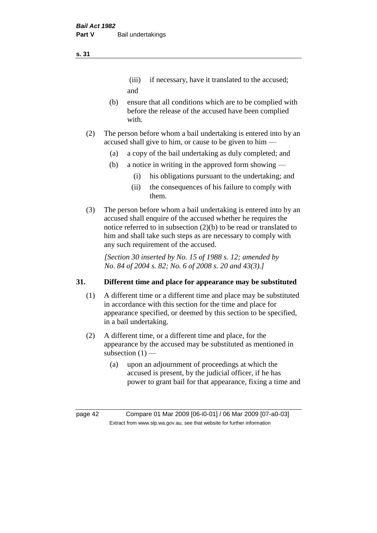# (iii) if necessary, have it translated to the accused; and

- (b) ensure that all conditions which are to be complied with before the release of the accused have been complied with.
- (2) The person before whom a bail undertaking is entered into by an accused shall give to him, or cause to be given to him —
	- (a) a copy of the bail undertaking as duly completed; and
	- (b) a notice in writing in the approved form showing
		- (i) his obligations pursuant to the undertaking; and
		- (ii) the consequences of his failure to comply with them.
- (3) The person before whom a bail undertaking is entered into by an accused shall enquire of the accused whether he requires the notice referred to in subsection (2)(b) to be read or translated to him and shall take such steps as are necessary to comply with any such requirement of the accused.

*[Section 30 inserted by No. 15 of 1988 s. 12; amended by No. 84 of 2004 s. 82; No. 6 of 2008 s. 20 and 43(3).]* 

## **31. Different time and place for appearance may be substituted**

- (1) A different time or a different time and place may be substituted in accordance with this section for the time and place for appearance specified, or deemed by this section to be specified, in a bail undertaking.
- (2) A different time, or a different time and place, for the appearance by the accused may be substituted as mentioned in subsection  $(1)$  —
	- (a) upon an adjournment of proceedings at which the accused is present, by the judicial officer, if he has power to grant bail for that appearance, fixing a time and

page 42 Compare 01 Mar 2009 [06-i0-01] / 06 Mar 2009 [07-a0-03] Extract from www.slp.wa.gov.au, see that website for further information

**s. 31**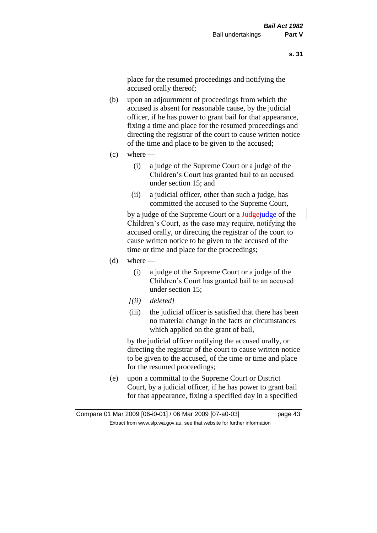place for the resumed proceedings and notifying the accused orally thereof;

- (b) upon an adjournment of proceedings from which the accused is absent for reasonable cause, by the judicial officer, if he has power to grant bail for that appearance, fixing a time and place for the resumed proceedings and directing the registrar of the court to cause written notice of the time and place to be given to the accused;
- $(c)$  where
	- (i) a judge of the Supreme Court or a judge of the Children's Court has granted bail to an accused under section 15; and
	- (ii) a judicial officer, other than such a judge, has committed the accused to the Supreme Court,

by a judge of the Supreme Court or a Judge-judge of the Children's Court, as the case may require, notifying the accused orally, or directing the registrar of the court to cause written notice to be given to the accused of the time or time and place for the proceedings;

- $(d)$  where
	- (i) a judge of the Supreme Court or a judge of the Children's Court has granted bail to an accused under section 15;
	- *[(ii) deleted]*
	- (iii) the judicial officer is satisfied that there has been no material change in the facts or circumstances which applied on the grant of bail,

by the judicial officer notifying the accused orally, or directing the registrar of the court to cause written notice to be given to the accused, of the time or time and place for the resumed proceedings;

(e) upon a committal to the Supreme Court or District Court, by a judicial officer, if he has power to grant bail for that appearance, fixing a specified day in a specified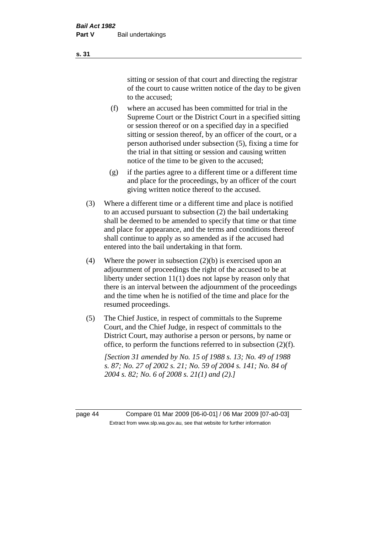sitting or session of that court and directing the registrar of the court to cause written notice of the day to be given to the accused;

- (f) where an accused has been committed for trial in the Supreme Court or the District Court in a specified sitting or session thereof or on a specified day in a specified sitting or session thereof, by an officer of the court, or a person authorised under subsection (5), fixing a time for the trial in that sitting or session and causing written notice of the time to be given to the accused;
- (g) if the parties agree to a different time or a different time and place for the proceedings, by an officer of the court giving written notice thereof to the accused.
- (3) Where a different time or a different time and place is notified to an accused pursuant to subsection (2) the bail undertaking shall be deemed to be amended to specify that time or that time and place for appearance, and the terms and conditions thereof shall continue to apply as so amended as if the accused had entered into the bail undertaking in that form.
- (4) Where the power in subsection (2)(b) is exercised upon an adjournment of proceedings the right of the accused to be at liberty under section 11(1) does not lapse by reason only that there is an interval between the adjournment of the proceedings and the time when he is notified of the time and place for the resumed proceedings.
- (5) The Chief Justice, in respect of committals to the Supreme Court, and the Chief Judge, in respect of committals to the District Court, may authorise a person or persons, by name or office, to perform the functions referred to in subsection (2)(f).

*[Section 31 amended by No. 15 of 1988 s. 13; No. 49 of 1988 s. 87; No. 27 of 2002 s. 21; No. 59 of 2004 s. 141; No. 84 of 2004 s. 82; No. 6 of 2008 s. 21(1) and (2).]* 

page 44 Compare 01 Mar 2009 [06-i0-01] / 06 Mar 2009 [07-a0-03] Extract from www.slp.wa.gov.au, see that website for further information

**s. 31**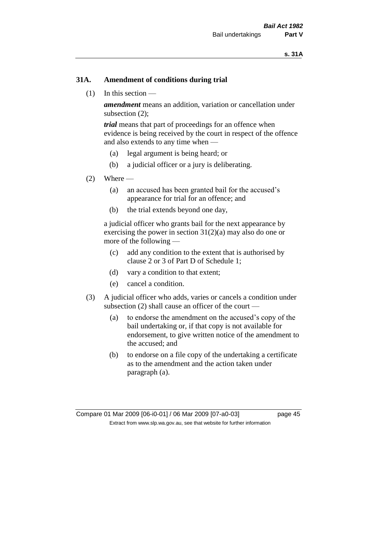## **31A. Amendment of conditions during trial**

(1) In this section —

*amendment* means an addition, variation or cancellation under subsection (2);

*trial* means that part of proceedings for an offence when evidence is being received by the court in respect of the offence and also extends to any time when —

- (a) legal argument is being heard; or
- (b) a judicial officer or a jury is deliberating.

#### $(2)$  Where —

- (a) an accused has been granted bail for the accused's appearance for trial for an offence; and
- (b) the trial extends beyond one day,

a judicial officer who grants bail for the next appearance by exercising the power in section  $31(2)(a)$  may also do one or more of the following —

- (c) add any condition to the extent that is authorised by clause 2 or 3 of Part D of Schedule 1;
- (d) vary a condition to that extent;
- (e) cancel a condition.
- (3) A judicial officer who adds, varies or cancels a condition under subsection (2) shall cause an officer of the court —
	- (a) to endorse the amendment on the accused's copy of the bail undertaking or, if that copy is not available for endorsement, to give written notice of the amendment to the accused; and
	- (b) to endorse on a file copy of the undertaking a certificate as to the amendment and the action taken under paragraph (a).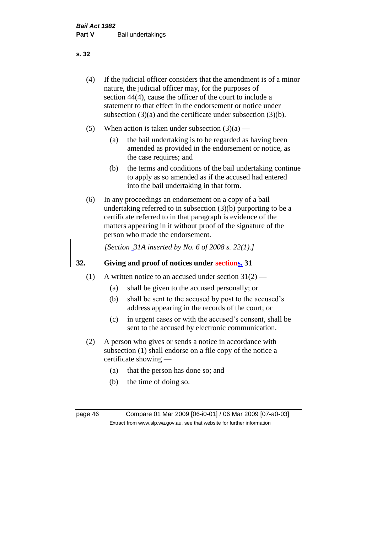(4) If the judicial officer considers that the amendment is of a minor nature, the judicial officer may, for the purposes of section 44(4), cause the officer of the court to include a statement to that effect in the endorsement or notice under subsection (3)(a) and the certificate under subsection (3)(b).

- (5) When action is taken under subsection  $(3)(a)$ 
	- (a) the bail undertaking is to be regarded as having been amended as provided in the endorsement or notice, as the case requires; and
	- (b) the terms and conditions of the bail undertaking continue to apply as so amended as if the accused had entered into the bail undertaking in that form.
- (6) In any proceedings an endorsement on a copy of a bail undertaking referred to in subsection (3)(b) purporting to be a certificate referred to in that paragraph is evidence of the matters appearing in it without proof of the signature of the person who made the endorsement.

*[Section 31A inserted by No. 6 of 2008 s. 22(1).]*

## **32. Giving and proof of notices under sections. 31**

- (1) A written notice to an accused under section  $31(2)$ 
	- (a) shall be given to the accused personally; or
	- (b) shall be sent to the accused by post to the accused's address appearing in the records of the court; or
	- (c) in urgent cases or with the accused's consent, shall be sent to the accused by electronic communication.
- (2) A person who gives or sends a notice in accordance with subsection (1) shall endorse on a file copy of the notice a certificate showing —
	- (a) that the person has done so; and
	- (b) the time of doing so.

page 46 Compare 01 Mar 2009 [06-i0-01] / 06 Mar 2009 [07-a0-03] Extract from www.slp.wa.gov.au, see that website for further information

#### **s. 32**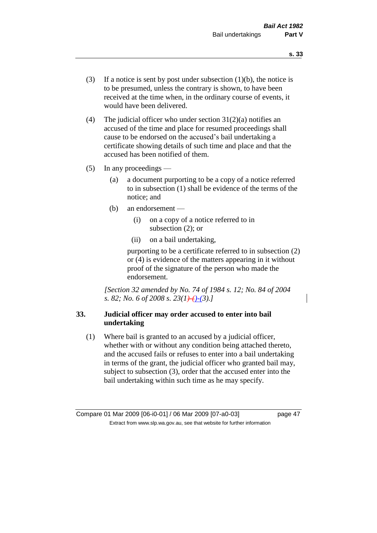- (3) If a notice is sent by post under subsection  $(1)(b)$ , the notice is to be presumed, unless the contrary is shown, to have been received at the time when, in the ordinary course of events, it would have been delivered.
- (4) The judicial officer who under section  $31(2)(a)$  notifies an accused of the time and place for resumed proceedings shall cause to be endorsed on the accused's bail undertaking a certificate showing details of such time and place and that the accused has been notified of them.
- (5) In any proceedings
	- (a) a document purporting to be a copy of a notice referred to in subsection (1) shall be evidence of the terms of the notice; and
	- (b) an endorsement
		- (i) on a copy of a notice referred to in subsection (2); or
		- (ii) on a bail undertaking,

purporting to be a certificate referred to in subsection (2) or (4) is evidence of the matters appearing in it without proof of the signature of the person who made the endorsement.

*[Section 32 amended by No. 74 of 1984 s. 12; No. 84 of 2004 s. 82; No. 6 of 2008 s. 23(1)-()-(3).]* 

## **33. Judicial officer may order accused to enter into bail undertaking**

(1) Where bail is granted to an accused by a judicial officer, whether with or without any condition being attached thereto, and the accused fails or refuses to enter into a bail undertaking in terms of the grant, the judicial officer who granted bail may, subject to subsection (3), order that the accused enter into the bail undertaking within such time as he may specify.

Compare 01 Mar 2009 [06-i0-01] / 06 Mar 2009 [07-a0-03] page 47 Extract from www.slp.wa.gov.au, see that website for further information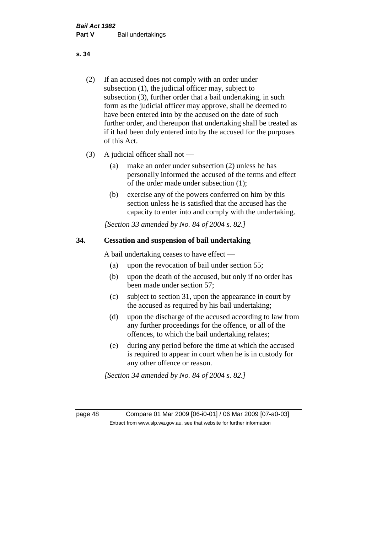- (2) If an accused does not comply with an order under subsection (1), the judicial officer may, subject to subsection (3), further order that a bail undertaking, in such form as the judicial officer may approve, shall be deemed to have been entered into by the accused on the date of such further order, and thereupon that undertaking shall be treated as if it had been duly entered into by the accused for the purposes of this Act.
- (3) A judicial officer shall not
	- (a) make an order under subsection (2) unless he has personally informed the accused of the terms and effect of the order made under subsection (1);
	- (b) exercise any of the powers conferred on him by this section unless he is satisfied that the accused has the capacity to enter into and comply with the undertaking.

*[Section 33 amended by No. 84 of 2004 s. 82.]* 

### **34. Cessation and suspension of bail undertaking**

A bail undertaking ceases to have effect —

- (a) upon the revocation of bail under section 55;
- (b) upon the death of the accused, but only if no order has been made under section 57;
- (c) subject to section 31, upon the appearance in court by the accused as required by his bail undertaking;
- (d) upon the discharge of the accused according to law from any further proceedings for the offence, or all of the offences, to which the bail undertaking relates;
- (e) during any period before the time at which the accused is required to appear in court when he is in custody for any other offence or reason.

*[Section 34 amended by No. 84 of 2004 s. 82.]* 

page 48 Compare 01 Mar 2009 [06-i0-01] / 06 Mar 2009 [07-a0-03] Extract from www.slp.wa.gov.au, see that website for further information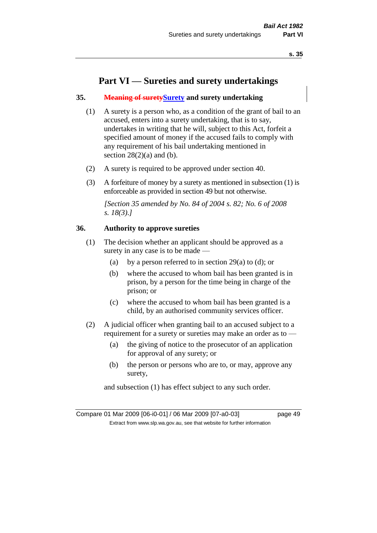# **Part VI — Sureties and surety undertakings**

## **35. Meaning of suretySurety and surety undertaking**

- (1) A surety is a person who, as a condition of the grant of bail to an accused, enters into a surety undertaking, that is to say, undertakes in writing that he will, subject to this Act, forfeit a specified amount of money if the accused fails to comply with any requirement of his bail undertaking mentioned in section  $28(2)(a)$  and (b).
- (2) A surety is required to be approved under section 40.
- (3) A forfeiture of money by a surety as mentioned in subsection (1) is enforceable as provided in section 49 but not otherwise.

*[Section 35 amended by No. 84 of 2004 s. 82; No. 6 of 2008 s. 18(3).]* 

## **36. Authority to approve sureties**

- (1) The decision whether an applicant should be approved as a surety in any case is to be made —
	- (a) by a person referred to in section 29(a) to (d); or
	- (b) where the accused to whom bail has been granted is in prison, by a person for the time being in charge of the prison; or
	- (c) where the accused to whom bail has been granted is a child, by an authorised community services officer.
- (2) A judicial officer when granting bail to an accused subject to a requirement for a surety or sureties may make an order as to —
	- (a) the giving of notice to the prosecutor of an application for approval of any surety; or
	- (b) the person or persons who are to, or may, approve any surety,

and subsection (1) has effect subject to any such order.

Compare 01 Mar 2009 [06-i0-01] / 06 Mar 2009 [07-a0-03] page 49 Extract from www.slp.wa.gov.au, see that website for further information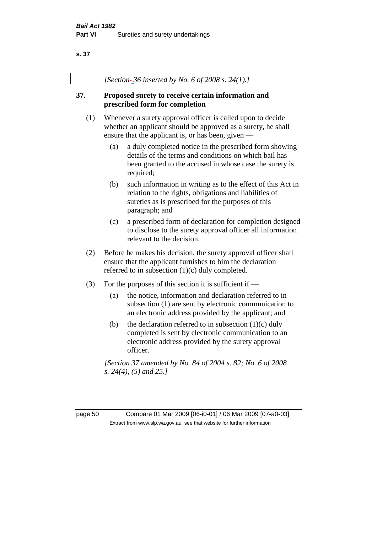*[Section 36 inserted by No. 6 of 2008 s. 24(1).]*

## **37. Proposed surety to receive certain information and prescribed form for completion**

- (1) Whenever a surety approval officer is called upon to decide whether an applicant should be approved as a surety, he shall ensure that the applicant is, or has been, given —
	- (a) a duly completed notice in the prescribed form showing details of the terms and conditions on which bail has been granted to the accused in whose case the surety is required;
	- (b) such information in writing as to the effect of this Act in relation to the rights, obligations and liabilities of sureties as is prescribed for the purposes of this paragraph; and
	- (c) a prescribed form of declaration for completion designed to disclose to the surety approval officer all information relevant to the decision.
- (2) Before he makes his decision, the surety approval officer shall ensure that the applicant furnishes to him the declaration referred to in subsection (1)(c) duly completed.
- (3) For the purposes of this section it is sufficient if  $-$ 
	- (a) the notice, information and declaration referred to in subsection (1) are sent by electronic communication to an electronic address provided by the applicant; and
	- (b) the declaration referred to in subsection  $(1)(c)$  duly completed is sent by electronic communication to an electronic address provided by the surety approval officer.

*[Section 37 amended by No. 84 of 2004 s. 82; No. 6 of 2008 s. 24(4), (5) and 25.]* 

page 50 Compare 01 Mar 2009 [06-i0-01] / 06 Mar 2009 [07-a0-03] Extract from www.slp.wa.gov.au, see that website for further information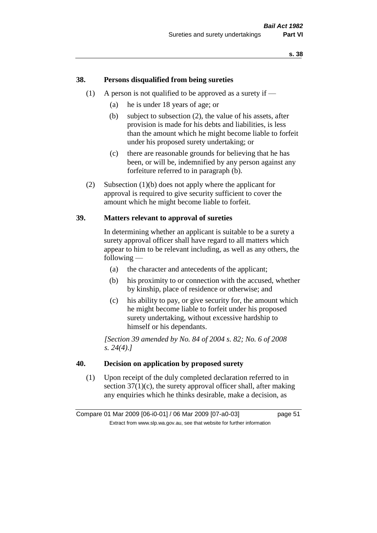## **38. Persons disqualified from being sureties**

- (1) A person is not qualified to be approved as a surety if  $-$ 
	- (a) he is under 18 years of age; or
	- (b) subject to subsection (2), the value of his assets, after provision is made for his debts and liabilities, is less than the amount which he might become liable to forfeit under his proposed surety undertaking; or
	- (c) there are reasonable grounds for believing that he has been, or will be, indemnified by any person against any forfeiture referred to in paragraph (b).
- (2) Subsection (1)(b) does not apply where the applicant for approval is required to give security sufficient to cover the amount which he might become liable to forfeit.

#### **39. Matters relevant to approval of sureties**

In determining whether an applicant is suitable to be a surety a surety approval officer shall have regard to all matters which appear to him to be relevant including, as well as any others, the following —

- (a) the character and antecedents of the applicant;
- (b) his proximity to or connection with the accused, whether by kinship, place of residence or otherwise; and
- (c) his ability to pay, or give security for, the amount which he might become liable to forfeit under his proposed surety undertaking, without excessive hardship to himself or his dependants.

*[Section 39 amended by No. 84 of 2004 s. 82; No. 6 of 2008 s. 24(4).]* 

#### **40. Decision on application by proposed surety**

(1) Upon receipt of the duly completed declaration referred to in section  $37(1)(c)$ , the surety approval officer shall, after making any enquiries which he thinks desirable, make a decision, as

Compare 01 Mar 2009 [06-i0-01] / 06 Mar 2009 [07-a0-03] page 51 Extract from www.slp.wa.gov.au, see that website for further information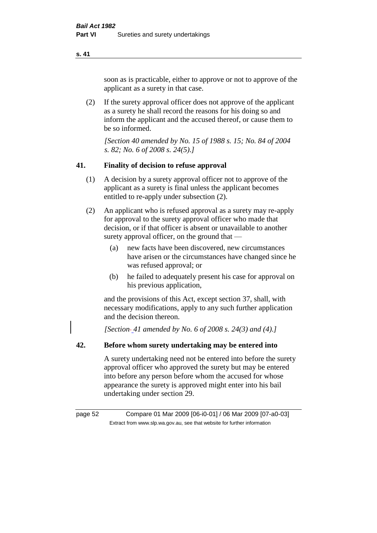soon as is practicable, either to approve or not to approve of the applicant as a surety in that case.

(2) If the surety approval officer does not approve of the applicant as a surety he shall record the reasons for his doing so and inform the applicant and the accused thereof, or cause them to be so informed.

*[Section 40 amended by No. 15 of 1988 s. 15; No. 84 of 2004 s. 82; No. 6 of 2008 s. 24(5).]* 

## **41. Finality of decision to refuse approval**

- (1) A decision by a surety approval officer not to approve of the applicant as a surety is final unless the applicant becomes entitled to re-apply under subsection (2).
- (2) An applicant who is refused approval as a surety may re-apply for approval to the surety approval officer who made that decision, or if that officer is absent or unavailable to another surety approval officer, on the ground that —
	- (a) new facts have been discovered, new circumstances have arisen or the circumstances have changed since he was refused approval; or
	- (b) he failed to adequately present his case for approval on his previous application,

and the provisions of this Act, except section 37, shall, with necessary modifications, apply to any such further application and the decision thereon.

*[Section 41 amended by No. 6 of 2008 s. 24(3) and (4).]*

## **42. Before whom surety undertaking may be entered into**

A surety undertaking need not be entered into before the surety approval officer who approved the surety but may be entered into before any person before whom the accused for whose appearance the surety is approved might enter into his bail undertaking under section 29.

page 52 Compare 01 Mar 2009 [06-i0-01] / 06 Mar 2009 [07-a0-03] Extract from www.slp.wa.gov.au, see that website for further information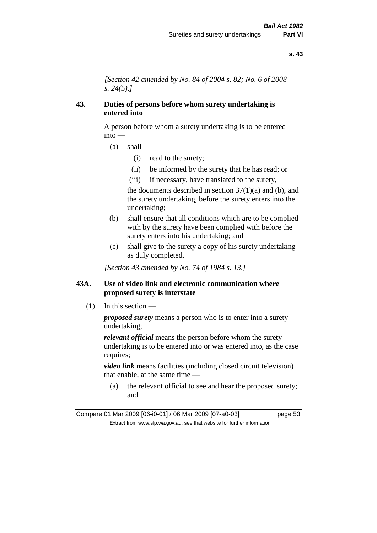*[Section 42 amended by No. 84 of 2004 s. 82; No. 6 of 2008 s. 24(5).]* 

## **43. Duties of persons before whom surety undertaking is entered into**

A person before whom a surety undertaking is to be entered into —

- $(a)$  shall
	- (i) read to the surety;
	- (ii) be informed by the surety that he has read; or
	- (iii) if necessary, have translated to the surety,

the documents described in section  $37(1)(a)$  and (b), and the surety undertaking, before the surety enters into the undertaking;

- (b) shall ensure that all conditions which are to be complied with by the surety have been complied with before the surety enters into his undertaking; and
- (c) shall give to the surety a copy of his surety undertaking as duly completed.

*[Section 43 amended by No. 74 of 1984 s. 13.]* 

## **43A. Use of video link and electronic communication where proposed surety is interstate**

(1) In this section —

*proposed surety* means a person who is to enter into a surety undertaking;

*relevant official* means the person before whom the surety undertaking is to be entered into or was entered into, as the case requires;

*video link* means facilities (including closed circuit television) that enable, at the same time —

(a) the relevant official to see and hear the proposed surety; and

Compare 01 Mar 2009 [06-i0-01] / 06 Mar 2009 [07-a0-03] page 53 Extract from www.slp.wa.gov.au, see that website for further information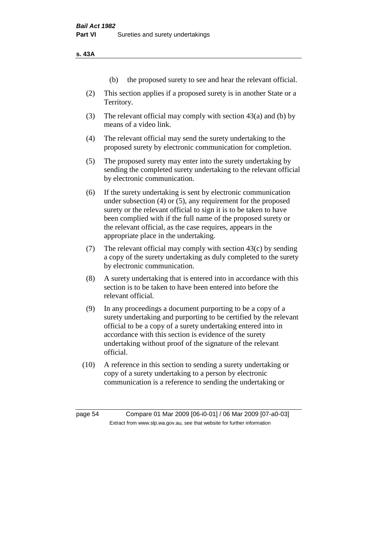**s. 43A**

- (b) the proposed surety to see and hear the relevant official.
- (2) This section applies if a proposed surety is in another State or a Territory.
- (3) The relevant official may comply with section 43(a) and (b) by means of a video link.
- (4) The relevant official may send the surety undertaking to the proposed surety by electronic communication for completion.
- (5) The proposed surety may enter into the surety undertaking by sending the completed surety undertaking to the relevant official by electronic communication.
- (6) If the surety undertaking is sent by electronic communication under subsection (4) or (5), any requirement for the proposed surety or the relevant official to sign it is to be taken to have been complied with if the full name of the proposed surety or the relevant official, as the case requires, appears in the appropriate place in the undertaking.
- (7) The relevant official may comply with section 43(c) by sending a copy of the surety undertaking as duly completed to the surety by electronic communication.
- (8) A surety undertaking that is entered into in accordance with this section is to be taken to have been entered into before the relevant official.
- (9) In any proceedings a document purporting to be a copy of a surety undertaking and purporting to be certified by the relevant official to be a copy of a surety undertaking entered into in accordance with this section is evidence of the surety undertaking without proof of the signature of the relevant official.
- (10) A reference in this section to sending a surety undertaking or copy of a surety undertaking to a person by electronic communication is a reference to sending the undertaking or

page 54 Compare 01 Mar 2009 [06-i0-01] / 06 Mar 2009 [07-a0-03] Extract from www.slp.wa.gov.au, see that website for further information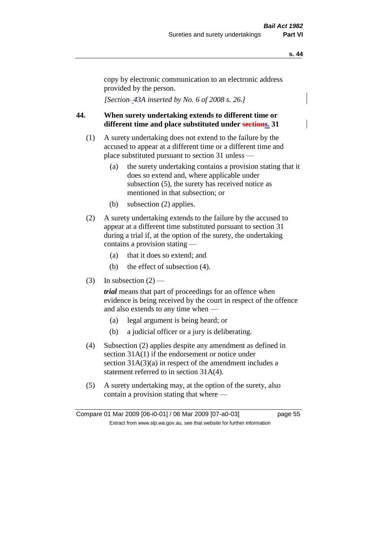copy by electronic communication to an electronic address provided by the person.

*[Section 43A inserted by No. 6 of 2008 s. 26.]*

## **44. When surety undertaking extends to different time or different time and place substituted under sections. 31**

- (1) A surety undertaking does not extend to the failure by the accused to appear at a different time or a different time and place substituted pursuant to section 31 unless —
	- (a) the surety undertaking contains a provision stating that it does so extend and, where applicable under subsection (5), the surety has received notice as mentioned in that subsection; or
	- (b) subsection (2) applies.
- (2) A surety undertaking extends to the failure by the accused to appear at a different time substituted pursuant to section 31 during a trial if, at the option of the surety, the undertaking contains a provision stating —
	- (a) that it does so extend; and
	- (b) the effect of subsection (4).
- (3) In subsection  $(2)$  —

*trial* means that part of proceedings for an offence when evidence is being received by the court in respect of the offence and also extends to any time when —

- (a) legal argument is being heard; or
- (b) a judicial officer or a jury is deliberating.
- (4) Subsection (2) applies despite any amendment as defined in section 31A(1) if the endorsement or notice under section  $31A(3)(a)$  in respect of the amendment includes a statement referred to in section 31A(4).
- (5) A surety undertaking may, at the option of the surety, also contain a provision stating that where —

Compare 01 Mar 2009 [06-i0-01] / 06 Mar 2009 [07-a0-03] page 55 Extract from www.slp.wa.gov.au, see that website for further information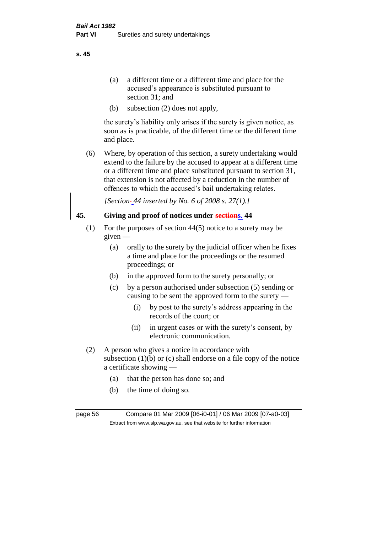- (a) a different time or a different time and place for the accused's appearance is substituted pursuant to section 31; and
- (b) subsection (2) does not apply,

the surety's liability only arises if the surety is given notice, as soon as is practicable, of the different time or the different time and place.

(6) Where, by operation of this section, a surety undertaking would extend to the failure by the accused to appear at a different time or a different time and place substituted pursuant to section 31, that extension is not affected by a reduction in the number of offences to which the accused's bail undertaking relates.

*[Section 44 inserted by No. 6 of 2008 s. 27(1).]*

## **45. Giving and proof of notices under sections. 44**

- (1) For the purposes of section 44(5) notice to a surety may be given —
	- (a) orally to the surety by the judicial officer when he fixes a time and place for the proceedings or the resumed proceedings; or
	- (b) in the approved form to the surety personally; or
	- (c) by a person authorised under subsection (5) sending or causing to be sent the approved form to the surety —
		- (i) by post to the surety's address appearing in the records of the court; or
		- (ii) in urgent cases or with the surety's consent, by electronic communication.
- (2) A person who gives a notice in accordance with subsection  $(1)(b)$  or  $(c)$  shall endorse on a file copy of the notice a certificate showing —
	- (a) that the person has done so; and
	- (b) the time of doing so.

page 56 Compare 01 Mar 2009 [06-i0-01] / 06 Mar 2009 [07-a0-03] Extract from www.slp.wa.gov.au, see that website for further information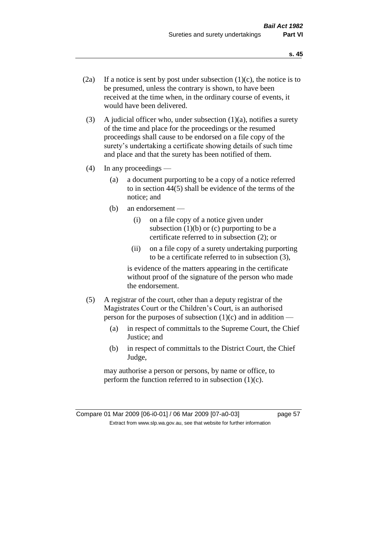- (2a) If a notice is sent by post under subsection  $(1)(c)$ , the notice is to be presumed, unless the contrary is shown, to have been received at the time when, in the ordinary course of events, it would have been delivered.
- (3) A judicial officer who, under subsection  $(1)(a)$ , notifies a surety of the time and place for the proceedings or the resumed proceedings shall cause to be endorsed on a file copy of the surety's undertaking a certificate showing details of such time and place and that the surety has been notified of them.
- (4) In any proceedings
	- (a) a document purporting to be a copy of a notice referred to in section 44(5) shall be evidence of the terms of the notice; and
	- (b) an endorsement
		- (i) on a file copy of a notice given under subsection  $(1)(b)$  or  $(c)$  purporting to be a certificate referred to in subsection (2); or
		- (ii) on a file copy of a surety undertaking purporting to be a certificate referred to in subsection (3),

is evidence of the matters appearing in the certificate without proof of the signature of the person who made the endorsement.

- (5) A registrar of the court, other than a deputy registrar of the Magistrates Court or the Children's Court, is an authorised person for the purposes of subsection  $(1)(c)$  and in addition —
	- (a) in respect of committals to the Supreme Court, the Chief Justice; and
	- (b) in respect of committals to the District Court, the Chief Judge,

may authorise a person or persons, by name or office, to perform the function referred to in subsection  $(1)(c)$ .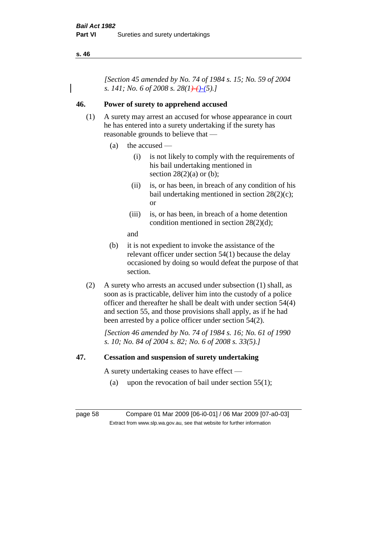*[Section 45 amended by No. 74 of 1984 s. 15; No. 59 of 2004 s. 141; No. 6 of 2008 s. 28(1)-()-(5).]* 

## **46. Power of surety to apprehend accused**

- (1) A surety may arrest an accused for whose appearance in court he has entered into a surety undertaking if the surety has reasonable grounds to believe that —
	- (a) the accused
		- (i) is not likely to comply with the requirements of his bail undertaking mentioned in section  $28(2)(a)$  or (b);
		- (ii) is, or has been, in breach of any condition of his bail undertaking mentioned in section 28(2)(c); or
		- (iii) is, or has been, in breach of a home detention condition mentioned in section 28(2)(d);
		- and
	- (b) it is not expedient to invoke the assistance of the relevant officer under section 54(1) because the delay occasioned by doing so would defeat the purpose of that section.
- (2) A surety who arrests an accused under subsection (1) shall, as soon as is practicable, deliver him into the custody of a police officer and thereafter he shall be dealt with under section 54(4) and section 55, and those provisions shall apply, as if he had been arrested by a police officer under section 54(2).

*[Section 46 amended by No. 74 of 1984 s. 16; No. 61 of 1990 s. 10; No. 84 of 2004 s. 82; No. 6 of 2008 s. 33(5).]* 

## **47. Cessation and suspension of surety undertaking**

A surety undertaking ceases to have effect —

(a) upon the revocation of bail under section  $55(1)$ ;

page 58 Compare 01 Mar 2009 [06-i0-01] / 06 Mar 2009 [07-a0-03] Extract from www.slp.wa.gov.au, see that website for further information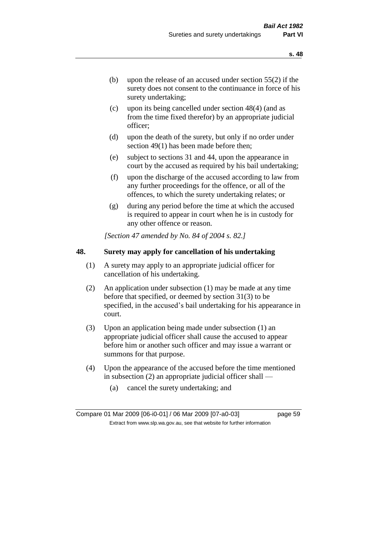- (b) upon the release of an accused under section 55(2) if the surety does not consent to the continuance in force of his surety undertaking;
- (c) upon its being cancelled under section 48(4) (and as from the time fixed therefor) by an appropriate judicial officer;
- (d) upon the death of the surety, but only if no order under section 49(1) has been made before then;
- (e) subject to sections 31 and 44, upon the appearance in court by the accused as required by his bail undertaking;
- (f) upon the discharge of the accused according to law from any further proceedings for the offence, or all of the offences, to which the surety undertaking relates; or
- (g) during any period before the time at which the accused is required to appear in court when he is in custody for any other offence or reason.

*[Section 47 amended by No. 84 of 2004 s. 82.]* 

## **48. Surety may apply for cancellation of his undertaking**

- (1) A surety may apply to an appropriate judicial officer for cancellation of his undertaking.
- (2) An application under subsection (1) may be made at any time before that specified, or deemed by section 31(3) to be specified, in the accused's bail undertaking for his appearance in court.
- (3) Upon an application being made under subsection (1) an appropriate judicial officer shall cause the accused to appear before him or another such officer and may issue a warrant or summons for that purpose.
- (4) Upon the appearance of the accused before the time mentioned in subsection (2) an appropriate judicial officer shall —
	- (a) cancel the surety undertaking; and

**s. 48**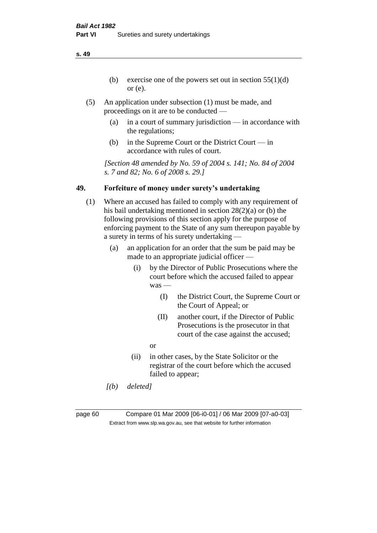- (b) exercise one of the powers set out in section  $55(1)(d)$ or (e).
- (5) An application under subsection (1) must be made, and proceedings on it are to be conducted —
	- (a) in a court of summary jurisdiction in accordance with the regulations;
	- (b) in the Supreme Court or the District Court in accordance with rules of court.

*[Section 48 amended by No. 59 of 2004 s. 141; No. 84 of 2004 s. 7 and 82; No. 6 of 2008 s. 29.]* 

## **49. Forfeiture of money under surety's undertaking**

- (1) Where an accused has failed to comply with any requirement of his bail undertaking mentioned in section 28(2)(a) or (b) the following provisions of this section apply for the purpose of enforcing payment to the State of any sum thereupon payable by a surety in terms of his surety undertaking —
	- (a) an application for an order that the sum be paid may be made to an appropriate judicial officer —
		- (i) by the Director of Public Prosecutions where the court before which the accused failed to appear was —
			- (I) the District Court, the Supreme Court or the Court of Appeal; or
			- (II) another court, if the Director of Public Prosecutions is the prosecutor in that court of the case against the accused;
			- or
		- (ii) in other cases, by the State Solicitor or the registrar of the court before which the accused failed to appear;
	- *[(b) deleted]*

page 60 Compare 01 Mar 2009 [06-i0-01] / 06 Mar 2009 [07-a0-03] Extract from www.slp.wa.gov.au, see that website for further information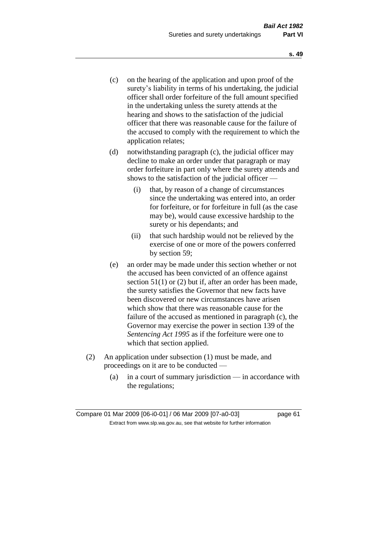- (c) on the hearing of the application and upon proof of the surety's liability in terms of his undertaking, the judicial officer shall order forfeiture of the full amount specified in the undertaking unless the surety attends at the hearing and shows to the satisfaction of the judicial officer that there was reasonable cause for the failure of the accused to comply with the requirement to which the application relates;
- (d) notwithstanding paragraph (c), the judicial officer may decline to make an order under that paragraph or may order forfeiture in part only where the surety attends and shows to the satisfaction of the judicial officer —
	- (i) that, by reason of a change of circumstances since the undertaking was entered into, an order for forfeiture, or for forfeiture in full (as the case may be), would cause excessive hardship to the surety or his dependants; and
	- (ii) that such hardship would not be relieved by the exercise of one or more of the powers conferred by section 59;
- (e) an order may be made under this section whether or not the accused has been convicted of an offence against section 51(1) or (2) but if, after an order has been made, the surety satisfies the Governor that new facts have been discovered or new circumstances have arisen which show that there was reasonable cause for the failure of the accused as mentioned in paragraph (c), the Governor may exercise the power in section 139 of the *Sentencing Act 1995* as if the forfeiture were one to which that section applied.
- (2) An application under subsection (1) must be made, and proceedings on it are to be conducted —
	- (a) in a court of summary jurisdiction in accordance with the regulations;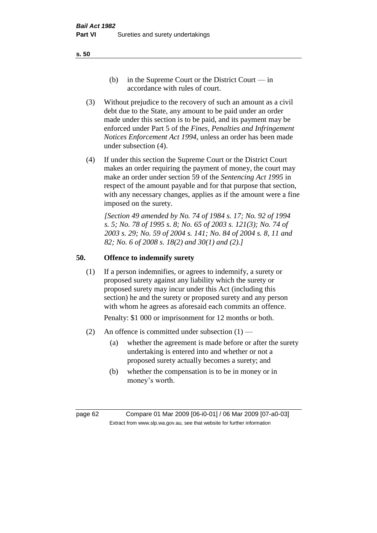- (b) in the Supreme Court or the District Court  $-\text{in}$ accordance with rules of court.
- (3) Without prejudice to the recovery of such an amount as a civil debt due to the State, any amount to be paid under an order made under this section is to be paid, and its payment may be enforced under Part 5 of the *Fines, Penalties and Infringement Notices Enforcement Act 1994*, unless an order has been made under subsection (4).
- (4) If under this section the Supreme Court or the District Court makes an order requiring the payment of money, the court may make an order under section 59 of the *Sentencing Act 1995* in respect of the amount payable and for that purpose that section, with any necessary changes, applies as if the amount were a fine imposed on the surety.

*[Section 49 amended by No. 74 of 1984 s. 17; No. 92 of 1994 s. 5; No. 78 of 1995 s. 8; No. 65 of 2003 s. 121(3); No. 74 of 2003 s. 29; No. 59 of 2004 s. 141; No. 84 of 2004 s. 8, 11 and 82; No. 6 of 2008 s. 18(2) and 30(1) and (2).]* 

## **50. Offence to indemnify surety**

(1) If a person indemnifies, or agrees to indemnify, a surety or proposed surety against any liability which the surety or proposed surety may incur under this Act (including this section) he and the surety or proposed surety and any person with whom he agrees as aforesaid each commits an offence.

Penalty: \$1 000 or imprisonment for 12 months or both.

- (2) An offence is committed under subsection  $(1)$ 
	- (a) whether the agreement is made before or after the surety undertaking is entered into and whether or not a proposed surety actually becomes a surety; and
	- (b) whether the compensation is to be in money or in money's worth.

page 62 Compare 01 Mar 2009 [06-i0-01] / 06 Mar 2009 [07-a0-03] Extract from www.slp.wa.gov.au, see that website for further information

**s. 50**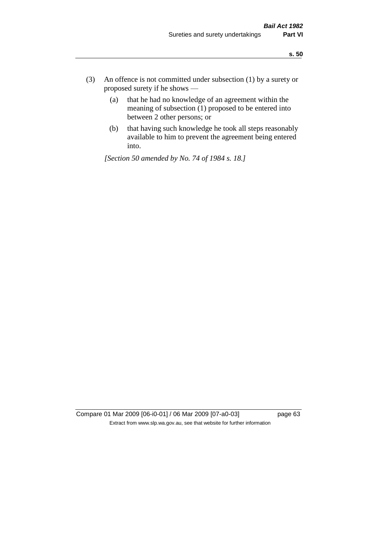- (3) An offence is not committed under subsection (1) by a surety or proposed surety if he shows —
	- (a) that he had no knowledge of an agreement within the meaning of subsection (1) proposed to be entered into between 2 other persons; or
	- (b) that having such knowledge he took all steps reasonably available to him to prevent the agreement being entered into.

*[Section 50 amended by No. 74 of 1984 s. 18.]* 

Compare 01 Mar 2009 [06-i0-01] / 06 Mar 2009 [07-a0-03] page 63 Extract from www.slp.wa.gov.au, see that website for further information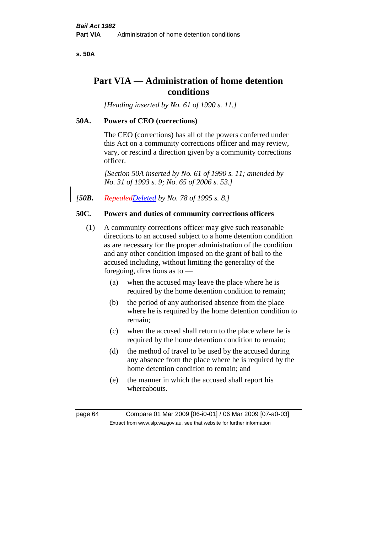**s. 50A**

# **Part VIA — Administration of home detention conditions**

*[Heading inserted by No. 61 of 1990 s. 11.]* 

## **50A. Powers of CEO (corrections)**

The CEO (corrections) has all of the powers conferred under this Act on a community corrections officer and may review, vary, or rescind a direction given by a community corrections officer.

*[Section 50A inserted by No. 61 of 1990 s. 11; amended by No. 31 of 1993 s. 9; No. 65 of 2006 s. 53.]* 

*[50B. RepealedDeleted by No. 78 of 1995 s. 8.]* 

## **50C. Powers and duties of community corrections officers**

- (1) A community corrections officer may give such reasonable directions to an accused subject to a home detention condition as are necessary for the proper administration of the condition and any other condition imposed on the grant of bail to the accused including, without limiting the generality of the foregoing, directions as to —
	- (a) when the accused may leave the place where he is required by the home detention condition to remain;
	- (b) the period of any authorised absence from the place where he is required by the home detention condition to remain;
	- (c) when the accused shall return to the place where he is required by the home detention condition to remain;
	- (d) the method of travel to be used by the accused during any absence from the place where he is required by the home detention condition to remain; and
	- (e) the manner in which the accused shall report his whereabouts.

page 64 Compare 01 Mar 2009 [06-i0-01] / 06 Mar 2009 [07-a0-03] Extract from www.slp.wa.gov.au, see that website for further information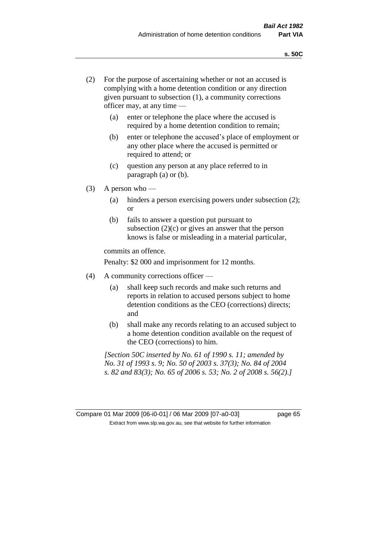- (2) For the purpose of ascertaining whether or not an accused is complying with a home detention condition or any direction given pursuant to subsection (1), a community corrections officer may, at any time —
	- (a) enter or telephone the place where the accused is required by a home detention condition to remain;
	- (b) enter or telephone the accused's place of employment or any other place where the accused is permitted or required to attend; or
	- (c) question any person at any place referred to in paragraph (a) or (b).
- $(3)$  A person who
	- (a) hinders a person exercising powers under subsection (2); or
	- (b) fails to answer a question put pursuant to subsection  $(2)(c)$  or gives an answer that the person knows is false or misleading in a material particular,

commits an offence.

Penalty: \$2 000 and imprisonment for 12 months.

- (4) A community corrections officer
	- (a) shall keep such records and make such returns and reports in relation to accused persons subject to home detention conditions as the CEO (corrections) directs; and
	- (b) shall make any records relating to an accused subject to a home detention condition available on the request of the CEO (corrections) to him.

*[Section 50C inserted by No. 61 of 1990 s. 11; amended by No. 31 of 1993 s. 9; No. 50 of 2003 s. 37(3); No. 84 of 2004 s. 82 and 83(3); No. 65 of 2006 s. 53; No. 2 of 2008 s. 56(2).]*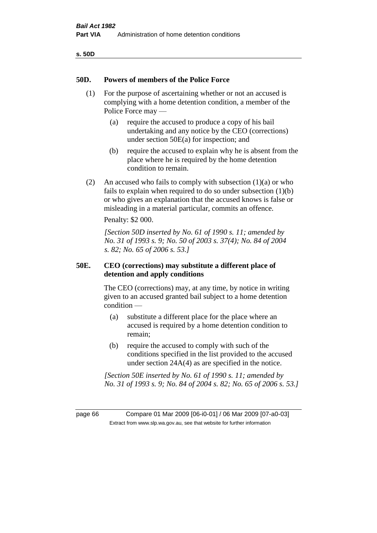| ×<br>۰.<br>۰.<br>× | ۰.<br>×<br>۰. |
|--------------------|---------------|
|--------------------|---------------|

#### **50D. Powers of members of the Police Force**

- (1) For the purpose of ascertaining whether or not an accused is complying with a home detention condition, a member of the Police Force may —
	- (a) require the accused to produce a copy of his bail undertaking and any notice by the CEO (corrections) under section 50E(a) for inspection; and
	- (b) require the accused to explain why he is absent from the place where he is required by the home detention condition to remain.
- (2) An accused who fails to comply with subsection  $(1)(a)$  or who fails to explain when required to do so under subsection (1)(b) or who gives an explanation that the accused knows is false or misleading in a material particular, commits an offence.

Penalty: \$2 000.

*[Section 50D inserted by No. 61 of 1990 s. 11; amended by No. 31 of 1993 s. 9; No. 50 of 2003 s. 37(4); No. 84 of 2004 s. 82; No. 65 of 2006 s. 53.]* 

## **50E. CEO (corrections) may substitute a different place of detention and apply conditions**

The CEO (corrections) may, at any time, by notice in writing given to an accused granted bail subject to a home detention condition —

- (a) substitute a different place for the place where an accused is required by a home detention condition to remain;
- (b) require the accused to comply with such of the conditions specified in the list provided to the accused under section 24A(4) as are specified in the notice.

*[Section 50E inserted by No. 61 of 1990 s. 11; amended by No. 31 of 1993 s. 9; No. 84 of 2004 s. 82; No. 65 of 2006 s. 53.]* 

page 66 Compare 01 Mar 2009 [06-i0-01] / 06 Mar 2009 [07-a0-03] Extract from www.slp.wa.gov.au, see that website for further information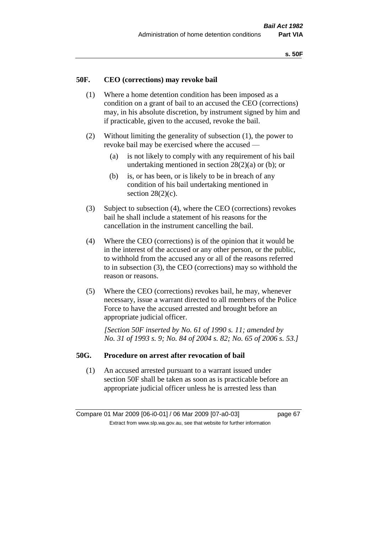#### **50F. CEO (corrections) may revoke bail**

- (1) Where a home detention condition has been imposed as a condition on a grant of bail to an accused the CEO (corrections) may, in his absolute discretion, by instrument signed by him and if practicable, given to the accused, revoke the bail.
- (2) Without limiting the generality of subsection (1), the power to revoke bail may be exercised where the accused —
	- (a) is not likely to comply with any requirement of his bail undertaking mentioned in section  $28(2)(a)$  or (b); or
	- (b) is, or has been, or is likely to be in breach of any condition of his bail undertaking mentioned in section  $28(2)(c)$ .
- (3) Subject to subsection (4), where the CEO (corrections) revokes bail he shall include a statement of his reasons for the cancellation in the instrument cancelling the bail.
- (4) Where the CEO (corrections) is of the opinion that it would be in the interest of the accused or any other person, or the public, to withhold from the accused any or all of the reasons referred to in subsection (3), the CEO (corrections) may so withhold the reason or reasons.
- (5) Where the CEO (corrections) revokes bail, he may, whenever necessary, issue a warrant directed to all members of the Police Force to have the accused arrested and brought before an appropriate judicial officer.

*[Section 50F inserted by No. 61 of 1990 s. 11; amended by No. 31 of 1993 s. 9; No. 84 of 2004 s. 82; No. 65 of 2006 s. 53.]* 

#### **50G. Procedure on arrest after revocation of bail**

(1) An accused arrested pursuant to a warrant issued under section 50F shall be taken as soon as is practicable before an appropriate judicial officer unless he is arrested less than

Compare 01 Mar 2009 [06-i0-01] / 06 Mar 2009 [07-a0-03] page 67 Extract from www.slp.wa.gov.au, see that website for further information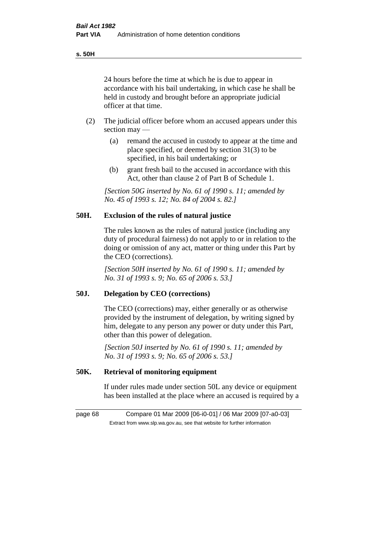**s. 50H**

24 hours before the time at which he is due to appear in accordance with his bail undertaking, in which case he shall be held in custody and brought before an appropriate judicial officer at that time.

- (2) The judicial officer before whom an accused appears under this section may —
	- (a) remand the accused in custody to appear at the time and place specified, or deemed by section 31(3) to be specified, in his bail undertaking; or
	- (b) grant fresh bail to the accused in accordance with this Act, other than clause 2 of Part B of Schedule 1.

*[Section 50G inserted by No. 61 of 1990 s. 11; amended by No. 45 of 1993 s. 12; No. 84 of 2004 s. 82.]* 

## **50H. Exclusion of the rules of natural justice**

The rules known as the rules of natural justice (including any duty of procedural fairness) do not apply to or in relation to the doing or omission of any act, matter or thing under this Part by the CEO (corrections).

*[Section 50H inserted by No. 61 of 1990 s. 11; amended by No. 31 of 1993 s. 9; No. 65 of 2006 s. 53.]* 

## **50J. Delegation by CEO (corrections)**

The CEO (corrections) may, either generally or as otherwise provided by the instrument of delegation, by writing signed by him, delegate to any person any power or duty under this Part, other than this power of delegation.

*[Section 50J inserted by No. 61 of 1990 s. 11; amended by No. 31 of 1993 s. 9; No. 65 of 2006 s. 53.]* 

## **50K. Retrieval of monitoring equipment**

If under rules made under section 50L any device or equipment has been installed at the place where an accused is required by a

page 68 Compare 01 Mar 2009 [06-i0-01] / 06 Mar 2009 [07-a0-03] Extract from www.slp.wa.gov.au, see that website for further information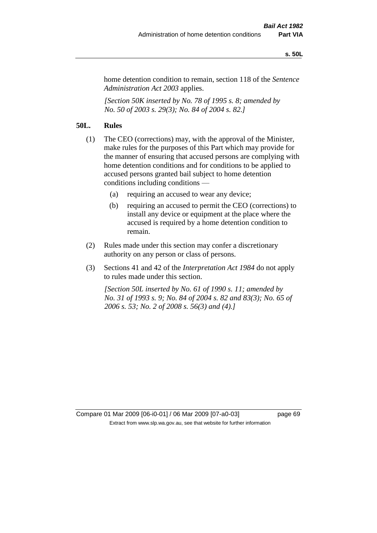#### **s. 50L**

home detention condition to remain, section 118 of the *Sentence Administration Act 2003* applies.

*[Section 50K inserted by No. 78 of 1995 s. 8; amended by No. 50 of 2003 s. 29(3); No. 84 of 2004 s. 82.]* 

## **50L. Rules**

- (1) The CEO (corrections) may, with the approval of the Minister, make rules for the purposes of this Part which may provide for the manner of ensuring that accused persons are complying with home detention conditions and for conditions to be applied to accused persons granted bail subject to home detention conditions including conditions —
	- (a) requiring an accused to wear any device;
	- (b) requiring an accused to permit the CEO (corrections) to install any device or equipment at the place where the accused is required by a home detention condition to remain.
- (2) Rules made under this section may confer a discretionary authority on any person or class of persons.
- (3) Sections 41 and 42 of the *Interpretation Act 1984* do not apply to rules made under this section.

*[Section 50L inserted by No. 61 of 1990 s. 11; amended by No. 31 of 1993 s. 9; No. 84 of 2004 s. 82 and 83(3); No. 65 of 2006 s. 53; No. 2 of 2008 s. 56(3) and (4).]*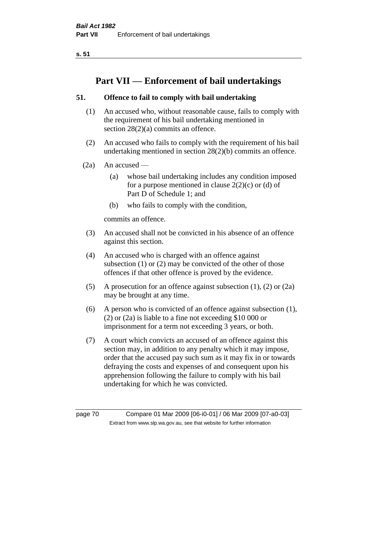# **Part VII — Enforcement of bail undertakings**

## **51. Offence to fail to comply with bail undertaking**

- (1) An accused who, without reasonable cause, fails to comply with the requirement of his bail undertaking mentioned in section 28(2)(a) commits an offence.
- (2) An accused who fails to comply with the requirement of his bail undertaking mentioned in section 28(2)(b) commits an offence.
- $(2a)$  An accused
	- (a) whose bail undertaking includes any condition imposed for a purpose mentioned in clause  $2(2)(c)$  or (d) of Part D of Schedule 1; and
	- (b) who fails to comply with the condition,

commits an offence.

- (3) An accused shall not be convicted in his absence of an offence against this section.
- (4) An accused who is charged with an offence against subsection (1) or (2) may be convicted of the other of those offences if that other offence is proved by the evidence.
- (5) A prosecution for an offence against subsection (1), (2) or (2a) may be brought at any time.
- (6) A person who is convicted of an offence against subsection (1), (2) or (2a) is liable to a fine not exceeding \$10 000 or imprisonment for a term not exceeding 3 years, or both.
- (7) A court which convicts an accused of an offence against this section may, in addition to any penalty which it may impose, order that the accused pay such sum as it may fix in or towards defraying the costs and expenses of and consequent upon his apprehension following the failure to comply with his bail undertaking for which he was convicted.

page 70 Compare 01 Mar 2009 [06-i0-01] / 06 Mar 2009 [07-a0-03] Extract from www.slp.wa.gov.au, see that website for further information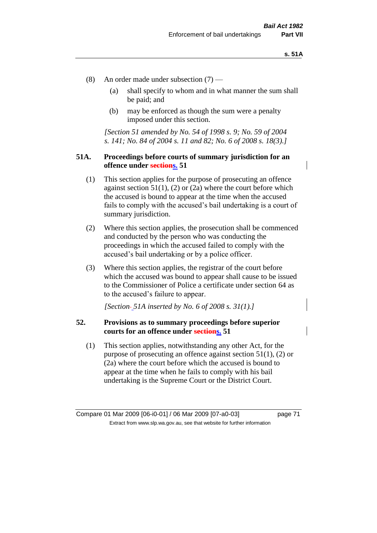- (8) An order made under subsection (7)
	- (a) shall specify to whom and in what manner the sum shall be paid; and
	- (b) may be enforced as though the sum were a penalty imposed under this section.

*[Section 51 amended by No. 54 of 1998 s. 9; No. 59 of 2004 s. 141; No. 84 of 2004 s. 11 and 82; No. 6 of 2008 s. 18(3).]*

### **51A. Proceedings before courts of summary jurisdiction for an offence under sections. 51**

- (1) This section applies for the purpose of prosecuting an offence against section  $51(1)$ ,  $(2)$  or  $(2a)$  where the court before which the accused is bound to appear at the time when the accused fails to comply with the accused's bail undertaking is a court of summary jurisdiction.
- (2) Where this section applies, the prosecution shall be commenced and conducted by the person who was conducting the proceedings in which the accused failed to comply with the accused's bail undertaking or by a police officer.
- (3) Where this section applies, the registrar of the court before which the accused was bound to appear shall cause to be issued to the Commissioner of Police a certificate under section 64 as to the accused's failure to appear.

*[Section 51A inserted by No. 6 of 2008 s. 31(1).]*

## **52. Provisions as to summary proceedings before superior courts for an offence under sections. 51**

(1) This section applies, notwithstanding any other Act, for the purpose of prosecuting an offence against section 51(1), (2) or (2a) where the court before which the accused is bound to appear at the time when he fails to comply with his bail undertaking is the Supreme Court or the District Court.

Compare 01 Mar 2009 [06-i0-01] / 06 Mar 2009 [07-a0-03] page 71 Extract from www.slp.wa.gov.au, see that website for further information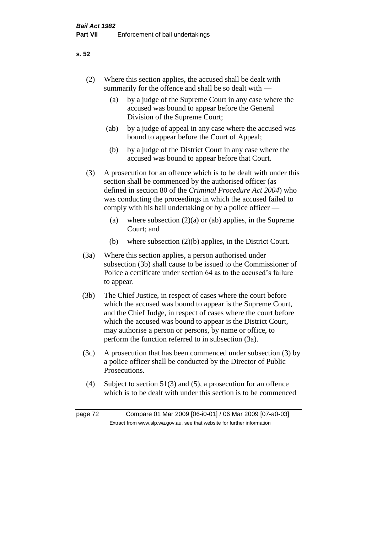- (2) Where this section applies, the accused shall be dealt with summarily for the offence and shall be so dealt with —
	- (a) by a judge of the Supreme Court in any case where the accused was bound to appear before the General Division of the Supreme Court;
	- (ab) by a judge of appeal in any case where the accused was bound to appear before the Court of Appeal;
	- (b) by a judge of the District Court in any case where the accused was bound to appear before that Court.
- (3) A prosecution for an offence which is to be dealt with under this section shall be commenced by the authorised officer (as defined in section 80 of the *Criminal Procedure Act 2004*) who was conducting the proceedings in which the accused failed to comply with his bail undertaking or by a police officer —
	- (a) where subsection  $(2)(a)$  or (ab) applies, in the Supreme Court; and
	- (b) where subsection (2)(b) applies, in the District Court.
- (3a) Where this section applies, a person authorised under subsection (3b) shall cause to be issued to the Commissioner of Police a certificate under section 64 as to the accused's failure to appear.
- (3b) The Chief Justice, in respect of cases where the court before which the accused was bound to appear is the Supreme Court, and the Chief Judge, in respect of cases where the court before which the accused was bound to appear is the District Court, may authorise a person or persons, by name or office, to perform the function referred to in subsection (3a).
- (3c) A prosecution that has been commenced under subsection (3) by a police officer shall be conducted by the Director of Public Prosecutions.
- (4) Subject to section 51(3) and (5), a prosecution for an offence which is to be dealt with under this section is to be commenced

page 72 Compare 01 Mar 2009 [06-i0-01] / 06 Mar 2009 [07-a0-03] Extract from www.slp.wa.gov.au, see that website for further information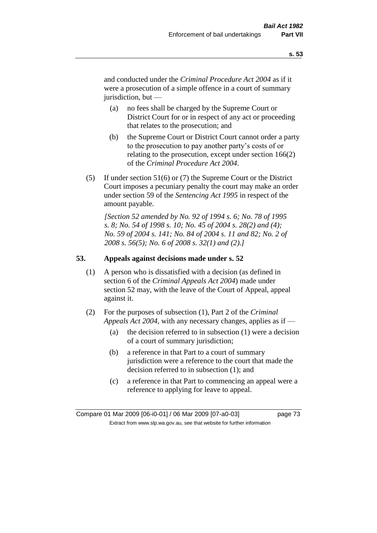and conducted under the *Criminal Procedure Act 2004* as if it were a prosecution of a simple offence in a court of summary jurisdiction, but —

- (a) no fees shall be charged by the Supreme Court or District Court for or in respect of any act or proceeding that relates to the prosecution; and
- (b) the Supreme Court or District Court cannot order a party to the prosecution to pay another party's costs of or relating to the prosecution, except under section 166(2) of the *Criminal Procedure Act 2004*.
- (5) If under section 51(6) or (7) the Supreme Court or the District Court imposes a pecuniary penalty the court may make an order under section 59 of the *Sentencing Act 1995* in respect of the amount payable.

*[Section 52 amended by No. 92 of 1994 s. 6; No. 78 of 1995 s. 8; No. 54 of 1998 s. 10; No. 45 of 2004 s. 28(2) and (4); No. 59 of 2004 s. 141; No. 84 of 2004 s. 11 and 82; No. 2 of 2008 s. 56(5); No. 6 of 2008 s. 32(1) and (2).]* 

## **53. Appeals against decisions made under s. 52**

- (1) A person who is dissatisfied with a decision (as defined in section 6 of the *Criminal Appeals Act 2004*) made under section 52 may, with the leave of the Court of Appeal, appeal against it.
- (2) For the purposes of subsection (1), Part 2 of the *Criminal Appeals Act 2004*, with any necessary changes, applies as if —
	- (a) the decision referred to in subsection (1) were a decision of a court of summary jurisdiction;
	- (b) a reference in that Part to a court of summary jurisdiction were a reference to the court that made the decision referred to in subsection (1); and
	- (c) a reference in that Part to commencing an appeal were a reference to applying for leave to appeal.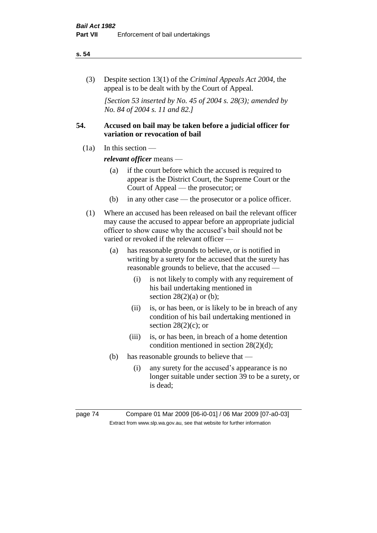#### **s. 54**

(3) Despite section 13(1) of the *Criminal Appeals Act 2004*, the appeal is to be dealt with by the Court of Appeal.

*[Section 53 inserted by No. 45 of 2004 s. 28(3); amended by No. 84 of 2004 s. 11 and 82.]*

## **54. Accused on bail may be taken before a judicial officer for variation or revocation of bail**

 $(1a)$  In this section —

*relevant officer* means —

- (a) if the court before which the accused is required to appear is the District Court, the Supreme Court or the Court of Appeal — the prosecutor; or
- (b) in any other case the prosecutor or a police officer.
- (1) Where an accused has been released on bail the relevant officer may cause the accused to appear before an appropriate judicial officer to show cause why the accused's bail should not be varied or revoked if the relevant officer —
	- (a) has reasonable grounds to believe, or is notified in writing by a surety for the accused that the surety has reasonable grounds to believe, that the accused —
		- (i) is not likely to comply with any requirement of his bail undertaking mentioned in section  $28(2)(a)$  or (b);
		- (ii) is, or has been, or is likely to be in breach of any condition of his bail undertaking mentioned in section  $28(2)(c)$ ; or
		- (iii) is, or has been, in breach of a home detention condition mentioned in section 28(2)(d);
	- (b) has reasonable grounds to believe that
		- (i) any surety for the accused's appearance is no longer suitable under section 39 to be a surety, or is dead;

page 74 Compare 01 Mar 2009 [06-i0-01] / 06 Mar 2009 [07-a0-03] Extract from www.slp.wa.gov.au, see that website for further information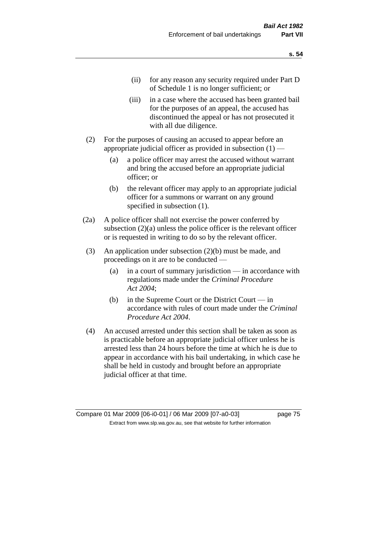- (ii) for any reason any security required under Part D of Schedule 1 is no longer sufficient; or
- (iii) in a case where the accused has been granted bail for the purposes of an appeal, the accused has discontinued the appeal or has not prosecuted it with all due diligence.
- (2) For the purposes of causing an accused to appear before an appropriate judicial officer as provided in subsection  $(1)$  -
	- (a) a police officer may arrest the accused without warrant and bring the accused before an appropriate judicial officer; or
	- (b) the relevant officer may apply to an appropriate judicial officer for a summons or warrant on any ground specified in subsection  $(1)$ .
- (2a) A police officer shall not exercise the power conferred by subsection (2)(a) unless the police officer is the relevant officer or is requested in writing to do so by the relevant officer.
- (3) An application under subsection (2)(b) must be made, and proceedings on it are to be conducted —
	- (a) in a court of summary jurisdiction in accordance with regulations made under the *Criminal Procedure Act 2004*;
	- (b) in the Supreme Court or the District Court in accordance with rules of court made under the *Criminal Procedure Act 2004*.
- (4) An accused arrested under this section shall be taken as soon as is practicable before an appropriate judicial officer unless he is arrested less than 24 hours before the time at which he is due to appear in accordance with his bail undertaking, in which case he shall be held in custody and brought before an appropriate judicial officer at that time.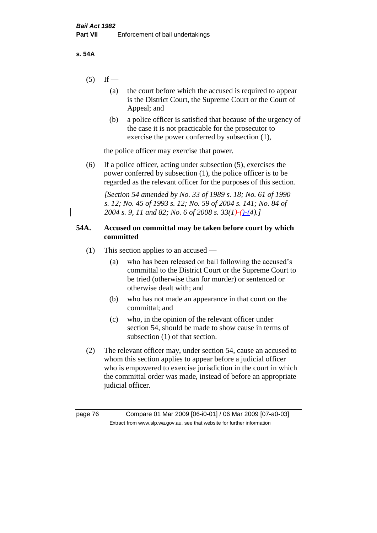- $(5)$  If
	- (a) the court before which the accused is required to appear is the District Court, the Supreme Court or the Court of Appeal; and
	- (b) a police officer is satisfied that because of the urgency of the case it is not practicable for the prosecutor to exercise the power conferred by subsection (1),

the police officer may exercise that power.

(6) If a police officer, acting under subsection (5), exercises the power conferred by subsection (1), the police officer is to be regarded as the relevant officer for the purposes of this section.

*[Section 54 amended by No. 33 of 1989 s. 18; No. 61 of 1990 s. 12; No. 45 of 1993 s. 12; No. 59 of 2004 s. 141; No. 84 of 2004 s. 9, 11 and 82; No. 6 of 2008 s. 33(1)-()-(4).]* 

## **54A. Accused on committal may be taken before court by which committed**

- (1) This section applies to an accused
	- (a) who has been released on bail following the accused's committal to the District Court or the Supreme Court to be tried (otherwise than for murder) or sentenced or otherwise dealt with; and
	- (b) who has not made an appearance in that court on the committal; and
	- (c) who, in the opinion of the relevant officer under section 54, should be made to show cause in terms of subsection (1) of that section.
- (2) The relevant officer may, under section 54, cause an accused to whom this section applies to appear before a judicial officer who is empowered to exercise jurisdiction in the court in which the committal order was made, instead of before an appropriate judicial officer.

page 76 Compare 01 Mar 2009 [06-i0-01] / 06 Mar 2009 [07-a0-03] Extract from www.slp.wa.gov.au, see that website for further information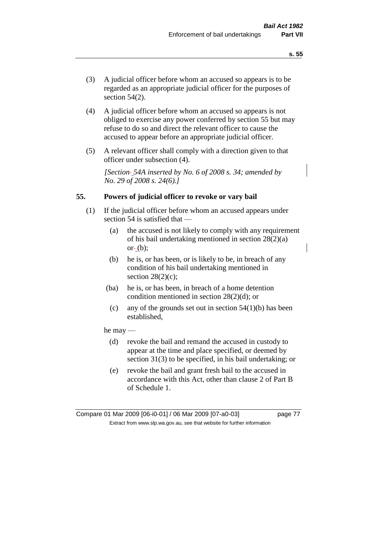- (3) A judicial officer before whom an accused so appears is to be regarded as an appropriate judicial officer for the purposes of section 54(2).
- (4) A judicial officer before whom an accused so appears is not obliged to exercise any power conferred by section 55 but may refuse to do so and direct the relevant officer to cause the accused to appear before an appropriate judicial officer.
- (5) A relevant officer shall comply with a direction given to that officer under subsection (4).

*[Section 54A inserted by No. 6 of 2008 s. 34; amended by No. 29 of 2008 s. 24(6).]*

### **55. Powers of judicial officer to revoke or vary bail**

- (1) If the judicial officer before whom an accused appears under section 54 is satisfied that —
	- (a) the accused is not likely to comply with any requirement of his bail undertaking mentioned in section 28(2)(a) or $-$  (b);
	- (b) he is, or has been, or is likely to be, in breach of any condition of his bail undertaking mentioned in section  $28(2)(c)$ ;
	- (ba) he is, or has been, in breach of a home detention condition mentioned in section 28(2)(d); or
		- (c) any of the grounds set out in section  $54(1)(b)$  has been established,

#### he may —

- (d) revoke the bail and remand the accused in custody to appear at the time and place specified, or deemed by section 31(3) to be specified, in his bail undertaking; or
- (e) revoke the bail and grant fresh bail to the accused in accordance with this Act, other than clause 2 of Part B of Schedule 1.

Compare 01 Mar 2009 [06-i0-01] / 06 Mar 2009 [07-a0-03] page 77 Extract from www.slp.wa.gov.au, see that website for further information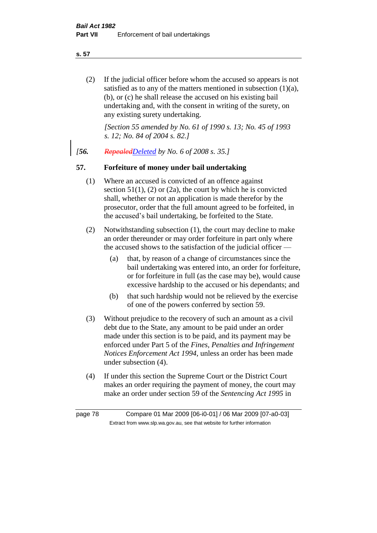**s. 57**

(2) If the judicial officer before whom the accused so appears is not satisfied as to any of the matters mentioned in subsection (1)(a), (b), or (c) he shall release the accused on his existing bail undertaking and, with the consent in writing of the surety, on any existing surety undertaking.

*[Section 55 amended by No. 61 of 1990 s. 13; No. 45 of 1993 s. 12; No. 84 of 2004 s. 82.]* 

*[56. RepealedDeleted by No. 6 of 2008 s. 35.]*

## **57. Forfeiture of money under bail undertaking**

- (1) Where an accused is convicted of an offence against section  $51(1)$ , (2) or (2a), the court by which he is convicted shall, whether or not an application is made therefor by the prosecutor, order that the full amount agreed to be forfeited, in the accused's bail undertaking, be forfeited to the State.
- (2) Notwithstanding subsection (1), the court may decline to make an order thereunder or may order forfeiture in part only where the accused shows to the satisfaction of the judicial officer —
	- (a) that, by reason of a change of circumstances since the bail undertaking was entered into, an order for forfeiture, or for forfeiture in full (as the case may be), would cause excessive hardship to the accused or his dependants; and
	- (b) that such hardship would not be relieved by the exercise of one of the powers conferred by section 59.
- (3) Without prejudice to the recovery of such an amount as a civil debt due to the State, any amount to be paid under an order made under this section is to be paid, and its payment may be enforced under Part 5 of the *Fines, Penalties and Infringement Notices Enforcement Act 1994*, unless an order has been made under subsection (4).
- (4) If under this section the Supreme Court or the District Court makes an order requiring the payment of money, the court may make an order under section 59 of the *Sentencing Act 1995* in

page 78 Compare 01 Mar 2009 [06-i0-01] / 06 Mar 2009 [07-a0-03] Extract from www.slp.wa.gov.au, see that website for further information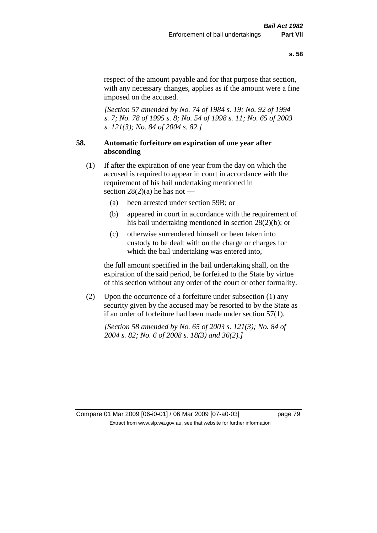respect of the amount payable and for that purpose that section, with any necessary changes, applies as if the amount were a fine imposed on the accused.

*[Section 57 amended by No. 74 of 1984 s. 19; No. 92 of 1994 s. 7; No. 78 of 1995 s. 8; No. 54 of 1998 s. 11; No. 65 of 2003 s. 121(3); No. 84 of 2004 s. 82.]* 

## **58. Automatic forfeiture on expiration of one year after absconding**

- (1) If after the expiration of one year from the day on which the accused is required to appear in court in accordance with the requirement of his bail undertaking mentioned in section  $28(2)(a)$  he has not —
	- (a) been arrested under section 59B; or
	- (b) appeared in court in accordance with the requirement of his bail undertaking mentioned in section 28(2)(b); or
	- (c) otherwise surrendered himself or been taken into custody to be dealt with on the charge or charges for which the bail undertaking was entered into,

the full amount specified in the bail undertaking shall, on the expiration of the said period, be forfeited to the State by virtue of this section without any order of the court or other formality.

(2) Upon the occurrence of a forfeiture under subsection (1) any security given by the accused may be resorted to by the State as if an order of forfeiture had been made under section 57(1).

*[Section 58 amended by No. 65 of 2003 s. 121(3); No. 84 of 2004 s. 82; No. 6 of 2008 s. 18(3) and 36(2).]*

Compare 01 Mar 2009 [06-i0-01] / 06 Mar 2009 [07-a0-03] page 79 Extract from www.slp.wa.gov.au, see that website for further information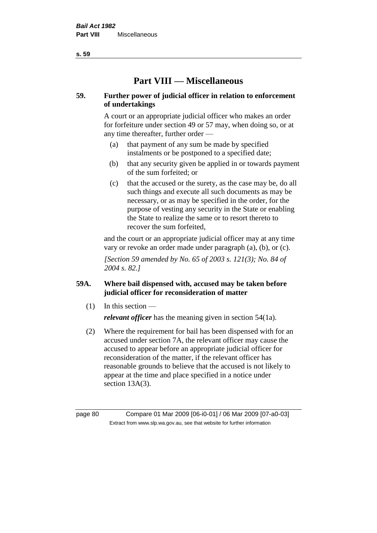**Part VIII — Miscellaneous** 

## **59. Further power of judicial officer in relation to enforcement of undertakings**

A court or an appropriate judicial officer who makes an order for forfeiture under section 49 or 57 may, when doing so, or at any time thereafter, further order —

- (a) that payment of any sum be made by specified instalments or be postponed to a specified date;
- (b) that any security given be applied in or towards payment of the sum forfeited; or
- (c) that the accused or the surety, as the case may be, do all such things and execute all such documents as may be necessary, or as may be specified in the order, for the purpose of vesting any security in the State or enabling the State to realize the same or to resort thereto to recover the sum forfeited,

and the court or an appropriate judicial officer may at any time vary or revoke an order made under paragraph (a), (b), or (c).

*[Section 59 amended by No. 65 of 2003 s. 121(3); No. 84 of 2004 s. 82.]*

## **59A. Where bail dispensed with, accused may be taken before judicial officer for reconsideration of matter**

- $(1)$  In this section *relevant officer* has the meaning given in section 54(1a).
- (2) Where the requirement for bail has been dispensed with for an accused under section 7A, the relevant officer may cause the accused to appear before an appropriate judicial officer for reconsideration of the matter, if the relevant officer has reasonable grounds to believe that the accused is not likely to appear at the time and place specified in a notice under section 13A(3).

page 80 Compare 01 Mar 2009 [06-i0-01] / 06 Mar 2009 [07-a0-03] Extract from www.slp.wa.gov.au, see that website for further information

**s. 59**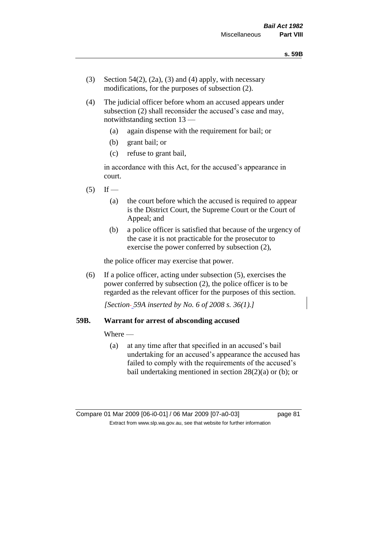- (3) Section 54(2), (2a), (3) and (4) apply, with necessary modifications, for the purposes of subsection (2).
- (4) The judicial officer before whom an accused appears under subsection (2) shall reconsider the accused's case and may, notwithstanding section 13 —
	- (a) again dispense with the requirement for bail; or
	- (b) grant bail; or
	- (c) refuse to grant bail,

in accordance with this Act, for the accused's appearance in court.

- $(5)$  If
	- (a) the court before which the accused is required to appear is the District Court, the Supreme Court or the Court of Appeal; and
	- (b) a police officer is satisfied that because of the urgency of the case it is not practicable for the prosecutor to exercise the power conferred by subsection (2),

the police officer may exercise that power.

(6) If a police officer, acting under subsection (5), exercises the power conferred by subsection (2), the police officer is to be regarded as the relevant officer for the purposes of this section.

*[Section 59A inserted by No. 6 of 2008 s. 36(1).]*

#### **59B. Warrant for arrest of absconding accused**

Where —

(a) at any time after that specified in an accused's bail undertaking for an accused's appearance the accused has failed to comply with the requirements of the accused's bail undertaking mentioned in section 28(2)(a) or (b); or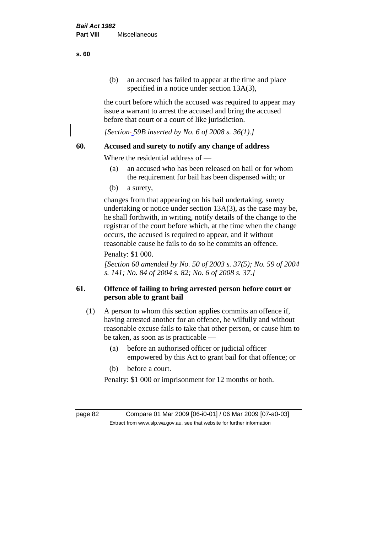(b) an accused has failed to appear at the time and place specified in a notice under section 13A(3).

the court before which the accused was required to appear may issue a warrant to arrest the accused and bring the accused before that court or a court of like jurisdiction.

*[Section 59B inserted by No. 6 of 2008 s. 36(1).]*

## **60. Accused and surety to notify any change of address**

Where the residential address of —

- (a) an accused who has been released on bail or for whom the requirement for bail has been dispensed with; or
- (b) a surety,

changes from that appearing on his bail undertaking, surety undertaking or notice under section 13A(3), as the case may be, he shall forthwith, in writing, notify details of the change to the registrar of the court before which, at the time when the change occurs, the accused is required to appear, and if without reasonable cause he fails to do so he commits an offence.

## Penalty: \$1 000.

*[Section 60 amended by No. 50 of 2003 s. 37(5); No. 59 of 2004 s. 141; No. 84 of 2004 s. 82; No. 6 of 2008 s. 37.]*

## **61. Offence of failing to bring arrested person before court or person able to grant bail**

- (1) A person to whom this section applies commits an offence if, having arrested another for an offence, he wilfully and without reasonable excuse fails to take that other person, or cause him to be taken, as soon as is practicable —
	- (a) before an authorised officer or judicial officer empowered by this Act to grant bail for that offence; or
	- (b) before a court.

Penalty: \$1 000 or imprisonment for 12 months or both.

page 82 Compare 01 Mar 2009 [06-i0-01] / 06 Mar 2009 [07-a0-03] Extract from www.slp.wa.gov.au, see that website for further information

**s. 60**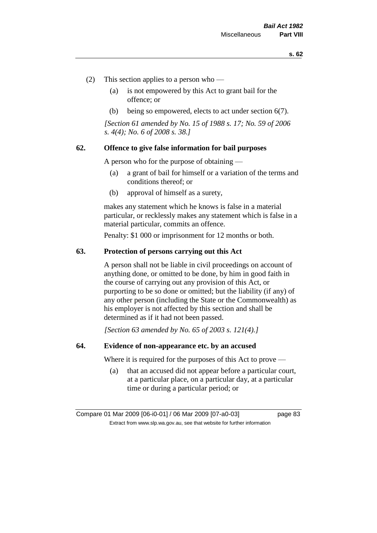- (2) This section applies to a person who
	- (a) is not empowered by this Act to grant bail for the offence; or
	- (b) being so empowered, elects to act under section 6(7).

*[Section 61 amended by No. 15 of 1988 s. 17; No. 59 of 2006 s. 4(4); No. 6 of 2008 s. 38.]* 

#### **62. Offence to give false information for bail purposes**

A person who for the purpose of obtaining —

- (a) a grant of bail for himself or a variation of the terms and conditions thereof; or
- (b) approval of himself as a surety,

makes any statement which he knows is false in a material particular, or recklessly makes any statement which is false in a material particular, commits an offence.

Penalty: \$1 000 or imprisonment for 12 months or both.

#### **63. Protection of persons carrying out this Act**

A person shall not be liable in civil proceedings on account of anything done, or omitted to be done, by him in good faith in the course of carrying out any provision of this Act, or purporting to be so done or omitted; but the liability (if any) of any other person (including the State or the Commonwealth) as his employer is not affected by this section and shall be determined as if it had not been passed.

*[Section 63 amended by No. 65 of 2003 s. 121(4).]*

### **64. Evidence of non-appearance etc. by an accused**

Where it is required for the purposes of this Act to prove —

(a) that an accused did not appear before a particular court, at a particular place, on a particular day, at a particular time or during a particular period; or

Compare 01 Mar 2009 [06-i0-01] / 06 Mar 2009 [07-a0-03] page 83 Extract from www.slp.wa.gov.au, see that website for further information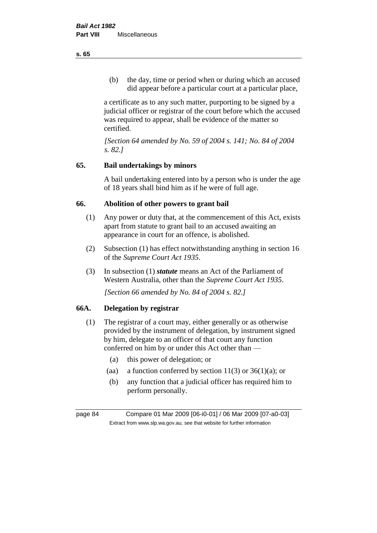(b) the day, time or period when or during which an accused did appear before a particular court at a particular place,

a certificate as to any such matter, purporting to be signed by a judicial officer or registrar of the court before which the accused was required to appear, shall be evidence of the matter so certified.

*[Section 64 amended by No. 59 of 2004 s. 141; No. 84 of 2004 s. 82.]* 

## **65. Bail undertakings by minors**

A bail undertaking entered into by a person who is under the age of 18 years shall bind him as if he were of full age.

## **66. Abolition of other powers to grant bail**

- (1) Any power or duty that, at the commencement of this Act, exists apart from statute to grant bail to an accused awaiting an appearance in court for an offence, is abolished.
- (2) Subsection (1) has effect notwithstanding anything in section 16 of the *Supreme Court Act 1935*.
- (3) In subsection (1) *statute* means an Act of the Parliament of Western Australia, other than the *Supreme Court Act 1935*.

*[Section 66 amended by No. 84 of 2004 s. 82.]*

## **66A. Delegation by registrar**

- (1) The registrar of a court may, either generally or as otherwise provided by the instrument of delegation, by instrument signed by him, delegate to an officer of that court any function conferred on him by or under this Act other than —
	- (a) this power of delegation; or
	- (aa) a function conferred by section  $11(3)$  or  $36(1)(a)$ ; or
	- (b) any function that a judicial officer has required him to perform personally.

page 84 Compare 01 Mar 2009 [06-i0-01] / 06 Mar 2009 [07-a0-03] Extract from www.slp.wa.gov.au, see that website for further information

**s. 65**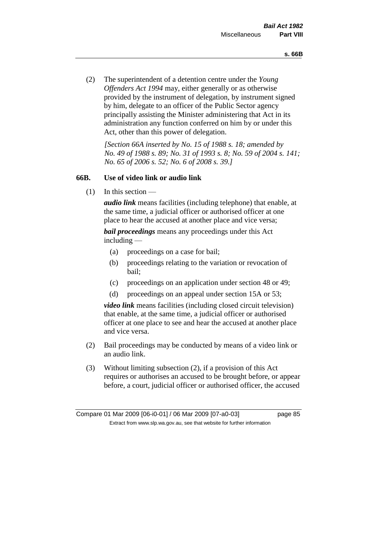(2) The superintendent of a detention centre under the *Young Offenders Act 1994* may, either generally or as otherwise provided by the instrument of delegation, by instrument signed by him, delegate to an officer of the Public Sector agency principally assisting the Minister administering that Act in its administration any function conferred on him by or under this Act, other than this power of delegation.

*[Section 66A inserted by No. 15 of 1988 s. 18; amended by No. 49 of 1988 s. 89; No. 31 of 1993 s. 8; No. 59 of 2004 s. 141; No. 65 of 2006 s. 52; No. 6 of 2008 s. 39.]* 

## **66B. Use of video link or audio link**

(1) In this section —

*audio link* means facilities (including telephone) that enable, at the same time, a judicial officer or authorised officer at one place to hear the accused at another place and vice versa;

*bail proceedings* means any proceedings under this Act including —

- (a) proceedings on a case for bail;
- (b) proceedings relating to the variation or revocation of bail;
- (c) proceedings on an application under section 48 or 49;
- (d) proceedings on an appeal under section 15A or 53;

*video link* means facilities (including closed circuit television) that enable, at the same time, a judicial officer or authorised officer at one place to see and hear the accused at another place and vice versa.

- (2) Bail proceedings may be conducted by means of a video link or an audio link.
- (3) Without limiting subsection (2), if a provision of this Act requires or authorises an accused to be brought before, or appear before, a court, judicial officer or authorised officer, the accused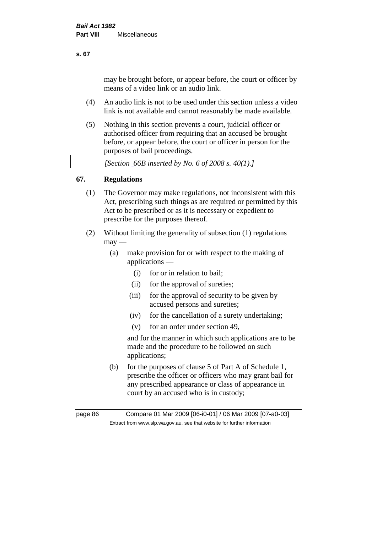may be brought before, or appear before, the court or officer by means of a video link or an audio link.

- (4) An audio link is not to be used under this section unless a video link is not available and cannot reasonably be made available.
- (5) Nothing in this section prevents a court, judicial officer or authorised officer from requiring that an accused be brought before, or appear before, the court or officer in person for the purposes of bail proceedings.

*[Section 66B inserted by No. 6 of 2008 s. 40(1).]*

## **67. Regulations**

- (1) The Governor may make regulations, not inconsistent with this Act, prescribing such things as are required or permitted by this Act to be prescribed or as it is necessary or expedient to prescribe for the purposes thereof.
- (2) Without limiting the generality of subsection (1) regulations  $may$ —
	- (a) make provision for or with respect to the making of applications —
		- (i) for or in relation to bail;
		- (ii) for the approval of sureties;
		- (iii) for the approval of security to be given by accused persons and sureties;
		- (iv) for the cancellation of a surety undertaking;
		- (v) for an order under section 49,

and for the manner in which such applications are to be made and the procedure to be followed on such applications;

(b) for the purposes of clause 5 of Part A of Schedule 1, prescribe the officer or officers who may grant bail for any prescribed appearance or class of appearance in court by an accused who is in custody;

**s. 67**

page 86 Compare 01 Mar 2009 [06-i0-01] / 06 Mar 2009 [07-a0-03] Extract from www.slp.wa.gov.au, see that website for further information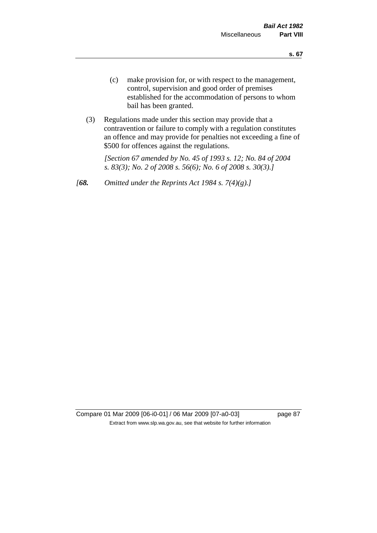- (c) make provision for, or with respect to the management, control, supervision and good order of premises established for the accommodation of persons to whom bail has been granted.
- (3) Regulations made under this section may provide that a contravention or failure to comply with a regulation constitutes an offence and may provide for penalties not exceeding a fine of \$500 for offences against the regulations.

*[Section 67 amended by No. 45 of 1993 s. 12; No. 84 of 2004 s. 83(3); No. 2 of 2008 s. 56(6); No. 6 of 2008 s. 30(3).]* 

*[68. Omitted under the Reprints Act 1984 s. 7(4)(g).]*

Compare 01 Mar 2009 [06-i0-01] / 06 Mar 2009 [07-a0-03] page 87 Extract from www.slp.wa.gov.au, see that website for further information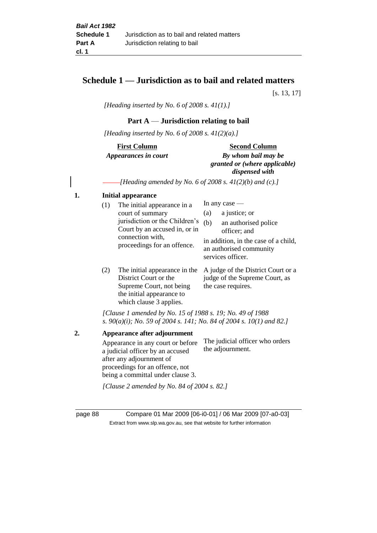## **Schedule 1 — Jurisdiction as to bail and related matters**

[s. 13, 17]

*[Heading inserted by No. 6 of 2008 s. 41(1).]*

## **Part A** — **Jurisdiction relating to bail**

*[Heading inserted by No. 6 of 2008 s. 41(2)(a).]*

# **First Column** *Appearances in court*

#### **Second Column**

*By whom bail may be granted or (where applicable) dispensed with*

*[Heading amended by No. 6 of 2008 s. 41(2)(b) and (c).]*

#### **1. Initial appearance**

|    | (1) | The initial appearance in a                                                                                                                |            | In any case $-$                                                                                                                               |
|----|-----|--------------------------------------------------------------------------------------------------------------------------------------------|------------|-----------------------------------------------------------------------------------------------------------------------------------------------|
|    |     | court of summary<br>jurisdiction or the Children's<br>Court by an accused in, or in<br>connection with,<br>proceedings for an offence.     | (a)<br>(b) | a justice; or<br>an authorised police<br>officer; and<br>in addition, in the case of a child,<br>an authorised community<br>services officer. |
|    | (2) | The initial appearance in the<br>District Court or the<br>Supreme Court, not being<br>the initial appearance to<br>which clause 3 applies. |            | A judge of the District Court or a<br>judge of the Supreme Court, as<br>the case requires.                                                    |
|    |     | [Clause 1 amended by No. 15 of 1988 s. 19; No. 49 of 1988]<br>s. $90(a)(i)$ ; No. 59 of 2004 s. 141; No. 84 of 2004 s. 10(1) and 82.]      |            |                                                                                                                                               |
| 2. |     | Appearance after adjournment<br>Appearance in any court or before                                                                          |            | The judicial officer who orders<br>the edicurry out                                                                                           |

a judicial officer by an accused after any adjournment of proceedings for an offence, not being a committal under clause 3. the adjournment. *[Clause 2 amended by No. 84 of 2004 s. 82.]*

page 88 Compare 01 Mar 2009 [06-i0-01] / 06 Mar 2009 [07-a0-03] Extract from www.slp.wa.gov.au, see that website for further information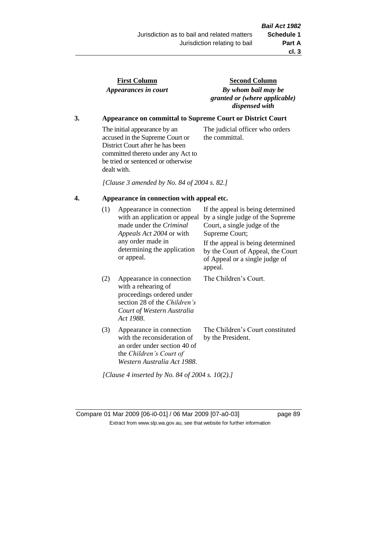the committal.

| <b>First Column</b>  |  |  |  |  |  |
|----------------------|--|--|--|--|--|
| Appearances in court |  |  |  |  |  |

**Second Column** *By whom bail may be granted or (where applicable) dispensed with*

The judicial officer who orders

## **3. Appearance on committal to Supreme Court or District Court**

The initial appearance by an accused in the Supreme Court or District Court after he has been committed thereto under any Act to be tried or sentenced or otherwise dealt with.

*[Clause 3 amended by No. 84 of 2004 s. 82.]*

## **4. Appearance in connection with appeal etc.**

| (1) | Appearance in connection<br>with an application or appeal<br>made under the Criminal<br><i>Appeals Act 2004</i> or with<br>any order made in<br>determining the application<br>or appeal. | If the appeal is being determined<br>by a single judge of the Supreme<br>Court, a single judge of the<br>Supreme Court;<br>If the appeal is being determined<br>by the Court of Appeal, the Court<br>of Appeal or a single judge of<br>appeal. |
|-----|-------------------------------------------------------------------------------------------------------------------------------------------------------------------------------------------|------------------------------------------------------------------------------------------------------------------------------------------------------------------------------------------------------------------------------------------------|
| (2) | Appearance in connection<br>with a rehearing of<br>proceedings ordered under<br>section 28 of the <i>Children's</i><br>Court of Western Australia<br>Act 1988.                            | The Children's Court.                                                                                                                                                                                                                          |
| (3) | Appearance in connection<br>with the reconsideration of<br>an order under section 40 of<br>the Children's Court of<br>Western Australia Act 1988.                                         | The Children's Court constituted<br>by the President.                                                                                                                                                                                          |

Compare 01 Mar 2009 [06-i0-01] / 06 Mar 2009 [07-a0-03] page 89 Extract from www.slp.wa.gov.au, see that website for further information

*[Clause 4 inserted by No. 84 of 2004 s. 10(2).]*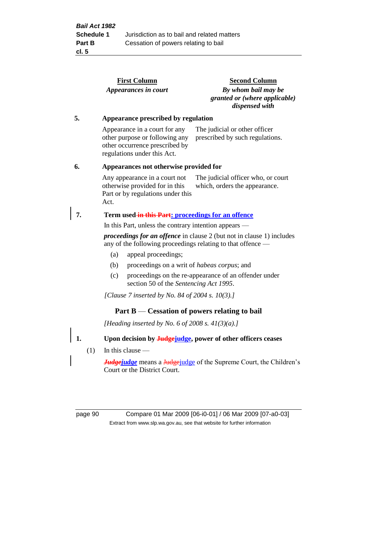| Appearances in court<br>Appearance prescribed by regulation<br>Appearance in a court for any<br>other purpose or following any<br>other occurrence prescribed by<br>regulations under this Act.<br>Appearances not otherwise provided for<br>Any appearance in a court not<br>otherwise provided for in this<br>Part or by regulations under this<br>Act. | <b>Second Column</b><br>By whom bail may be<br>granted or (where applicable)<br>dispensed with<br>The judicial or other officer<br>prescribed by such regulations.<br>The judicial officer who, or court<br>which, orders the appearance. |  |  |  |
|-----------------------------------------------------------------------------------------------------------------------------------------------------------------------------------------------------------------------------------------------------------------------------------------------------------------------------------------------------------|-------------------------------------------------------------------------------------------------------------------------------------------------------------------------------------------------------------------------------------------|--|--|--|
|                                                                                                                                                                                                                                                                                                                                                           |                                                                                                                                                                                                                                           |  |  |  |
|                                                                                                                                                                                                                                                                                                                                                           |                                                                                                                                                                                                                                           |  |  |  |
|                                                                                                                                                                                                                                                                                                                                                           |                                                                                                                                                                                                                                           |  |  |  |
|                                                                                                                                                                                                                                                                                                                                                           |                                                                                                                                                                                                                                           |  |  |  |
|                                                                                                                                                                                                                                                                                                                                                           |                                                                                                                                                                                                                                           |  |  |  |
| Term used-in this Part: proceedings for an offence                                                                                                                                                                                                                                                                                                        |                                                                                                                                                                                                                                           |  |  |  |
| In this Part, unless the contrary intention appears —                                                                                                                                                                                                                                                                                                     |                                                                                                                                                                                                                                           |  |  |  |
| <i>proceedings for an offence</i> in clause 2 (but not in clause 1) includes<br>any of the following proceedings relating to that offence —                                                                                                                                                                                                               |                                                                                                                                                                                                                                           |  |  |  |
| appeal proceedings;<br>(a)                                                                                                                                                                                                                                                                                                                                |                                                                                                                                                                                                                                           |  |  |  |
| proceedings on a writ of <i>habeas corpus</i> ; and<br>(b)                                                                                                                                                                                                                                                                                                |                                                                                                                                                                                                                                           |  |  |  |
| proceedings on the re-appearance of an offender under<br>(c)<br>section 50 of the Sentencing Act 1995.                                                                                                                                                                                                                                                    |                                                                                                                                                                                                                                           |  |  |  |
| [Clause 7 inserted by No. 84 of 2004 s. 10(3).]                                                                                                                                                                                                                                                                                                           |                                                                                                                                                                                                                                           |  |  |  |
| Part $B$ — Cessation of powers relating to bail                                                                                                                                                                                                                                                                                                           |                                                                                                                                                                                                                                           |  |  |  |
| [Heading inserted by No. 6 of 2008 s. $41(3)(a)$ .]                                                                                                                                                                                                                                                                                                       |                                                                                                                                                                                                                                           |  |  |  |
|                                                                                                                                                                                                                                                                                                                                                           | Upon decision by <b>Judge</b> judge, power of other officers ceases                                                                                                                                                                       |  |  |  |
| In this clause $-$<br>(1)                                                                                                                                                                                                                                                                                                                                 |                                                                                                                                                                                                                                           |  |  |  |
| <b><i>Judgejudge</i></b> means a Judgejudge of the Supreme Court, the Children's<br>Court or the District Court.                                                                                                                                                                                                                                          |                                                                                                                                                                                                                                           |  |  |  |
|                                                                                                                                                                                                                                                                                                                                                           |                                                                                                                                                                                                                                           |  |  |  |

page 90 Compare 01 Mar 2009 [06-i0-01] / 06 Mar 2009 [07-a0-03] Extract from www.slp.wa.gov.au, see that website for further information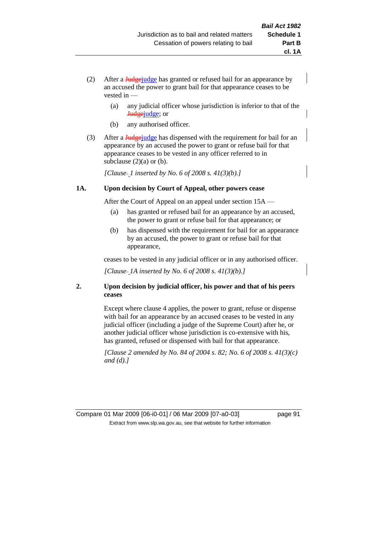- (2) After a **Judge** judge has granted or refused bail for an appearance by an accused the power to grant bail for that appearance ceases to be vested in —
	- (a) any judicial officer whose jurisdiction is inferior to that of the Judgejudge; or
	- (b) any authorised officer.
- (3) After a **Judge** judge has dispensed with the requirement for bail for an appearance by an accused the power to grant or refuse bail for that appearance ceases to be vested in any officer referred to in subclause  $(2)(a)$  or  $(b)$ .

*[Clause 1 inserted by No. 6 of 2008 s. 41(3)(b).]*

#### **1A. Upon decision by Court of Appeal, other powers cease**

After the Court of Appeal on an appeal under section 15A —

- (a) has granted or refused bail for an appearance by an accused, the power to grant or refuse bail for that appearance; or
- (b) has dispensed with the requirement for bail for an appearance by an accused, the power to grant or refuse bail for that appearance,

ceases to be vested in any judicial officer or in any authorised officer.

*[Clause 1A inserted by No. 6 of 2008 s. 41(3)(b).]*

### **2. Upon decision by judicial officer, his power and that of his peers ceases**

Except where clause 4 applies, the power to grant, refuse or dispense with bail for an appearance by an accused ceases to be vested in any judicial officer (including a judge of the Supreme Court) after he, or another judicial officer whose jurisdiction is co-extensive with his, has granted, refused or dispensed with bail for that appearance.

*[Clause 2 amended by No. 84 of 2004 s. 82; No. 6 of 2008 s. 41(3)(c) and (d).]*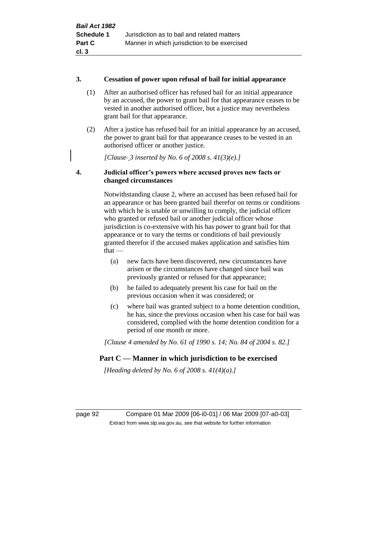#### **3. Cessation of power upon refusal of bail for initial appearance**

- (1) After an authorised officer has refused bail for an initial appearance by an accused, the power to grant bail for that appearance ceases to be vested in another authorised officer, but a justice may nevertheless grant bail for that appearance.
- (2) After a justice has refused bail for an initial appearance by an accused, the power to grant bail for that appearance ceases to be vested in an authorised officer or another justice.

*[Clause 3 inserted by No. 6 of 2008 s. 41(3)(e).]*

## **4. Judicial officer's powers where accused proves new facts or changed circumstances**

Notwithstanding clause 2, where an accused has been refused bail for an appearance or has been granted bail therefor on terms or conditions with which he is unable or unwilling to comply, the judicial officer who granted or refused bail or another judicial officer whose jurisdiction is co-extensive with his has power to grant bail for that appearance or to vary the terms or conditions of bail previously granted therefor if the accused makes application and satisfies him  $that -$ 

- (a) new facts have been discovered, new circumstances have arisen or the circumstances have changed since bail was previously granted or refused for that appearance;
- (b) he failed to adequately present his case for bail on the previous occasion when it was considered; or
- (c) where bail was granted subject to a home detention condition, he has, since the previous occasion when his case for bail was considered, complied with the home detention condition for a period of one month or more.

*[Clause 4 amended by No. 61 of 1990 s. 14; No. 84 of 2004 s. 82.]*

## **Part C — Manner in which jurisdiction to be exercised**

*[Heading deleted by No. 6 of 2008 s. 41(4)(a).]*

page 92 Compare 01 Mar 2009 [06-i0-01] / 06 Mar 2009 [07-a0-03] Extract from www.slp.wa.gov.au, see that website for further information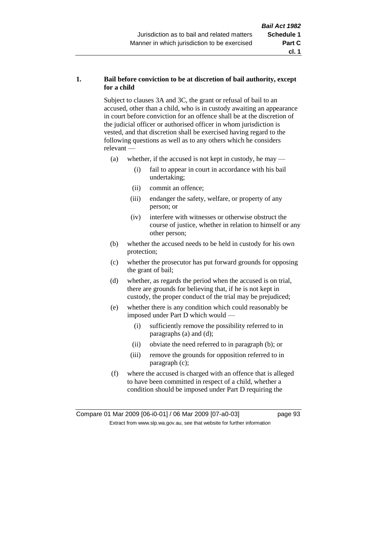### **1. Bail before conviction to be at discretion of bail authority, except for a child**

Subject to clauses 3A and 3C, the grant or refusal of bail to an accused, other than a child, who is in custody awaiting an appearance in court before conviction for an offence shall be at the discretion of the judicial officer or authorised officer in whom jurisdiction is vested, and that discretion shall be exercised having regard to the following questions as well as to any others which he considers relevant —

- (a) whether, if the accused is not kept in custody, he may
	- (i) fail to appear in court in accordance with his bail undertaking;
	- (ii) commit an offence;
	- (iii) endanger the safety, welfare, or property of any person; or
	- (iv) interfere with witnesses or otherwise obstruct the course of justice, whether in relation to himself or any other person;
- (b) whether the accused needs to be held in custody for his own protection;
- (c) whether the prosecutor has put forward grounds for opposing the grant of bail;
- (d) whether, as regards the period when the accused is on trial, there are grounds for believing that, if he is not kept in custody, the proper conduct of the trial may be prejudiced;
- (e) whether there is any condition which could reasonably be imposed under Part D which would —
	- (i) sufficiently remove the possibility referred to in paragraphs (a) and (d);
	- (ii) obviate the need referred to in paragraph (b); or
	- (iii) remove the grounds for opposition referred to in paragraph (c);
- (f) where the accused is charged with an offence that is alleged to have been committed in respect of a child, whether a condition should be imposed under Part D requiring the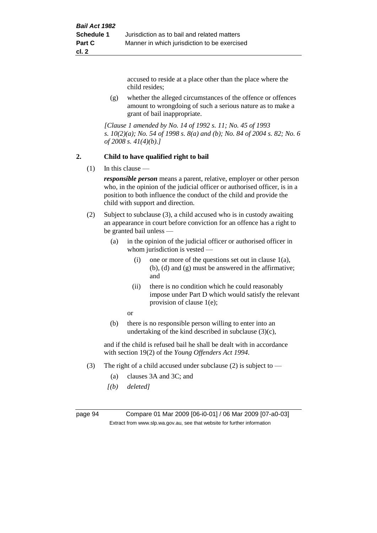accused to reside at a place other than the place where the child resides;

(g) whether the alleged circumstances of the offence or offences amount to wrongdoing of such a serious nature as to make a grant of bail inappropriate.

*[Clause 1 amended by No. 14 of 1992 s. 11; No. 45 of 1993 s. 10(2)(a); No. 54 of 1998 s. 8(a) and (b); No. 84 of 2004 s. 82; No. 6 of 2008 s. 41(4)(b).]*

#### **2. Child to have qualified right to bail**

 $(1)$  In this clause —

*responsible person* means a parent, relative, employer or other person who, in the opinion of the judicial officer or authorised officer, is in a position to both influence the conduct of the child and provide the child with support and direction.

- (2) Subject to subclause (3), a child accused who is in custody awaiting an appearance in court before conviction for an offence has a right to be granted bail unless —
	- (a) in the opinion of the judicial officer or authorised officer in whom jurisdiction is vested —
		- (i) one or more of the questions set out in clause  $1(a)$ , (b), (d) and (g) must be answered in the affirmative; and
		- (ii) there is no condition which he could reasonably impose under Part D which would satisfy the relevant provision of clause 1(e);
		- or
	- (b) there is no responsible person willing to enter into an undertaking of the kind described in subclause (3)(c),

and if the child is refused bail he shall be dealt with in accordance with section 19(2) of the *Young Offenders Act 1994*.

- (3) The right of a child accused under subclause (2) is subject to
	- (a) clauses 3A and 3C; and
	- *[(b) deleted]*

page 94 Compare 01 Mar 2009 [06-i0-01] / 06 Mar 2009 [07-a0-03] Extract from www.slp.wa.gov.au, see that website for further information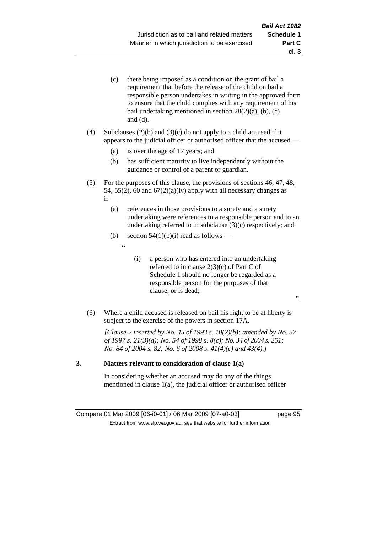- (c) there being imposed as a condition on the grant of bail a requirement that before the release of the child on bail a responsible person undertakes in writing in the approved form to ensure that the child complies with any requirement of his bail undertaking mentioned in section  $28(2)(a)$ , (b), (c) and (d).
- (4) Subclauses (2)(b) and (3)(c) do not apply to a child accused if it appears to the judicial officer or authorised officer that the accused —
	- (a) is over the age of 17 years; and
	- (b) has sufficient maturity to live independently without the guidance or control of a parent or guardian.
- (5) For the purposes of this clause, the provisions of sections 46, 47, 48, 54, 55(2), 60 and  $67(2)(a)(iv)$  apply with all necessary changes as  $if -$ 
	- (a) references in those provisions to a surety and a surety undertaking were references to a responsible person and to an undertaking referred to in subclause (3)(c) respectively; and
	- (b) section  $54(1)(b)(i)$  read as follows
		- .<br>.<br>.
- (i) a person who has entered into an undertaking referred to in clause 2(3)(c) of Part C of Schedule 1 should no longer be regarded as a responsible person for the purposes of that clause, or is dead;
- ".
- (6) Where a child accused is released on bail his right to be at liberty is subject to the exercise of the powers in section 17A.

*[Clause 2 inserted by No. 45 of 1993 s. 10(2)(b); amended by No. 57 of 1997 s. 21(3)(a); No. 54 of 1998 s. 8(c); No. 34 of 2004 s. 251; No. 84 of 2004 s. 82; No. 6 of 2008 s. 41(4)(c) and 43(4).]*

#### **3. Matters relevant to consideration of clause 1(a)**

In considering whether an accused may do any of the things mentioned in clause 1(a), the judicial officer or authorised officer

Compare 01 Mar 2009 [06-i0-01] / 06 Mar 2009 [07-a0-03] page 95 Extract from www.slp.wa.gov.au, see that website for further information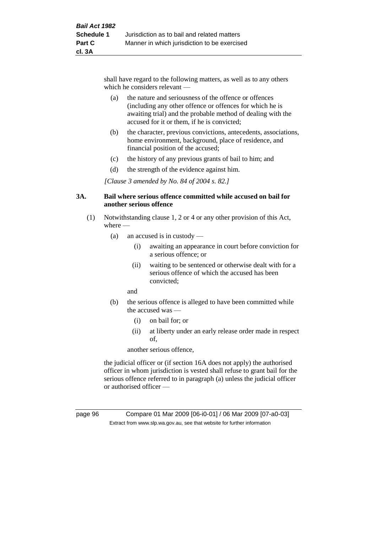shall have regard to the following matters, as well as to any others which he considers relevant —

- (a) the nature and seriousness of the offence or offences (including any other offence or offences for which he is awaiting trial) and the probable method of dealing with the accused for it or them, if he is convicted;
- (b) the character, previous convictions, antecedents, associations, home environment, background, place of residence, and financial position of the accused;
- (c) the history of any previous grants of bail to him; and
- (d) the strength of the evidence against him.

*[Clause 3 amended by No. 84 of 2004 s. 82.]*

#### **3A. Bail where serious offence committed while accused on bail for another serious offence**

- (1) Notwithstanding clause 1, 2 or 4 or any other provision of this Act, where —
	- (a) an accused is in custody
		- (i) awaiting an appearance in court before conviction for a serious offence; or
		- (ii) waiting to be sentenced or otherwise dealt with for a serious offence of which the accused has been convicted;
		- and
	- (b) the serious offence is alleged to have been committed while the accused was —
		- (i) on bail for; or
		- (ii) at liberty under an early release order made in respect of,

another serious offence,

the judicial officer or (if section 16A does not apply) the authorised officer in whom jurisdiction is vested shall refuse to grant bail for the serious offence referred to in paragraph (a) unless the judicial officer or authorised officer —

page 96 Compare 01 Mar 2009 [06-i0-01] / 06 Mar 2009 [07-a0-03] Extract from www.slp.wa.gov.au, see that website for further information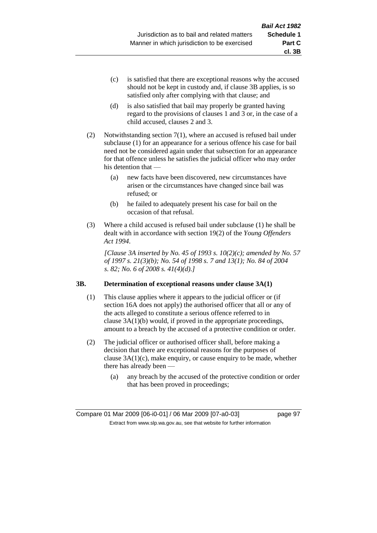- (c) is satisfied that there are exceptional reasons why the accused should not be kept in custody and, if clause 3B applies, is so satisfied only after complying with that clause; and
- (d) is also satisfied that bail may properly be granted having regard to the provisions of clauses 1 and 3 or, in the case of a child accused, clauses 2 and 3.
- (2) Notwithstanding section 7(1), where an accused is refused bail under subclause (1) for an appearance for a serious offence his case for bail need not be considered again under that subsection for an appearance for that offence unless he satisfies the judicial officer who may order his detention that —
	- (a) new facts have been discovered, new circumstances have arisen or the circumstances have changed since bail was refused; or
	- (b) he failed to adequately present his case for bail on the occasion of that refusal.
- (3) Where a child accused is refused bail under subclause (1) he shall be dealt with in accordance with section 19(2) of the *Young Offenders Act 1994*.

*[Clause 3A inserted by No. 45 of 1993 s. 10(2)(c); amended by No. 57 of 1997 s. 21(3)(b); No. 54 of 1998 s. 7 and 13(1); No. 84 of 2004 s. 82; No. 6 of 2008 s. 41(4)(d).]*

#### **3B. Determination of exceptional reasons under clause 3A(1)**

- (1) This clause applies where it appears to the judicial officer or (if section 16A does not apply) the authorised officer that all or any of the acts alleged to constitute a serious offence referred to in clause 3A(1)(b) would, if proved in the appropriate proceedings, amount to a breach by the accused of a protective condition or order.
- (2) The judicial officer or authorised officer shall, before making a decision that there are exceptional reasons for the purposes of clause  $3A(1)(c)$ , make enquiry, or cause enquiry to be made, whether there has already been —
	- (a) any breach by the accused of the protective condition or order that has been proved in proceedings;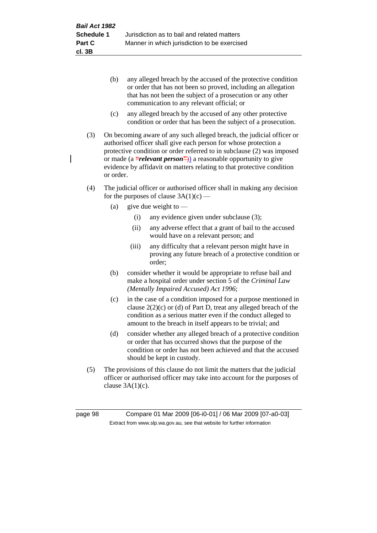- (b) any alleged breach by the accused of the protective condition or order that has not been so proved, including an allegation that has not been the subject of a prosecution or any other communication to any relevant official; or
- (c) any alleged breach by the accused of any other protective condition or order that has been the subject of a prosecution.
- (3) On becoming aware of any such alleged breach, the judicial officer or authorised officer shall give each person for whose protection a protective condition or order referred to in subclause (2) was imposed or made (a **"***relevant person***"**)) a reasonable opportunity to give evidence by affidavit on matters relating to that protective condition or order.
- (4) The judicial officer or authorised officer shall in making any decision for the purposes of clause  $3A(1)(c)$  —
	- (a) give due weight to  $-$ 
		- (i) any evidence given under subclause (3);
		- (ii) any adverse effect that a grant of bail to the accused would have on a relevant person; and
		- (iii) any difficulty that a relevant person might have in proving any future breach of a protective condition or order;
	- (b) consider whether it would be appropriate to refuse bail and make a hospital order under section 5 of the *Criminal Law (Mentally Impaired Accused) Act 1996*;
	- (c) in the case of a condition imposed for a purpose mentioned in clause 2(2)(c) or (d) of Part D, treat any alleged breach of the condition as a serious matter even if the conduct alleged to amount to the breach in itself appears to be trivial; and
	- (d) consider whether any alleged breach of a protective condition or order that has occurred shows that the purpose of the condition or order has not been achieved and that the accused should be kept in custody.
- (5) The provisions of this clause do not limit the matters that the judicial officer or authorised officer may take into account for the purposes of clause  $3A(1)(c)$ .

page 98 Compare 01 Mar 2009 [06-i0-01] / 06 Mar 2009 [07-a0-03] Extract from www.slp.wa.gov.au, see that website for further information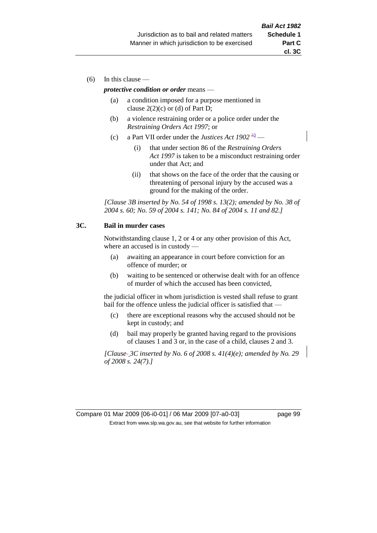$(6)$  In this clause —

#### *protective condition or order* means —

- (a) a condition imposed for a purpose mentioned in clause  $2(2)(c)$  or (d) of Part D;
- (b) a violence restraining order or a police order under the *Restraining Orders Act 1997*; or
- (c) a Part VII order under the *Justices Act*  $1902 \frac{23}{2}$ 
	- (i) that under section 86 of the *Restraining Orders Act 1997* is taken to be a misconduct restraining order under that Act; and
	- (ii) that shows on the face of the order that the causing or threatening of personal injury by the accused was a ground for the making of the order.

*[Clause 3B inserted by No. 54 of 1998 s. 13(2); amended by No. 38 of 2004 s. 60; No. 59 of 2004 s. 141; No. 84 of 2004 s. 11 and 82.]*

#### **3C. Bail in murder cases**

Notwithstanding clause 1, 2 or 4 or any other provision of this Act, where an accused is in custody —

- (a) awaiting an appearance in court before conviction for an offence of murder; or
- (b) waiting to be sentenced or otherwise dealt with for an offence of murder of which the accused has been convicted,

the judicial officer in whom jurisdiction is vested shall refuse to grant bail for the offence unless the judicial officer is satisfied that -

- (c) there are exceptional reasons why the accused should not be kept in custody; and
- (d) bail may properly be granted having regard to the provisions of clauses 1 and 3 or, in the case of a child, clauses 2 and 3.

*[Clause 3C inserted by No. 6 of 2008 s. 41(4)(e); amended by No. 29 of 2008 s. 24(7).]*

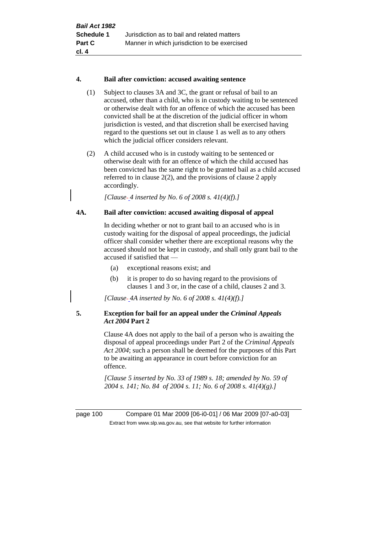#### **4. Bail after conviction: accused awaiting sentence**

- (1) Subject to clauses 3A and 3C, the grant or refusal of bail to an accused, other than a child, who is in custody waiting to be sentenced or otherwise dealt with for an offence of which the accused has been convicted shall be at the discretion of the judicial officer in whom jurisdiction is vested, and that discretion shall be exercised having regard to the questions set out in clause 1 as well as to any others which the judicial officer considers relevant.
- (2) A child accused who is in custody waiting to be sentenced or otherwise dealt with for an offence of which the child accused has been convicted has the same right to be granted bail as a child accused referred to in clause 2(2), and the provisions of clause 2 apply accordingly.

*[Clause 4 inserted by No. 6 of 2008 s. 41(4)(f).]*

### **4A. Bail after conviction: accused awaiting disposal of appeal**

In deciding whether or not to grant bail to an accused who is in custody waiting for the disposal of appeal proceedings, the judicial officer shall consider whether there are exceptional reasons why the accused should not be kept in custody, and shall only grant bail to the accused if satisfied that —

- (a) exceptional reasons exist; and
- (b) it is proper to do so having regard to the provisions of clauses 1 and 3 or, in the case of a child, clauses 2 and 3.

*[Clause 4A inserted by No. 6 of 2008 s. 41(4)(f).]*

### **5. Exception for bail for an appeal under the** *Criminal Appeals Act 2004* **Part 2**

Clause 4A does not apply to the bail of a person who is awaiting the disposal of appeal proceedings under Part 2 of the *Criminal Appeals Act 2004*; such a person shall be deemed for the purposes of this Part to be awaiting an appearance in court before conviction for an offence.

*[Clause 5 inserted by No. 33 of 1989 s. 18; amended by No. 59 of 2004 s. 141; No. 84 of 2004 s. 11; No. 6 of 2008 s. 41(4)(g).]*

page 100 Compare 01 Mar 2009 [06-i0-01] / 06 Mar 2009 [07-a0-03] Extract from www.slp.wa.gov.au, see that website for further information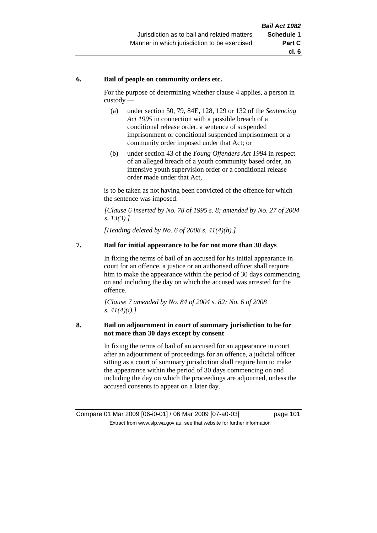#### **6. Bail of people on community orders etc.**

For the purpose of determining whether clause 4 applies, a person in custody —

- (a) under section 50, 79, 84E, 128, 129 or 132 of the *Sentencing Act 1995* in connection with a possible breach of a conditional release order, a sentence of suspended imprisonment or conditional suspended imprisonment or a community order imposed under that Act; or
- (b) under section 43 of the *Young Offenders Act 1994* in respect of an alleged breach of a youth community based order, an intensive youth supervision order or a conditional release order made under that Act,

is to be taken as not having been convicted of the offence for which the sentence was imposed.

*[Clause 6 inserted by No. 78 of 1995 s. 8; amended by No. 27 of 2004 s. 13(3).]*

*[Heading deleted by No. 6 of 2008 s. 41(4)(h).]*

#### **7. Bail for initial appearance to be for not more than 30 days**

In fixing the terms of bail of an accused for his initial appearance in court for an offence, a justice or an authorised officer shall require him to make the appearance within the period of 30 days commencing on and including the day on which the accused was arrested for the offence.

*[Clause 7 amended by No. 84 of 2004 s. 82; No. 6 of 2008 s. 41(4)(i).]*

#### **8. Bail on adjournment in court of summary jurisdiction to be for not more than 30 days except by consent**

In fixing the terms of bail of an accused for an appearance in court after an adjournment of proceedings for an offence, a judicial officer sitting as a court of summary jurisdiction shall require him to make the appearance within the period of 30 days commencing on and including the day on which the proceedings are adjourned, unless the accused consents to appear on a later day.

Compare 01 Mar 2009 [06-i0-01] / 06 Mar 2009 [07-a0-03] page 101 Extract from www.slp.wa.gov.au, see that website for further information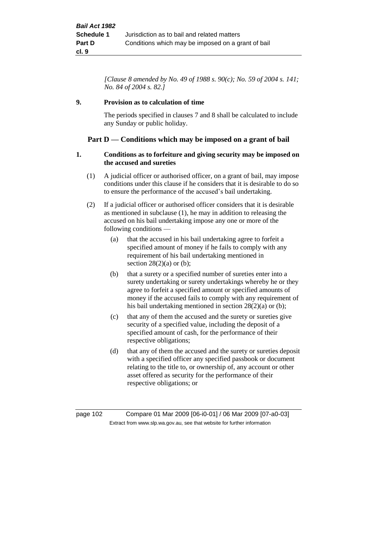*[Clause 8 amended by No. 49 of 1988 s. 90(c); No. 59 of 2004 s. 141; No. 84 of 2004 s. 82.]*

### **9. Provision as to calculation of time**

The periods specified in clauses 7 and 8 shall be calculated to include any Sunday or public holiday.

### **Part D — Conditions which may be imposed on a grant of bail**

#### **1. Conditions as to forfeiture and giving security may be imposed on the accused and sureties**

- (1) A judicial officer or authorised officer, on a grant of bail, may impose conditions under this clause if he considers that it is desirable to do so to ensure the performance of the accused's bail undertaking.
- (2) If a judicial officer or authorised officer considers that it is desirable as mentioned in subclause (1), he may in addition to releasing the accused on his bail undertaking impose any one or more of the following conditions —
	- (a) that the accused in his bail undertaking agree to forfeit a specified amount of money if he fails to comply with any requirement of his bail undertaking mentioned in section  $28(2)(a)$  or (b);
	- (b) that a surety or a specified number of sureties enter into a surety undertaking or surety undertakings whereby he or they agree to forfeit a specified amount or specified amounts of money if the accused fails to comply with any requirement of his bail undertaking mentioned in section 28(2)(a) or (b);
	- (c) that any of them the accused and the surety or sureties give security of a specified value, including the deposit of a specified amount of cash, for the performance of their respective obligations;
	- (d) that any of them the accused and the surety or sureties deposit with a specified officer any specified passbook or document relating to the title to, or ownership of, any account or other asset offered as security for the performance of their respective obligations; or

page 102 Compare 01 Mar 2009 [06-i0-01] / 06 Mar 2009 [07-a0-03] Extract from www.slp.wa.gov.au, see that website for further information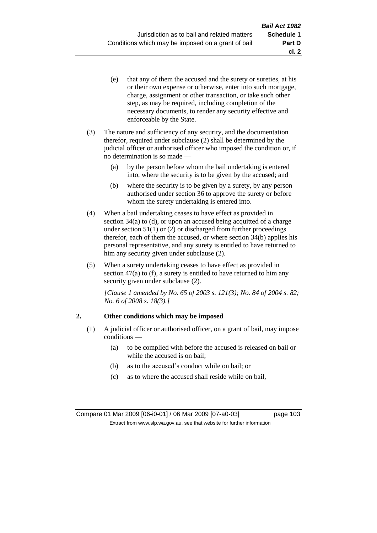- (e) that any of them the accused and the surety or sureties, at his or their own expense or otherwise, enter into such mortgage, charge, assignment or other transaction, or take such other step, as may be required, including completion of the necessary documents, to render any security effective and enforceable by the State.
- (3) The nature and sufficiency of any security, and the documentation therefor, required under subclause (2) shall be determined by the judicial officer or authorised officer who imposed the condition or, if no determination is so made —
	- (a) by the person before whom the bail undertaking is entered into, where the security is to be given by the accused; and
	- (b) where the security is to be given by a surety, by any person authorised under section 36 to approve the surety or before whom the surety undertaking is entered into.
- (4) When a bail undertaking ceases to have effect as provided in section 34(a) to (d), or upon an accused being acquitted of a charge under section  $51(1)$  or (2) or discharged from further proceedings therefor, each of them the accused, or where section 34(b) applies his personal representative, and any surety is entitled to have returned to him any security given under subclause (2).
- (5) When a surety undertaking ceases to have effect as provided in section  $47(a)$  to (f), a surety is entitled to have returned to him any security given under subclause (2).

*[Clause 1 amended by No. 65 of 2003 s. 121(3); No. 84 of 2004 s. 82; No. 6 of 2008 s. 18(3).]*

## **2. Other conditions which may be imposed**

- (1) A judicial officer or authorised officer, on a grant of bail, may impose conditions —
	- (a) to be complied with before the accused is released on bail or while the accused is on bail;
	- (b) as to the accused's conduct while on bail; or
	- (c) as to where the accused shall reside while on bail,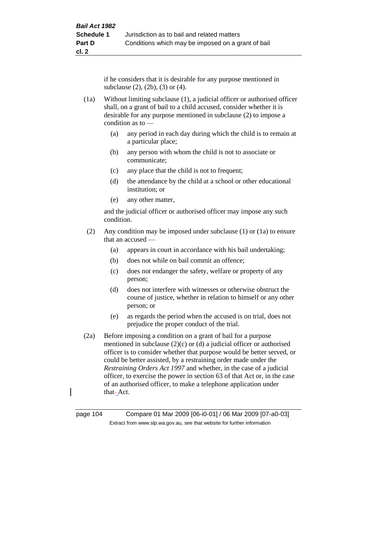if he considers that it is desirable for any purpose mentioned in subclause (2), (2b), (3) or (4).

- (1a) Without limiting subclause (1), a judicial officer or authorised officer shall, on a grant of bail to a child accused, consider whether it is desirable for any purpose mentioned in subclause (2) to impose a condition as to —
	- (a) any period in each day during which the child is to remain at a particular place;
	- (b) any person with whom the child is not to associate or communicate;
	- (c) any place that the child is not to frequent;
	- (d) the attendance by the child at a school or other educational institution; or
	- (e) any other matter,

and the judicial officer or authorised officer may impose any such condition.

- (2) Any condition may be imposed under subclause (1) or (1a) to ensure that an accused —
	- (a) appears in court in accordance with his bail undertaking;
	- (b) does not while on bail commit an offence;
	- (c) does not endanger the safety, welfare or property of any person;
	- (d) does not interfere with witnesses or otherwise obstruct the course of justice, whether in relation to himself or any other person; or
	- (e) as regards the period when the accused is on trial, does not prejudice the proper conduct of the trial.
- (2a) Before imposing a condition on a grant of bail for a purpose mentioned in subclause  $(2)(c)$  or  $(d)$  a judicial officer or authorised officer is to consider whether that purpose would be better served, or could be better assisted, by a restraining order made under the *Restraining Orders Act 1997* and whether, in the case of a judicial officer, to exercise the power in section 63 of that Act or, in the case of an authorised officer, to make a telephone application under that-Act.

page 104 Compare 01 Mar 2009 [06-i0-01] / 06 Mar 2009 [07-a0-03] Extract from www.slp.wa.gov.au, see that website for further information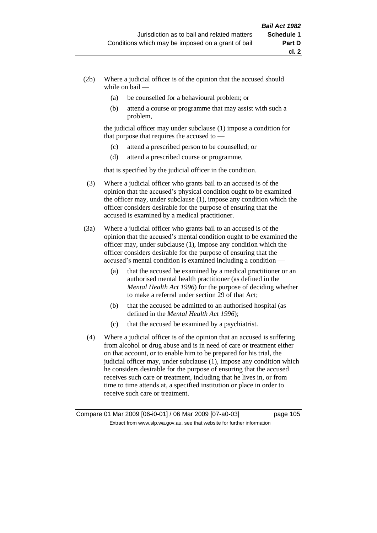- (2b) Where a judicial officer is of the opinion that the accused should while on bail —
	- (a) be counselled for a behavioural problem; or
	- (b) attend a course or programme that may assist with such a problem,

the judicial officer may under subclause (1) impose a condition for that purpose that requires the accused to —

- (c) attend a prescribed person to be counselled; or
- (d) attend a prescribed course or programme,

that is specified by the judicial officer in the condition.

- (3) Where a judicial officer who grants bail to an accused is of the opinion that the accused's physical condition ought to be examined the officer may, under subclause (1), impose any condition which the officer considers desirable for the purpose of ensuring that the accused is examined by a medical practitioner.
- (3a) Where a judicial officer who grants bail to an accused is of the opinion that the accused's mental condition ought to be examined the officer may, under subclause (1), impose any condition which the officer considers desirable for the purpose of ensuring that the accused's mental condition is examined including a condition —
	- (a) that the accused be examined by a medical practitioner or an authorised mental health practitioner (as defined in the *Mental Health Act 1996*) for the purpose of deciding whether to make a referral under section 29 of that Act;
	- (b) that the accused be admitted to an authorised hospital (as defined in the *Mental Health Act 1996*);
	- (c) that the accused be examined by a psychiatrist.
- (4) Where a judicial officer is of the opinion that an accused is suffering from alcohol or drug abuse and is in need of care or treatment either on that account, or to enable him to be prepared for his trial, the judicial officer may, under subclause (1), impose any condition which he considers desirable for the purpose of ensuring that the accused receives such care or treatment, including that he lives in, or from time to time attends at, a specified institution or place in order to receive such care or treatment.

Compare 01 Mar 2009 [06-i0-01] / 06 Mar 2009 [07-a0-03] page 105 Extract from www.slp.wa.gov.au, see that website for further information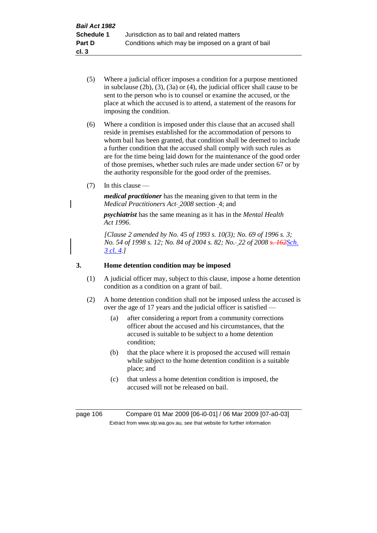(5) Where a judicial officer imposes a condition for a purpose mentioned in subclause (2b), (3), (3a) or (4), the judicial officer shall cause to be sent to the person who is to counsel or examine the accused, or the place at which the accused is to attend, a statement of the reasons for imposing the condition.

(6) Where a condition is imposed under this clause that an accused shall reside in premises established for the accommodation of persons to whom bail has been granted, that condition shall be deemed to include a further condition that the accused shall comply with such rules as are for the time being laid down for the maintenance of the good order of those premises, whether such rules are made under section 67 or by the authority responsible for the good order of the premises.

(7) In this clause —

*medical practitioner* has the meaning given to that term in the *Medical Practitioners Act-2008 section-4; and* 

*psychiatrist* has the same meaning as it has in the *Mental Health Act 1996*.

*[Clause 2 amended by No. 45 of 1993 s. 10(3); No. 69 of 1996 s. 3; No. 54 of 1998 s. 12; No. 84 of 2004 s. 82; No. 22 of 2008 s. 162Sch. 3 cl. 4.]*

### **3. Home detention condition may be imposed**

- (1) A judicial officer may, subject to this clause, impose a home detention condition as a condition on a grant of bail.
- (2) A home detention condition shall not be imposed unless the accused is over the age of 17 years and the judicial officer is satisfied —
	- (a) after considering a report from a community corrections officer about the accused and his circumstances, that the accused is suitable to be subject to a home detention condition;
	- (b) that the place where it is proposed the accused will remain while subject to the home detention condition is a suitable place; and
	- (c) that unless a home detention condition is imposed, the accused will not be released on bail.

page 106 Compare 01 Mar 2009 [06-i0-01] / 06 Mar 2009 [07-a0-03] Extract from www.slp.wa.gov.au, see that website for further information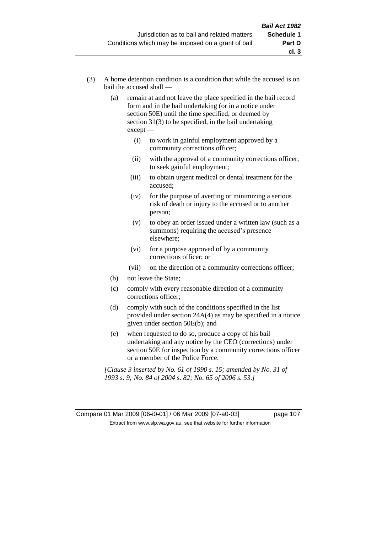- (3) A home detention condition is a condition that while the accused is on bail the accused shall —
	- (a) remain at and not leave the place specified in the bail record form and in the bail undertaking (or in a notice under section 50E) until the time specified, or deemed by section  $31(3)$  to be specified, in the bail undertaking except —
		- (i) to work in gainful employment approved by a community corrections officer;
		- (ii) with the approval of a community corrections officer, to seek gainful employment;
		- (iii) to obtain urgent medical or dental treatment for the accused;
		- (iv) for the purpose of averting or minimizing a serious risk of death or injury to the accused or to another person;
		- (v) to obey an order issued under a written law (such as a summons) requiring the accused's presence elsewhere;
		- (vi) for a purpose approved of by a community corrections officer; or
		- (vii) on the direction of a community corrections officer;
	- (b) not leave the State;
	- (c) comply with every reasonable direction of a community corrections officer;
	- (d) comply with such of the conditions specified in the list provided under section 24A(4) as may be specified in a notice given under section 50E(b); and
	- (e) when requested to do so, produce a copy of his bail undertaking and any notice by the CEO (corrections) under section 50E for inspection by a community corrections officer or a member of the Police Force.

*[Clause 3 inserted by No. 61 of 1990 s. 15; amended by No. 31 of 1993 s. 9; No. 84 of 2004 s. 82; No. 65 of 2006 s. 53.]*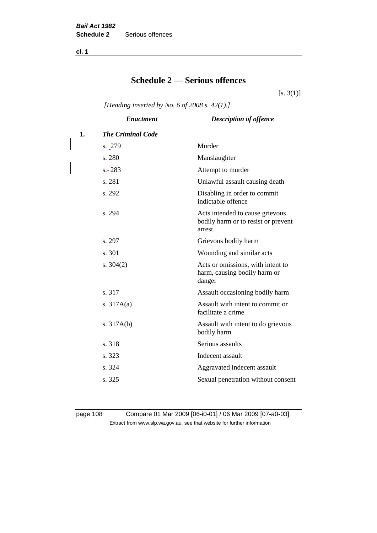**cl. 1**

# **Schedule 2 — Serious offences**

 $[s. 3(1)]$ 

*[Heading inserted by No. 6 of 2008 s. 42(1).]*

|    | <b>Enactment</b>         | <b>Description of offence</b>                                                    |
|----|--------------------------|----------------------------------------------------------------------------------|
| 1. | <b>The Criminal Code</b> |                                                                                  |
|    | $s - 279$                | Murder                                                                           |
|    | s. 280                   | Manslaughter                                                                     |
|    | $s - 283$                | Attempt to murder                                                                |
|    | s. 281                   | Unlawful assault causing death                                                   |
|    | s. 292                   | Disabling in order to commit<br>indictable offence                               |
|    | s. 294                   | Acts intended to cause grievous<br>bodily harm or to resist or prevent<br>arrest |
|    | s. 297                   | Grievous bodily harm                                                             |
|    | s. 301                   | Wounding and similar acts                                                        |
|    | s. $304(2)$              | Acts or omissions, with intent to<br>harm, causing bodily harm or<br>danger      |
|    | s. 317                   | Assault occasioning bodily harm                                                  |
|    | s. $317A(a)$             | Assault with intent to commit or<br>facilitate a crime                           |
|    | s. $317A(b)$             | Assault with intent to do grievous<br>bodily harm                                |
|    | s. 318                   | Serious assaults                                                                 |
|    | s. 323                   | Indecent assault                                                                 |
|    | s. 324                   | Aggravated indecent assault                                                      |
|    | s. 325                   | Sexual penetration without consent                                               |
|    |                          |                                                                                  |

page 108 Compare 01 Mar 2009 [06-i0-01] / 06 Mar 2009 [07-a0-03] Extract from www.slp.wa.gov.au, see that website for further information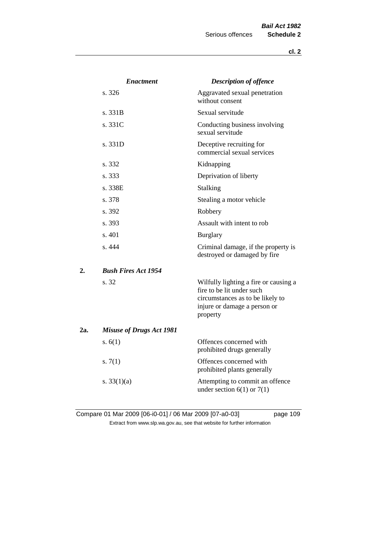|     | <b>Enactment</b>                | <b>Description of offence</b>                                                                                                                      |
|-----|---------------------------------|----------------------------------------------------------------------------------------------------------------------------------------------------|
|     | s. 326                          | Aggravated sexual penetration<br>without consent                                                                                                   |
|     | s. 331B                         | Sexual servitude                                                                                                                                   |
|     | s. 331C                         | Conducting business involving<br>sexual servitude                                                                                                  |
|     | s. 331D                         | Deceptive recruiting for<br>commercial sexual services                                                                                             |
|     | s. 332                          | Kidnapping                                                                                                                                         |
|     | s. 333                          | Deprivation of liberty                                                                                                                             |
|     | s. 338E                         | Stalking                                                                                                                                           |
|     | s. 378                          | Stealing a motor vehicle                                                                                                                           |
|     | s. 392                          | Robbery                                                                                                                                            |
|     | s. 393                          | Assault with intent to rob                                                                                                                         |
|     | s.401                           | <b>Burglary</b>                                                                                                                                    |
|     | s.444                           | Criminal damage, if the property is<br>destroyed or damaged by fire                                                                                |
| 2.  | <b>Bush Fires Act 1954</b>      |                                                                                                                                                    |
|     | s. 32                           | Wilfully lighting a fire or causing a<br>fire to be lit under such<br>circumstances as to be likely to<br>injure or damage a person or<br>property |
| 2a. | <b>Misuse of Drugs Act 1981</b> |                                                                                                                                                    |
|     | s. $6(1)$                       | Offences concerned with<br>prohibited drugs generally                                                                                              |
|     | s. $7(1)$                       | Offences concerned with<br>prohibited plants generally                                                                                             |
|     | s. $33(1)(a)$                   | Attempting to commit an offence<br>under section $6(1)$ or $7(1)$                                                                                  |

Compare 01 Mar 2009 [06-i0-01] / 06 Mar 2009 [07-a0-03] page 109 Extract from www.slp.wa.gov.au, see that website for further information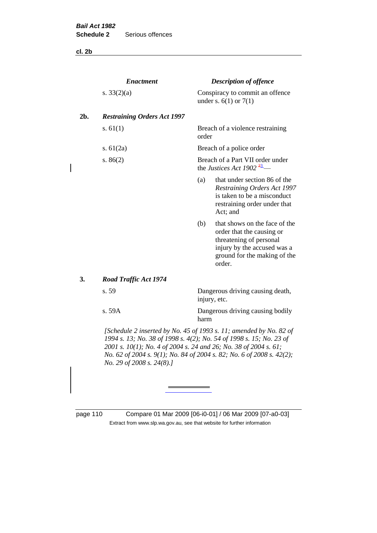**cl. 2b**

|     | <b>Enactment</b>                                                                                                                                                                                                                                                                                                    |                                                  | <b>Description of offence</b>                                                                                                                                  |
|-----|---------------------------------------------------------------------------------------------------------------------------------------------------------------------------------------------------------------------------------------------------------------------------------------------------------------------|--------------------------------------------------|----------------------------------------------------------------------------------------------------------------------------------------------------------------|
|     | s. $33(2)(a)$                                                                                                                                                                                                                                                                                                       |                                                  | Conspiracy to commit an offence<br>under s. $6(1)$ or $7(1)$                                                                                                   |
| 2b. | <b>Restraining Orders Act 1997</b>                                                                                                                                                                                                                                                                                  |                                                  |                                                                                                                                                                |
|     | s. $61(1)$                                                                                                                                                                                                                                                                                                          | order                                            | Breach of a violence restraining                                                                                                                               |
|     | s. $61(2a)$                                                                                                                                                                                                                                                                                                         |                                                  | Breach of a police order                                                                                                                                       |
|     | s. $86(2)$                                                                                                                                                                                                                                                                                                          |                                                  | Breach of a Part VII order under<br>the Justices Act 1902 $\frac{23}{2}$                                                                                       |
|     |                                                                                                                                                                                                                                                                                                                     | (a)                                              | that under section 86 of the<br><b>Restraining Orders Act 1997</b><br>is taken to be a misconduct<br>restraining order under that<br>Act; and                  |
|     |                                                                                                                                                                                                                                                                                                                     | (b)                                              | that shows on the face of the<br>order that the causing or<br>threatening of personal<br>injury by the accused was a<br>ground for the making of the<br>order. |
| 3.  | <b>Road Traffic Act 1974</b>                                                                                                                                                                                                                                                                                        |                                                  |                                                                                                                                                                |
|     | s. 59                                                                                                                                                                                                                                                                                                               | Dangerous driving causing death,<br>injury, etc. |                                                                                                                                                                |
|     | s. 59A                                                                                                                                                                                                                                                                                                              | Dangerous driving causing bodily<br>harm         |                                                                                                                                                                |
|     | [Schedule 2 inserted by No. 45 of 1993 s. 11; amended by No. 82 of<br>1994 s. 13; No. 38 of 1998 s. 4(2); No. 54 of 1998 s. 15; No. 23 of<br>2001 s. 10(1); No. 4 of 2004 s. 24 and 26; No. 38 of 2004 s. 61;<br>No. 62 of 2004 s. 9(1); No. 84 of 2004 s. 82; No. 6 of 2008 s. 42(2);<br>No. 29 of 2008 s. 24(8).] |                                                  |                                                                                                                                                                |

page 110 Compare 01 Mar 2009 [06-i0-01] / 06 Mar 2009 [07-a0-03] Extract from www.slp.wa.gov.au, see that website for further information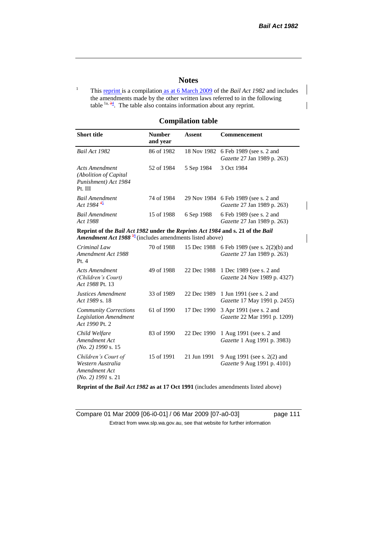# **Notes**

<sup>1</sup> This reprint is a compilation as at 6 March 2009 of the *Bail Act 1982* and includes the amendments made by the other written laws referred to in the following table  $1a, 34$ . The table also contains information about any reprint.

# **Compilation table**

| <b>Short title</b>                                                                                                                                    | <b>Number</b><br>and year | <b>Assent</b> | Commencement                                                        |
|-------------------------------------------------------------------------------------------------------------------------------------------------------|---------------------------|---------------|---------------------------------------------------------------------|
| Bail Act 1982                                                                                                                                         | 86 of 1982                | 18 Nov 1982   | 6 Feb 1989 (see s. 2 and<br>Gazette 27 Jan 1989 p. 263)             |
| <b>Acts Amendment</b><br>(Abolition of Capital<br>Punishment) Act 1984<br>Pt. III                                                                     | 52 of 1984                | 5 Sep 1984    | 3 Oct 1984                                                          |
| <b>Bail Amendment</b><br>Act 1984 $45$                                                                                                                | 74 of 1984                |               | 29 Nov 1984 6 Feb 1989 (see s. 2 and<br>Gazette 27 Jan 1989 p. 263) |
| <b>Bail Amendment</b><br>Act 1988                                                                                                                     | 15 of 1988                | 6 Sep 1988    | 6 Feb 1989 (see s. 2 and<br>Gazette 27 Jan 1989 p. 263)             |
| Reprint of the Bail Act 1982 under the Reprints Act 1984 and s. 21 of the Bail<br>Amendment Act 1988 <sup>56</sup> (includes amendments listed above) |                           |               |                                                                     |
| Criminal Law<br>Amendment Act 1988<br>Pt.4                                                                                                            | 70 of 1988                | 15 Dec 1988   | 6 Feb 1989 (see s. 2(2)(b) and<br>Gazette 27 Jan 1989 p. 263)       |
| <b>Acts Amendment</b><br>(Children's Court)<br>Act 1988 Pt. 13                                                                                        | 49 of 1988                | 22 Dec 1988   | 1 Dec 1989 (see s. 2 and<br><i>Gazette</i> 24 Nov 1989 p. 4327)     |
| <b>Justices Amendment</b><br>Act 1989 s. 18                                                                                                           | 33 of 1989                | 22 Dec 1989   | 1 Jun 1991 (see s. 2 and<br>Gazette 17 May 1991 p. 2455)            |
| <b>Community Corrections</b><br><b>Legislation Amendment</b><br>Act 1990 Pt. 2                                                                        | 61 of 1990                | 17 Dec 1990   | 3 Apr 1991 (see s. 2 and<br>Gazette 22 Mar 1991 p. 1209)            |
| Child Welfare<br>Amendment Act<br>$(No. 2)$ 1990 s. 15                                                                                                | 83 of 1990                | 22 Dec 1990   | 1 Aug 1991 (see s. 2 and<br>Gazette 1 Aug 1991 p. 3983)             |
| Children's Court of<br>Western Australia<br>Amendment Act<br>$(No. 2)$ 1991 s. 21                                                                     | 15 of 1991                | 21 Jun 1991   | 9 Aug 1991 (see s. 2(2) and<br>Gazette 9 Aug 1991 p. 4101)          |

**Reprint of the** *Bail Act 1982* **as at 17 Oct 1991** (includes amendments listed above)

Compare 01 Mar 2009 [06-i0-01] / 06 Mar 2009 [07-a0-03] page 111 Extract from www.slp.wa.gov.au, see that website for further information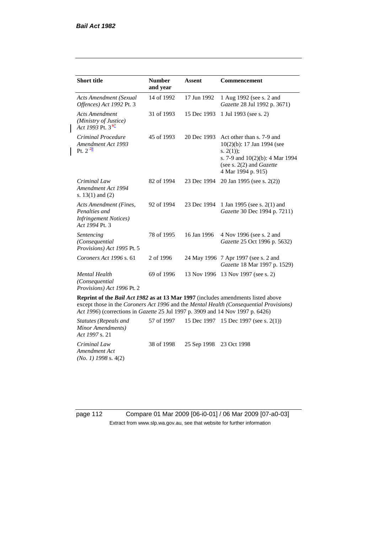| <b>Short title</b>                                                                         | <b>Number</b><br>and year | <b>Assent</b> | Commencement                                                                                                                                                               |
|--------------------------------------------------------------------------------------------|---------------------------|---------------|----------------------------------------------------------------------------------------------------------------------------------------------------------------------------|
| <b>Acts Amendment (Sexual</b><br>Offences) Act 1992 Pt. 3                                  | 14 of 1992                | 17 Jun 1992   | 1 Aug 1992 (see s. 2 and<br>Gazette 28 Jul 1992 p. 3671)                                                                                                                   |
| <b>Acts Amendment</b><br>(Ministry of Justice)<br>Act 1993 Pt. 3 $\frac{67}{2}$            | 31 of 1993                | 15 Dec 1993   | 1 Jul 1993 (see s. 2)                                                                                                                                                      |
| Criminal Procedure<br>Amendment Act 1993<br>Pt. $2^{\frac{78}{}}$                          | 45 of 1993                | 20 Dec 1993   | Act other than s. 7-9 and<br>$10(2)(b)$ : 17 Jan 1994 (see<br>s. $2(1)$ ;<br>s. 7-9 and $10(2)(b)$ : 4 Mar 1994<br>(see s. $2(2)$ and <i>Gazette</i><br>4 Mar 1994 p. 915) |
| Criminal Law<br>Amendment Act 1994<br>s. $13(1)$ and $(2)$                                 | 82 of 1994                | 23 Dec 1994   | 20 Jan 1995 (see s. 2(2))                                                                                                                                                  |
| Acts Amendment (Fines,<br>Penalties and<br><b>Infringement Notices</b> )<br>Act 1994 Pt. 3 | 92 of 1994                | 23 Dec 1994   | 1 Jan 1995 (see s. 2(1) and<br>Gazette 30 Dec 1994 p. 7211)                                                                                                                |
| Sentencing<br>(Consequential<br>Provisions) Act 1995 Pt. 5                                 | 78 of 1995                | 16 Jan 1996   | 4 Nov 1996 (see s. 2 and<br>Gazette 25 Oct 1996 p. 5632)                                                                                                                   |
| Coroners Act 1996 s. 61                                                                    | 2 of 1996                 |               | 24 May 1996 7 Apr 1997 (see s. 2 and<br>Gazette 18 Mar 1997 p. 1529)                                                                                                       |
| <b>Mental Health</b><br>(Consequential<br>Provisions) Act 1996 Pt. 2                       | 69 of 1996                |               | 13 Nov 1996 13 Nov 1997 (see s. 2)                                                                                                                                         |

**Reprint of the** *Bail Act 1982* **as at 13 Mar 1997** (includes amendments listed above except those in the *Coroners Act 1996* and the *Mental Health (Consequential Provisions) Act 1996*) (corrections in *Gazette* 25 Jul 1997 p. 3909 and 14 Nov 1997 p. 6426)

| Statutes (Repeals and<br>Minor Amendments)<br>Act 1997 s. 21 |            |                         | 57 of 1997 15 Dec 1997 15 Dec 1997 (see s. 2(1)) |
|--------------------------------------------------------------|------------|-------------------------|--------------------------------------------------|
| Criminal Law<br>Amendment Act<br>$(No. 1)$ 1998 s. 4(2)      | 38 of 1998 | 25 Sep 1998 23 Oct 1998 |                                                  |

page 112 Compare 01 Mar 2009 [06-i0-01] / 06 Mar 2009 [07-a0-03] Extract from www.slp.wa.gov.au, see that website for further information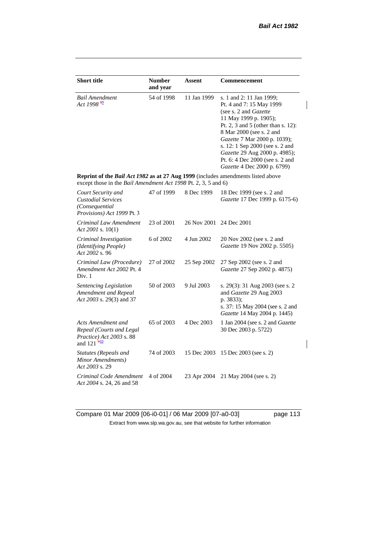$\begin{array}{c} \rule{0pt}{2ex} \rule{0pt}{2ex} \rule{0pt}{2ex} \rule{0pt}{2ex} \rule{0pt}{2ex} \rule{0pt}{2ex} \rule{0pt}{2ex} \rule{0pt}{2ex} \rule{0pt}{2ex} \rule{0pt}{2ex} \rule{0pt}{2ex} \rule{0pt}{2ex} \rule{0pt}{2ex} \rule{0pt}{2ex} \rule{0pt}{2ex} \rule{0pt}{2ex} \rule{0pt}{2ex} \rule{0pt}{2ex} \rule{0pt}{2ex} \rule{0pt}{2ex} \rule{0pt}{2ex} \rule{0pt}{2ex} \rule{0pt}{2ex} \rule{0pt}{$ 

| <b>Short title</b>                                                                                                                                 | <b>Number</b> | Assent      | Commencement                                                                                                                                                                                                                                                                                                                                            |
|----------------------------------------------------------------------------------------------------------------------------------------------------|---------------|-------------|---------------------------------------------------------------------------------------------------------------------------------------------------------------------------------------------------------------------------------------------------------------------------------------------------------------------------------------------------------|
|                                                                                                                                                    | and year      |             |                                                                                                                                                                                                                                                                                                                                                         |
| <b>Bail Amendment</b><br>Act 1998 <sup>89</sup>                                                                                                    | 54 of 1998    | 11 Jan 1999 | s. 1 and 2: 11 Jan 1999;<br>Pt. 4 and 7: 15 May 1999<br>(see s. 2 and <i>Gazette</i> )<br>11 May 1999 p. 1905);<br>Pt. 2, 3 and 5 (other than s. 12):<br>8 Mar 2000 (see s. 2 and<br>Gazette 7 Mar 2000 p. 1039);<br>s. 12: 1 Sep 2000 (see s. 2 and<br>Gazette 29 Aug 2000 p. 4985);<br>Pt. 6: 4 Dec 2000 (see s. 2 and<br>Gazette 4 Dec 2000 p. 6799) |
| Reprint of the Bail Act 1982 as at 27 Aug 1999 (includes amendments listed above<br>except those in the Bail Amendment Act 1998 Pt. 2, 3, 5 and 6) |               |             |                                                                                                                                                                                                                                                                                                                                                         |
| Court Security and<br><b>Custodial Services</b><br>(Consequential<br><i>Provisions</i> ) Act 1999 Pt. 3                                            | 47 of 1999    | 8 Dec 1999  | 18 Dec 1999 (see s. 2 and<br>Gazette 17 Dec 1999 p. 6175-6)                                                                                                                                                                                                                                                                                             |
| Criminal Law Amendment<br>Act 2001 s. $10(1)$                                                                                                      | 23 of 2001    | 26 Nov 2001 | 24 Dec 2001                                                                                                                                                                                                                                                                                                                                             |
| Criminal Investigation<br>(Identifying People)<br>Act 2002 s. 96                                                                                   | 6 of 2002     | 4 Jun 2002  | 20 Nov 2002 (see s. 2 and<br>Gazette 19 Nov 2002 p. 5505)                                                                                                                                                                                                                                                                                               |
| Criminal Law (Procedure)<br>Amendment Act 2002 Pt. 4<br>Div. 1                                                                                     | 27 of 2002    | 25 Sep 2002 | 27 Sep 2002 (see s. 2 and<br>Gazette 27 Sep 2002 p. 4875)                                                                                                                                                                                                                                                                                               |
| Sentencing Legislation<br>Amendment and Repeal<br>Act 2003 s. 29(3) and 37                                                                         | 50 of 2003    | 9 Jul 2003  | s. 29(3): 31 Aug 2003 (see s. 2)<br>and Gazette 29 Aug 2003<br>p. 3833);<br>s. 37: 15 May 2004 (see s. 2 and<br>Gazette 14 May 2004 p. 1445)                                                                                                                                                                                                            |
| Acts Amendment and<br>Repeal (Courts and Legal<br>Practice) Act 2003 s. 88<br>and $121 \frac{910}{910}$                                            | 65 of 2003    | 4 Dec 2003  | 1 Jan 2004 (see s. 2 and <i>Gazette</i><br>30 Dec 2003 p. 5722)                                                                                                                                                                                                                                                                                         |
| Statutes (Repeals and<br>Minor Amendments)<br>Act 2003 s. 29                                                                                       | 74 of 2003    | 15 Dec 2003 | 15 Dec 2003 (see s. 2)                                                                                                                                                                                                                                                                                                                                  |
| Criminal Code Amendment<br>Act 2004 s. 24, 26 and 58                                                                                               | 4 of 2004     | 23 Apr 2004 | 21 May 2004 (see s. 2)                                                                                                                                                                                                                                                                                                                                  |

Compare 01 Mar 2009 [06-i0-01] / 06 Mar 2009 [07-a0-03] page 113 Extract from www.slp.wa.gov.au, see that website for further information

 $\overline{\phantom{a}}$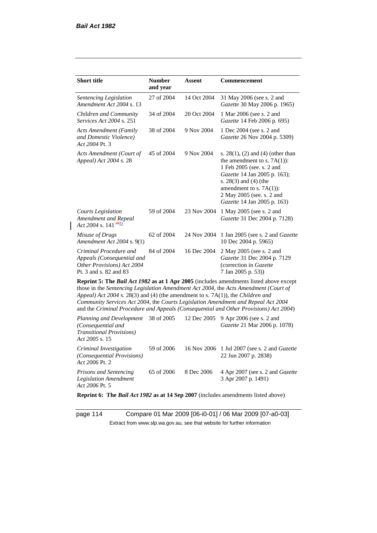*Prisons and Sentencing Legislation Amendment* 

| <b>Short title</b>                                                                                           | <b>Number</b><br>and year | <b>Assent</b> | Commencement                                                                                                                                                                                                                                                                                                                                                 |
|--------------------------------------------------------------------------------------------------------------|---------------------------|---------------|--------------------------------------------------------------------------------------------------------------------------------------------------------------------------------------------------------------------------------------------------------------------------------------------------------------------------------------------------------------|
| Sentencing Legislation<br>Amendment Act 2004 s. 13                                                           | 27 of 2004                | 14 Oct 2004   | 31 May 2006 (see s. 2 and<br>Gazette 30 May 2006 p. 1965)                                                                                                                                                                                                                                                                                                    |
| Children and Community<br>Services Act 2004 s. 251                                                           | 34 of 2004                | 20 Oct 2004   | 1 Mar 2006 (see s. 2 and<br>Gazette 14 Feb 2006 p. 695)                                                                                                                                                                                                                                                                                                      |
| Acts Amendment (Family<br>and Domestic Violence)<br>Act 2004 Pt. 3                                           | 38 of 2004                | 9 Nov 2004    | 1 Dec 2004 (see s. 2 and<br>Gazette 26 Nov 2004 p. 5309)                                                                                                                                                                                                                                                                                                     |
| Acts Amendment (Court of<br>Appeal) Act 2004 s. 28                                                           | 45 of 2004                | 9 Nov 2004    | s. $28(1)$ , (2) and (4) (other than<br>the amendment to s. $7A(1)$ :<br>1 Feb 2005 (see. s. 2 and<br>Gazette 14 Jan 2005 p. 163);<br>s. $28(3)$ and $(4)$ (the<br>amendment to s. $7A(1)$ :<br>2 May 2005 (see. s. 2 and<br>Gazette 14 Jan 2005 p. 163)                                                                                                     |
| <b>Courts Legislation</b><br>Amendment and Repeal<br>Act 2004 s. 141 $\frac{4011}{100}$                      | 59 of 2004                | 23 Nov 2004   | 1 May 2005 (see s. 2 and<br>Gazette 31 Dec 2004 p. 7128)                                                                                                                                                                                                                                                                                                     |
| Misuse of Drugs<br>Amendment Act 2004 s. 9(1)                                                                | 62 of 2004                | 24 Nov 2004   | 1 Jan 2005 (see s. 2 and <i>Gazette</i><br>10 Dec 2004 p. 5965)                                                                                                                                                                                                                                                                                              |
| Criminal Procedure and<br>Appeals (Consequential and<br>Other Provisions) Act 2004<br>Pt. 3 and s. 82 and 83 | 84 of 2004                | 16 Dec 2004   | 2 May 2005 (see s. 2 and<br>Gazette 31 Dec 2004 p. 7129<br>(correction in Gazette<br>7 Jan 2005 p. 53))                                                                                                                                                                                                                                                      |
| Appeal) Act 2004 s. 28(3) and (4) (the amendment to s. 7A(1)), the Children and                              |                           |               | Reprint 5: The Bail Act 1982 as at 1 Apr 2005 (includes amendments listed above except<br>those in the Sentencing Legislation Amendment Act 2004, the Acts Amendment (Court of<br>Community Services Act 2004, the Courts Legislation Amendment and Repeal Act 2004<br>and the Criminal Procedure and Appeals (Consequential and Other Provisions) Act 2004) |
| Planning and Development<br>(Consequential and<br><b>Transitional Provisions</b> )<br>Act 2005 s. 15         | 38 of 2005                | 12 Dec 2005   | 9 Apr 2006 (see s. 2 and<br>Gazette 21 Mar 2006 p. 1078)                                                                                                                                                                                                                                                                                                     |
| Criminal Investigation<br>(Consequential Provisions)<br>Act 2006 Pt. 2                                       | 59 of 2006                | 16 Nov 2006   | 1 Jul 2007 (see s. 2 and Gazette<br>22 Jun 2007 p. 2838)                                                                                                                                                                                                                                                                                                     |

*Act 2006* Pt. 5 **Reprint 6: The** *Bail Act 1982* **as at 14 Sep 2007** (includes amendments listed above)

65 of 2006 8 Dec 2006 4 Apr 2007 (see s. 2 and *Gazette*

3 Apr 2007 p. 1491)

page 114 Compare 01 Mar 2009 [06-i0-01] / 06 Mar 2009 [07-a0-03] Extract from www.slp.wa.gov.au, see that website for further information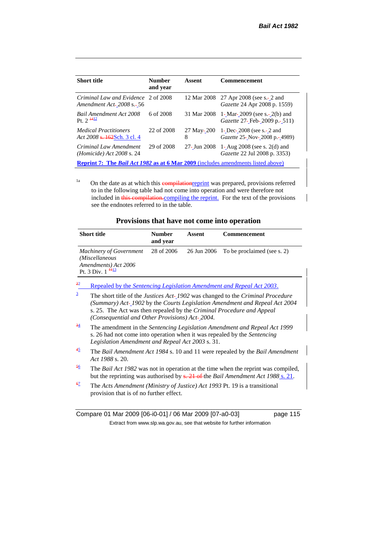| <b>Short title</b>                                                                             | <b>Number</b><br>and year | Assent          | <b>Commencement</b>                                                           |  |
|------------------------------------------------------------------------------------------------|---------------------------|-----------------|-------------------------------------------------------------------------------|--|
| Criminal Law and Evidence 2 of 2008<br><i>Amendment Act-2008 s.-56</i>                         |                           |                 | 12 Mar 2008 27 Apr 2008 (see s.- 2 and<br><i>Gazette</i> 24 Apr 2008 p. 1559) |  |
| Bail Amendment Act 2008<br>$P_1$ 2 $\frac{1412}{2}$                                            | 6 of 2008                 | 31 Mar 2008     | 1- Mar- $2009$ (see s.- $2(b)$ ) and<br>Gazette 27- Feb- 2009 p. - 511)       |  |
| <i>Medical Practitioners</i><br>Act 2008 <del>s. 162</del> Sch. 3 cl. 4                        | 22 of 2008                | 27 May-200<br>8 | 1- Dec- $2008$ (see s.- $2$ and<br>Gazette 25- Nov-2008 p.-4989)              |  |
| Criminal Law Amendment<br><i>(Homicide)</i> Act 2008 s. 24                                     | 29 of 2008                | 27- Jun 2008    | 1- Aug $2008$ (see s. $2(d)$ and<br>Gazette 22 Jul 2008 p. 3353)              |  |
| <b>Reprint 7:</b> The <i>Bail Act 1982</i> as at 6 Mar 2009 (includes amendments listed above) |                           |                 |                                                                               |  |

<sup>1a</sup> On the date as at which this **compilation example the value of the conduct** provisions referred to in the following table had not come into operation and were therefore not included in this compilation.compiling the reprint. For the text of the provisions see the endnotes referred to in the table.

| Provisions that have not come into operation |  |
|----------------------------------------------|--|
|----------------------------------------------|--|

|                | <b>Short title</b>                                                                                                      | <b>Number</b><br>and year | Assent      | Commencement                                                                                                                                                                 |
|----------------|-------------------------------------------------------------------------------------------------------------------------|---------------------------|-------------|------------------------------------------------------------------------------------------------------------------------------------------------------------------------------|
|                | <b>Machinery of Government</b><br>(Miscellaneous<br>Amendments) Act 2006<br>Pt. 3 Div. $1^{\frac{113}{2}}$              | 28 of 2006                | 26 Jun 2006 | To be proclaimed (see s. 2)                                                                                                                                                  |
| 22             |                                                                                                                         |                           |             | Repealed by the Sentencing Legislation Amendment and Repeal Act 2003.                                                                                                        |
| $\overline{3}$ | s. 25. The Act was then repealed by the Criminal Procedure and Appeal<br>(Consequential and Other Provisions) Act-2004. |                           |             | The short title of the Justices Act-1902 was changed to the Criminal Procedure<br>(Summary) Act-1902 by the Courts Legislation Amendment and Repeal Act 2004                 |
| $\frac{34}{5}$ | Legislation Amendment and Repeal Act 2003 s. 31.                                                                        |                           |             | The amendment in the Sentencing Legislation Amendment and Repeal Act 1999<br>s. 26 had not come into operation when it was repealed by the Sentencing                        |
| 45             | Act 1988 s. 20.                                                                                                         |                           |             | The Bail Amendment Act 1984 s. 10 and 11 were repealed by the Bail Amendment                                                                                                 |
| $\frac{56}{5}$ |                                                                                                                         |                           |             | The <i>Bail Act 1982</i> was not in operation at the time when the reprint was compiled,<br>but the reprinting was authorised by s. 21 of the Bail Amendment Act 1988 s. 21. |
| 67             | provision that is of no further effect.                                                                                 |                           |             | The Acts Amendment (Ministry of Justice) Act 1993 Pt. 19 is a transitional                                                                                                   |

Compare 01 Mar 2009 [06-i0-01] / 06 Mar 2009 [07-a0-03] page 115 Extract from www.slp.wa.gov.au, see that website for further information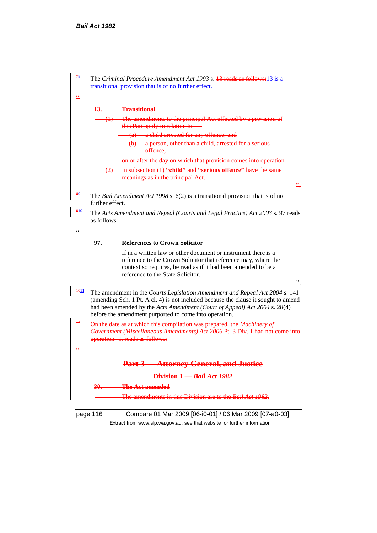

Extract from www.slp.wa.gov.au, see that website for further information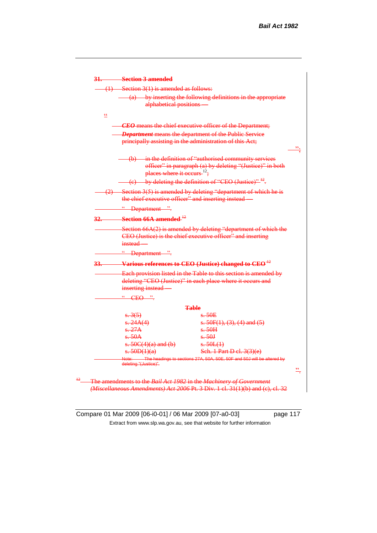

Compare 01 Mar 2009 [06-i0-01] / 06 Mar 2009 [07-a0-03] page 117 Extract from www.slp.wa.gov.au, see that website for further information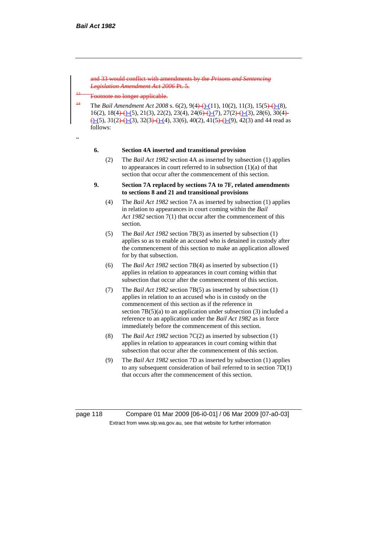and 33 would conflict with amendments by the *Prisons and Sentencing Legislation Amendment Act 2006* Pt. 5.

botnote no longer applicable.

<sup>14</sup> The *Bail Amendment Act* 2008 s. 6(2), 9(4)-(11), 10(2), 11(3), 15(5)-(1), 10(2),  $16(2)$ ,  $18(4)$  (-(5),  $21(3)$ ,  $22(2)$ ,  $23(4)$ ,  $24(6)$  (-(7),  $27(2)$  (-(3),  $28(6)$ ,  $30(4)$  $\left(-\frac{(-5)}{31(2)} - \frac{(-3)}{32(3)} - \frac{(-4)}{33(6)}, -40(2), -41(5) - (-9), -42(3)\right)$  and 44 read as follows:

.,

#### **6. Section 4A inserted and transitional provision**

(2) The *Bail Act 1982* section 4A as inserted by subsection (1) applies to appearances in court referred to in subsection (1)(a) of that section that occur after the commencement of this section.

### **9. Section 7A replaced by sections 7A to 7F, related amendments to sections 8 and 21 and transitional provisions**

- (4) The *Bail Act 1982* section 7A as inserted by subsection (1) applies in relation to appearances in court coming within the *Bail Act 1982* section 7(1) that occur after the commencement of this section.
- (5) The *Bail Act 1982* section 7B(3) as inserted by subsection (1) applies so as to enable an accused who is detained in custody after the commencement of this section to make an application allowed for by that subsection.
- (6) The *Bail Act 1982* section 7B(4) as inserted by subsection (1) applies in relation to appearances in court coming within that subsection that occur after the commencement of this section.
- (7) The *Bail Act 1982* section 7B(5) as inserted by subsection (1) applies in relation to an accused who is in custody on the commencement of this section as if the reference in section 7B(5)(a) to an application under subsection (3) included a reference to an application under the *Bail Act 1982* as in force immediately before the commencement of this section.
- (8) The *Bail Act 1982* section 7C(2) as inserted by subsection (1) applies in relation to appearances in court coming within that subsection that occur after the commencement of this section.
- (9) The *Bail Act 1982* section 7D as inserted by subsection (1) applies to any subsequent consideration of bail referred to in section 7D(1) that occurs after the commencement of this section.

page 118 Compare 01 Mar 2009 [06-i0-01] / 06 Mar 2009 [07-a0-03] Extract from www.slp.wa.gov.au, see that website for further information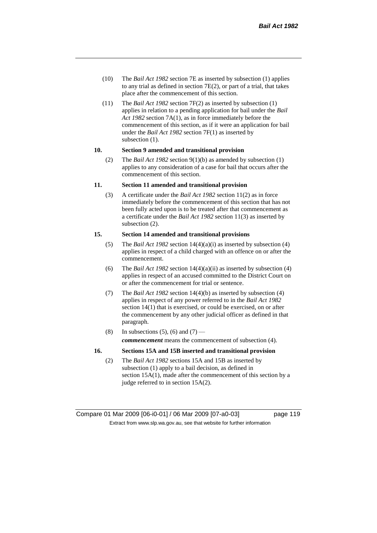- (10) The *Bail Act 1982* section 7E as inserted by subsection (1) applies to any trial as defined in section 7E(2), or part of a trial, that takes place after the commencement of this section.
- (11) The *Bail Act 1982* section 7F(2) as inserted by subsection (1) applies in relation to a pending application for bail under the *Bail Act 1982* section 7A(1), as in force immediately before the commencement of this section, as if it were an application for bail under the *Bail Act 1982* section 7F(1) as inserted by subsection (1).

#### **10. Section 9 amended and transitional provision**

(2) The *Bail Act 1982* section 9(1)(b) as amended by subsection (1) applies to any consideration of a case for bail that occurs after the commencement of this section.

#### **11. Section 11 amended and transitional provision**

(3) A certificate under the *Bail Act 1982* section 11(2) as in force immediately before the commencement of this section that has not been fully acted upon is to be treated after that commencement as a certificate under the *Bail Act 1982* section 11(3) as inserted by subsection (2).

# **15. Section 14 amended and transitional provisions**

- (5) The *Bail Act 1982* section 14(4)(a)(i) as inserted by subsection (4) applies in respect of a child charged with an offence on or after the commencement.
- (6) The *Bail Act 1982* section 14(4)(a)(ii) as inserted by subsection (4) applies in respect of an accused committed to the District Court on or after the commencement for trial or sentence.
- (7) The *Bail Act 1982* section 14(4)(b) as inserted by subsection (4) applies in respect of any power referred to in the *Bail Act 1982* section 14(1) that is exercised, or could be exercised, on or after the commencement by any other judicial officer as defined in that paragraph.
- (8) In subsections (5), (6) and (7) *commencement* means the commencement of subsection (4).

# **16. Sections 15A and 15B inserted and transitional provision**

(2) The *Bail Act 1982* sections 15A and 15B as inserted by subsection (1) apply to a bail decision, as defined in section 15A(1), made after the commencement of this section by a judge referred to in section 15A(2).

Compare 01 Mar 2009 [06-i0-01] / 06 Mar 2009 [07-a0-03] page 119 Extract from www.slp.wa.gov.au, see that website for further information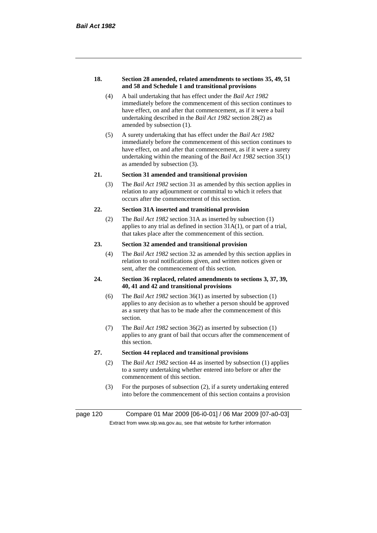#### **18. Section 28 amended, related amendments to sections 35, 49, 51 and 58 and Schedule 1 and transitional provisions**

- (4) A bail undertaking that has effect under the *Bail Act 1982* immediately before the commencement of this section continues to have effect, on and after that commencement, as if it were a bail undertaking described in the *Bail Act 1982* section 28(2) as amended by subsection (1).
- (5) A surety undertaking that has effect under the *Bail Act 1982* immediately before the commencement of this section continues to have effect, on and after that commencement, as if it were a surety undertaking within the meaning of the *Bail Act 1982* section 35(1) as amended by subsection (3).

# **21. Section 31 amended and transitional provision**

(3) The *Bail Act 1982* section 31 as amended by this section applies in relation to any adjournment or committal to which it refers that occurs after the commencement of this section.

#### **22. Section 31A inserted and transitional provision**

(2) The *Bail Act 1982* section 31A as inserted by subsection (1) applies to any trial as defined in section  $31A(1)$ , or part of a trial, that takes place after the commencement of this section.

# **23. Section 32 amended and transitional provision**

(4) The *Bail Act 1982* section 32 as amended by this section applies in relation to oral notifications given, and written notices given or sent, after the commencement of this section.

#### **24. Section 36 replaced, related amendments to sections 3, 37, 39, 40, 41 and 42 and transitional provisions**

- (6) The *Bail Act 1982* section 36(1) as inserted by subsection (1) applies to any decision as to whether a person should be approved as a surety that has to be made after the commencement of this section.
- (7) The *Bail Act 1982* section 36(2) as inserted by subsection (1) applies to any grant of bail that occurs after the commencement of this section.

# **27. Section 44 replaced and transitional provisions**

- (2) The *Bail Act 1982* section 44 as inserted by subsection (1) applies to a surety undertaking whether entered into before or after the commencement of this section.
- (3) For the purposes of subsection (2), if a surety undertaking entered into before the commencement of this section contains a provision

page 120 Compare 01 Mar 2009 [06-i0-01] / 06 Mar 2009 [07-a0-03] Extract from www.slp.wa.gov.au, see that website for further information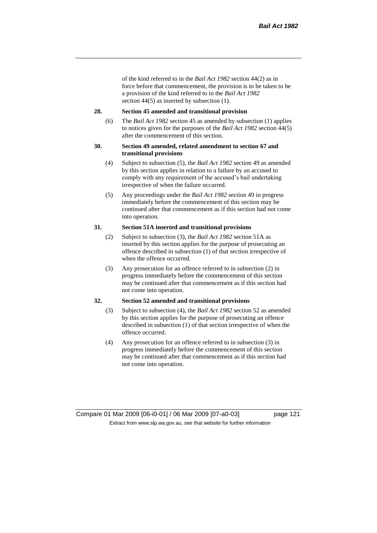of the kind referred to in the *Bail Act 1982* section 44(2) as in force before that commencement, the provision is to be taken to be a provision of the kind referred to in the *Bail Act 1982*  section 44(5) as inserted by subsection (1).

#### **28. Section 45 amended and transitional provision**

(6) The *Bail Act 1982* section 45 as amended by subsection (1) applies to notices given for the purposes of the *Bail Act 1982* section 44(5) after the commencement of this section.

### **30. Section 49 amended, related amendment to section 67 and transitional provisions**

- (4) Subject to subsection (5), the *Bail Act 1982* section 49 as amended by this section applies in relation to a failure by an accused to comply with any requirement of the accused's bail undertaking irrespective of when the failure occurred.
- (5) Any proceedings under the *Bail Act 1982* section 49 in progress immediately before the commencement of this section may be continued after that commencement as if this section had not come into operation.

#### **31. Section 51A inserted and transitional provisions**

- (2) Subject to subsection (3), the *Bail Act 1982* section 51A as inserted by this section applies for the purpose of prosecuting an offence described in subsection (1) of that section irrespective of when the offence occurred.
- (3) Any prosecution for an offence referred to in subsection (2) in progress immediately before the commencement of this section may be continued after that commencement as if this section had not come into operation.

# **32. Section 52 amended and transitional provisions**

- (3) Subject to subsection (4), the *Bail Act 1982* section 52 as amended by this section applies for the purpose of prosecuting an offence described in subsection (1) of that section irrespective of when the offence occurred.
- (4) Any prosecution for an offence referred to in subsection (3) in progress immediately before the commencement of this section may be continued after that commencement as if this section had not come into operation.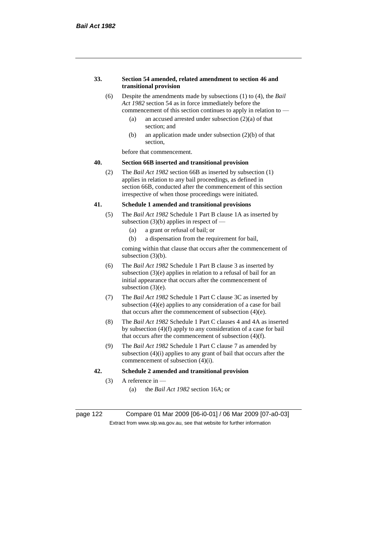#### **33. Section 54 amended, related amendment to section 46 and transitional provision**

- (6) Despite the amendments made by subsections (1) to (4), the *Bail Act 1982* section 54 as in force immediately before the commencement of this section continues to apply in relation to —
	- (a) an accused arrested under subsection  $(2)(a)$  of that section; and
	- (b) an application made under subsection (2)(b) of that section,

before that commencement.

# **40. Section 66B inserted and transitional provision**

(2) The *Bail Act 1982* section 66B as inserted by subsection (1) applies in relation to any bail proceedings, as defined in section 66B, conducted after the commencement of this section irrespective of when those proceedings were initiated.

#### **41. Schedule 1 amended and transitional provisions**

- (5) The *Bail Act 1982* Schedule 1 Part B clause 1A as inserted by subsection  $(3)(b)$  applies in respect of —
	- (a) a grant or refusal of bail; or
	- (b) a dispensation from the requirement for bail,

coming within that clause that occurs after the commencement of subsection (3)(b).

- (6) The *Bail Act 1982* Schedule 1 Part B clause 3 as inserted by subsection (3)(e) applies in relation to a refusal of bail for an initial appearance that occurs after the commencement of subsection (3)(e).
- (7) The *Bail Act 1982* Schedule 1 Part C clause 3C as inserted by subsection (4)(e) applies to any consideration of a case for bail that occurs after the commencement of subsection (4)(e).
- (8) The *Bail Act 1982* Schedule 1 Part C clauses 4 and 4A as inserted by subsection (4)(f) apply to any consideration of a case for bail that occurs after the commencement of subsection (4)(f).
- (9) The *Bail Act 1982* Schedule 1 Part C clause 7 as amended by subsection (4)(i) applies to any grant of bail that occurs after the commencement of subsection (4)(i).

# **42. Schedule 2 amended and transitional provision**

- (3) A reference in
	- (a) the *Bail Act 1982* section 16A; or

page 122 Compare 01 Mar 2009 [06-i0-01] / 06 Mar 2009 [07-a0-03] Extract from www.slp.wa.gov.au, see that website for further information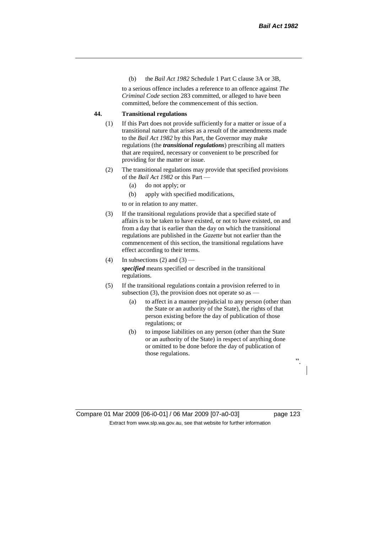(b) the *Bail Act 1982* Schedule 1 Part C clause 3A or 3B,

to a serious offence includes a reference to an offence against *The Criminal Code* section 283 committed, or alleged to have been committed, before the commencement of this section.

# **44. Transitional regulations**

- (1) If this Part does not provide sufficiently for a matter or issue of a transitional nature that arises as a result of the amendments made to the *Bail Act 1982* by this Part, the Governor may make regulations (the *transitional regulations*) prescribing all matters that are required, necessary or convenient to be prescribed for providing for the matter or issue.
- (2) The transitional regulations may provide that specified provisions of the *Bail Act 1982* or this Part —
	- (a) do not apply; or
	- (b) apply with specified modifications,

to or in relation to any matter.

- (3) If the transitional regulations provide that a specified state of affairs is to be taken to have existed, or not to have existed, on and from a day that is earlier than the day on which the transitional regulations are published in the *Gazette* but not earlier than the commencement of this section, the transitional regulations have effect according to their terms.
- (4) In subsections (2) and (3) *specified* means specified or described in the transitional regulations.
- (5) If the transitional regulations contain a provision referred to in subsection (3), the provision does not operate so as  $-$ 
	- (a) to affect in a manner prejudicial to any person (other than the State or an authority of the State), the rights of that person existing before the day of publication of those regulations; or
	- (b) to impose liabilities on any person (other than the State or an authority of the State) in respect of anything done or omitted to be done before the day of publication of those regulations.

Compare 01 Mar 2009 [06-i0-01] / 06 Mar 2009 [07-a0-03] page 123 Extract from www.slp.wa.gov.au, see that website for further information

".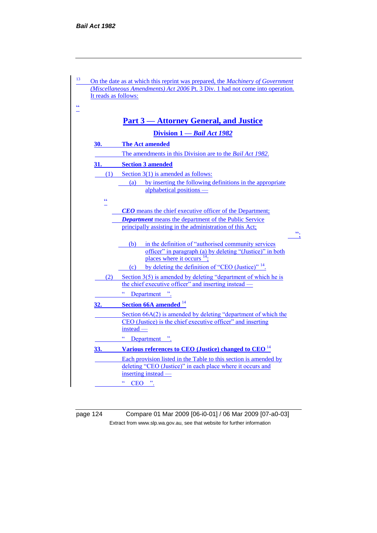

page 124 Compare 01 Mar 2009 [06-i0-01] / 06 Mar 2009 [07-a0-03] Extract from www.slp.wa.gov.au, see that website for further information